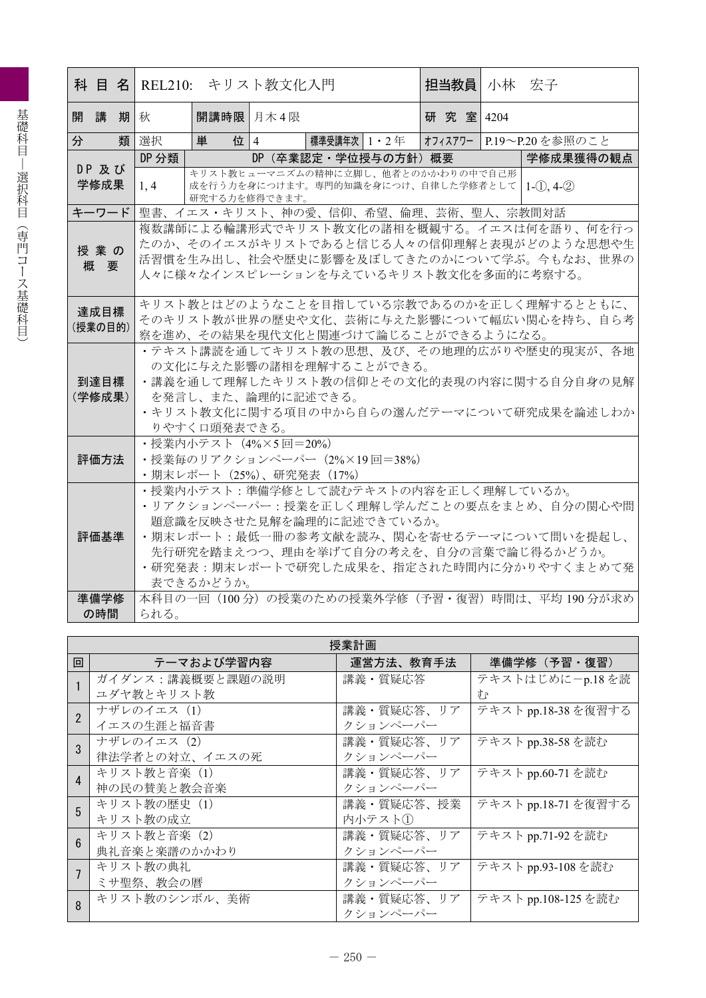|   |               |    |       | 科 目 名  REL210: キリスト教文化入門 |                              | 担当教員   小林 安子                                                                       |                                                    |
|---|---------------|----|-------|--------------------------|------------------------------|------------------------------------------------------------------------------------|----------------------------------------------------|
|   | 開講            | 期秋 |       | 開講時限 月木4限                |                              | 研究室 14204                                                                          |                                                    |
| 分 |               | 類  | 選択    | 位 4<br>単                 | 標準受講年次 1・2 年                 |                                                                                    | オフィスアワー  P.19〜P.20を参照のこと                           |
|   |               |    | DP 分類 |                          | DP (卒業認定·学位授与の方針) 概要         |                                                                                    | 学修成果獲得の観点                                          |
|   | DP 及び<br>学修成果 |    | 1, 4  | 研究する力を修得できます。            |                              | キリスト教ヒューマニズムの精神に立脚し、他者とのかかわりの中で自己形<br>成を行う力を身につけます。専門的知識を身につけ、自律した学修者として   1-① 4-2 |                                                    |
|   | キーワード         |    |       |                          |                              | 聖書、イエス・キリスト、神の愛、信仰、希望、倫理、芸術、聖人、宗教間対話                                               |                                                    |
|   |               |    |       |                          |                              |                                                                                    | 複数講師による輪講形式でキリスト教文化の諸相を概観する。イエスは何を語り、何を行っ          |
|   | 授業の           |    |       |                          |                              |                                                                                    | たのか、そのイエスがキリストであると信じる人々の信仰理解と表現がどのような思想や生          |
|   | 概要            |    |       |                          |                              |                                                                                    | 活習慣を生み出し、社会や歴史に影響を及ぼしてきたのかについて学ぶ。今もなお、世界の          |
|   |               |    |       |                          |                              | 人々に様々なインスピレーションを与えているキリスト教文化を多面的に考察する。                                             |                                                    |
|   |               |    |       |                          |                              |                                                                                    | キリスト教とはどのようなことを目指している宗教であるのかを正しく理解するとともに、          |
|   | 達成目標          |    |       |                          |                              |                                                                                    | そのキリスト教が世界の歴史や文化、芸術に与えた影響について幅広い関心を持ち、自ら考          |
|   | (授業の目的)       |    |       |                          |                              | 察を進め、その結果を現代文化と関連づけて論じることができるようになる。                                                |                                                    |
|   |               |    |       |                          |                              |                                                                                    | ・テキスト講読を通してキリスト教の思想、及び、その地理的広がりや歴史的現実が、各地          |
|   |               |    |       |                          | の文化に与えた影響の諸相を理解することができる。     |                                                                                    |                                                    |
|   | 到達目標          |    |       |                          |                              |                                                                                    | ・講義を通して理解したキリスト教の信仰とその文化的表現の内容に関する自分自身の見解          |
|   | (学修成果)        |    |       | を発言し、また、論理的に記述できる。       |                              |                                                                                    |                                                    |
|   |               |    |       |                          |                              |                                                                                    | ・キリスト教文化に関する項目の中から自らの選んだテーマについて研究成果を論述しわか          |
|   |               |    |       | りやすく口頭発表できる。             |                              |                                                                                    |                                                    |
|   |               |    |       | ・授業内小テスト(4%×5回=20%)      | ・授業毎のリアクションペーパー (2%×19回=38%) |                                                                                    |                                                    |
|   | 評価方法          |    |       | ・期末レポート(25%)、研究発表(17%)   |                              |                                                                                    |                                                    |
|   |               |    |       |                          |                              | • 授業内小テスト: 準備学修として読むテキストの内容を正しく理解しているか。                                            |                                                    |
|   |               |    |       |                          |                              |                                                                                    | •リアクションペーパー:授業を正しく理解し学んだことの要点をまとめ、自分の関心や問          |
|   |               |    |       |                          | 題意識を反映させた見解を論理的に記述できているか。    |                                                                                    |                                                    |
|   | 評価基準          |    |       |                          |                              |                                                                                    | ・期末レポート:最低一冊の参考文献を読み、関心を寄せるテーマについて問いを提起し、          |
|   |               |    |       |                          |                              |                                                                                    | 先行研究を踏まえつつ、理由を挙げて自分の考えを、自分の言葉で論じ得るかどうか。            |
|   |               |    |       |                          |                              |                                                                                    | ・研究発表:期末レポートで研究した成果を、指定された時間内に分かりやすくまとめて発          |
|   |               |    |       | 表できるかどうか。                |                              |                                                                                    |                                                    |
|   | 準備学修          |    |       |                          |                              |                                                                                    | 本科目の一回 (100分) の授業のための授業外学修 (予習・復習) 時間は、平均 190 分が求め |
|   | の時間           |    | られる。  |                          |                              |                                                                                    |                                                    |

|                        |                  | 授業計画       |                     |
|------------------------|------------------|------------|---------------------|
| 回                      | テーマおよび学習内容       | 運営方法、教育手法  | 準備学修(予習・復習)         |
|                        | ガイダンス:講義概要と課題の説明 | 講義・質疑応答    | テキストはじめに-p.18を読     |
|                        | ユダヤ教とキリスト教       |            | 46                  |
| $\overline{2}$         | ナザレのイエス (1)      | 講義・質疑応答、リア | テキスト pp.18-38 を復習する |
|                        | イエスの生涯と福音書       | クションペーパー   |                     |
| 3                      | ナザレのイエス (2)      | 講義・質疑応答、リア | テキスト pp.38-58 を読む   |
|                        | 律法学者との対立、イエスの死   | クションペーパー   |                     |
| $\boldsymbol{\Lambda}$ | キリスト教と音楽 (1)     | 講義・質疑応答、リア | テキスト pp.60-71 を読む   |
|                        | 神の民の賛美と教会音楽      | クションペーパー   |                     |
| 5                      | キリスト教の歴史 (1)     | 講義・質疑応答、授業 | テキスト pp.18-71 を復習する |
|                        | キリスト教の成立         | 内小テスト①     |                     |
| 6                      | キリスト教と音楽 (2)     | 講義・質疑応答、リア | テキスト pp.71-92 を読む   |
|                        | 典礼音楽と楽譜のかかわり     | クションペーパー   |                     |
|                        | キリスト教の典礼         | 講義・質疑応答、リア | テキスト pp.93-108 を読む  |
|                        | ミサ聖祭、教会の暦        | クションペーパー   |                     |
| 8                      | キリスト教のシンボル、美術    | 講義・質疑応答、リア | テキスト pp.108-125 を読む |
|                        |                  | クションペーパー   |                     |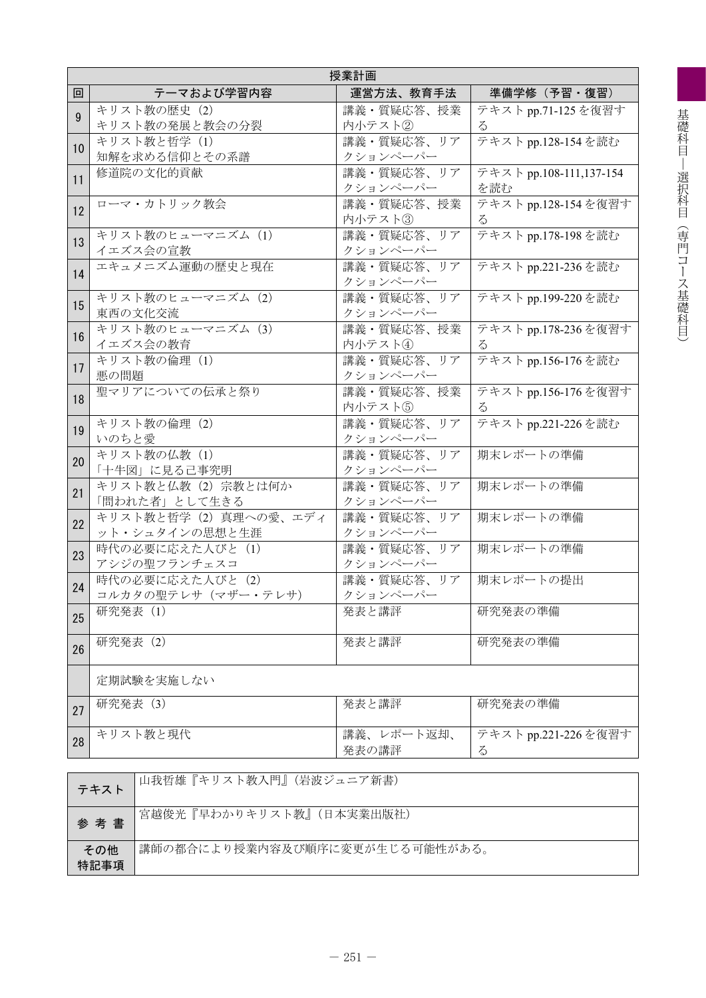|                | 授業計画                             |                        |                        |  |  |  |  |
|----------------|----------------------------------|------------------------|------------------------|--|--|--|--|
| 回              | テーマおよび学習内容                       | 運営方法、教育手法              | 準備学修(予習・復習)            |  |  |  |  |
| $\overline{9}$ | キリスト教の歴史 (2)                     | 講義・質疑応答、授業             | テキスト pp.71-125 を復習す    |  |  |  |  |
|                | キリスト教の発展と教会の分裂                   | 内小テスト2                 | Z                      |  |  |  |  |
| 10             | キリスト教と哲学 (1)                     | 講義・質疑応答、リア             | テキスト pp.128-154を読む     |  |  |  |  |
|                | 知解を求める信仰とその系譜                    | クションペーパー               |                        |  |  |  |  |
| 11             | 修道院の文化的貢献                        | 講義・質疑応答、リア             | テキストpp.108-111,137-154 |  |  |  |  |
|                |                                  | クションペーパー               | を読む                    |  |  |  |  |
| 12             | ローマ・カトリック教会                      | 講義・質疑応答、授業             | テキスト pp.128-154を復習す    |  |  |  |  |
|                |                                  | 内小テスト3                 | Z                      |  |  |  |  |
| 13             | キリスト教のヒューマニズム (1)                | 講義・質疑応答、リア             | テキスト pp.178-198 を読む    |  |  |  |  |
|                | イエズス会の宣教                         | クションペーパー               |                        |  |  |  |  |
| 14             | エキュメニズム運動の歴史と現在                  | 講義・質疑応答、リア             | テキスト pp.221-236を読む     |  |  |  |  |
|                | キリスト教のヒューマニズム (2)                | クションペーパー               | テキストpp.199-220を読む      |  |  |  |  |
| 15             | 東西の文化交流                          | 講義・質疑応答、リア<br>クションペーパー |                        |  |  |  |  |
|                | キリスト教のヒューマニズム (3)                | 講義·質疑応答、授業             | テキストpp.178-236を復習す     |  |  |  |  |
| 16             | イエズス会の教育                         | 内小テスト4                 |                        |  |  |  |  |
|                | キリスト教の倫理 (1)                     | 講義・質疑応答、リア             | テキストpp.156-176を読む      |  |  |  |  |
| 17             | 悪の問題                             | クションペーパー               |                        |  |  |  |  |
|                | 聖マリアについての伝承と祭り                   | 講義·質疑応答、授業             | テキスト pp.156-176を復習す    |  |  |  |  |
| 18             |                                  | 内小テスト5                 | $\zeta$                |  |  |  |  |
| 19             | キリスト教の倫理 (2)                     | 講義・質疑応答、リア             | テキスト pp.221-226を読む     |  |  |  |  |
|                | いのちと愛                            | クションペーパー               |                        |  |  |  |  |
| 20             | キリスト教の仏教 (1)                     | 講義・質疑応答、リア             | 期末レポートの準備              |  |  |  |  |
|                | 「十牛図」に見る己事究明                     | クションペーパー               |                        |  |  |  |  |
| 21             | キリスト教と仏教 (2) 宗教とは何か              | 講義・質疑応答、リア             | 期末レポートの準備              |  |  |  |  |
|                | 「問われた者」として生きる                    | クションペーパー               |                        |  |  |  |  |
| 22             | キリスト教と哲学 (2) 真理への愛、エディ           | 講義・質疑応答、リア             | 期末レポートの準備              |  |  |  |  |
|                | ット・シュタインの思想と生涯                   | クションペーパー               |                        |  |  |  |  |
| 23             | 時代の必要に応えた人びと (1)<br>アシジの聖フランチェスコ | 講義·質疑応答、リア<br>クションペーパー | 期末レポートの準備              |  |  |  |  |
|                | 時代の必要に応えた人びと (2)                 | 講義・質疑応答、リア             | 期末レポートの提出              |  |  |  |  |
| 24             | コルカタの聖テレサ (マザー・テレサ)              | クションペーパー               |                        |  |  |  |  |
|                | 研究発表 (1)                         | 発表と講評                  | 研究発表の準備                |  |  |  |  |
| 25             |                                  |                        |                        |  |  |  |  |
| 26             | 研究発表 (2)                         | 発表と講評                  | 研究発表の準備                |  |  |  |  |
|                |                                  |                        |                        |  |  |  |  |
|                | 定期試験を実施しない                       |                        |                        |  |  |  |  |
|                | 研究発表 (3)                         | 発表と講評                  | 研究発表の準備                |  |  |  |  |
| 27             |                                  |                        |                        |  |  |  |  |
| 28             | キリスト教と現代                         | 講義、レポート返却、             | テキスト pp.221-226を復習す    |  |  |  |  |
|                |                                  | 発表の講評                  | Z                      |  |  |  |  |
|                |                                  |                        |                        |  |  |  |  |

| テキスト        | 山我哲雄『キリスト教入門』(岩波ジュニア新書)        |
|-------------|--------------------------------|
| 参考書         | 宮越俊光『早わかりキリスト教』(日本実業出版社)       |
| その他<br>特記事項 | 講師の都合により授業内容及び順序に変更が生じる可能性がある。 |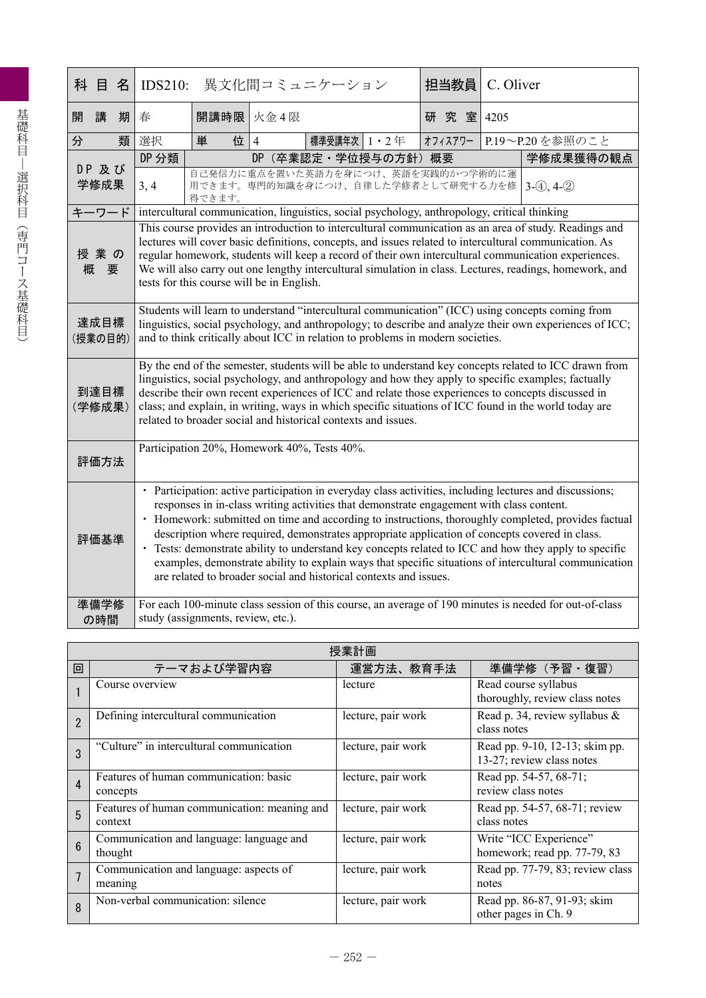| 科 | 目               | 名 | <b>IDS210:</b>                                                                                                                                                                                                                                                                                                                                                                                                                                                                                                                                                                                                                                                                                      |                                    | 異文化間コミュニケーション                                                                                                                                                                                                                                                                                                                                                                                                                                                                                 | 担当教員    | C. Oliver |                 |  |
|---|-----------------|---|-----------------------------------------------------------------------------------------------------------------------------------------------------------------------------------------------------------------------------------------------------------------------------------------------------------------------------------------------------------------------------------------------------------------------------------------------------------------------------------------------------------------------------------------------------------------------------------------------------------------------------------------------------------------------------------------------------|------------------------------------|-----------------------------------------------------------------------------------------------------------------------------------------------------------------------------------------------------------------------------------------------------------------------------------------------------------------------------------------------------------------------------------------------------------------------------------------------------------------------------------------------|---------|-----------|-----------------|--|
| 開 | 講               | 期 | 春                                                                                                                                                                                                                                                                                                                                                                                                                                                                                                                                                                                                                                                                                                   | 開講時限                               | 火金4限                                                                                                                                                                                                                                                                                                                                                                                                                                                                                          | 研究室     | 4205      |                 |  |
| 分 |                 | 類 | 選択                                                                                                                                                                                                                                                                                                                                                                                                                                                                                                                                                                                                                                                                                                  | 単<br>位                             | 標準受講年次 1 · 2年<br>$\overline{4}$                                                                                                                                                                                                                                                                                                                                                                                                                                                               | オフィスアワー |           | P.19~P.20を参照のこと |  |
|   |                 |   | DP 分類                                                                                                                                                                                                                                                                                                                                                                                                                                                                                                                                                                                                                                                                                               |                                    | DP (卒業認定·学位授与の方針) 概要                                                                                                                                                                                                                                                                                                                                                                                                                                                                          |         |           | 学修成果獲得の観点       |  |
|   | DP 及び<br>学修成果   |   | 3, 4                                                                                                                                                                                                                                                                                                                                                                                                                                                                                                                                                                                                                                                                                                | 得できます。                             | 自己発信力に重点を置いた英語力を身につけ、英語を実践的かつ学術的に運<br>用できます。専門的知識を身につけ、自律した学修者として研究する力を修                                                                                                                                                                                                                                                                                                                                                                                                                      |         |           | $3-(4), 4-(2)$  |  |
|   | キーワード           |   |                                                                                                                                                                                                                                                                                                                                                                                                                                                                                                                                                                                                                                                                                                     |                                    | intercultural communication, linguistics, social psychology, anthropology, critical thinking                                                                                                                                                                                                                                                                                                                                                                                                  |         |           |                 |  |
| 概 | 授業の<br>要        |   | This course provides an introduction to intercultural communication as an area of study. Readings and<br>lectures will cover basic definitions, concepts, and issues related to intercultural communication. As<br>regular homework, students will keep a record of their own intercultural communication experiences.<br>We will also carry out one lengthy intercultural simulation in class. Lectures, readings, homework, and<br>tests for this course will be in English.                                                                                                                                                                                                                      |                                    |                                                                                                                                                                                                                                                                                                                                                                                                                                                                                               |         |           |                 |  |
|   | 達成目標<br>(授業の目的) |   |                                                                                                                                                                                                                                                                                                                                                                                                                                                                                                                                                                                                                                                                                                     |                                    | Students will learn to understand "intercultural communication" (ICC) using concepts coming from<br>linguistics, social psychology, and anthropology; to describe and analyze their own experiences of ICC;<br>and to think critically about ICC in relation to problems in modern societies.                                                                                                                                                                                                 |         |           |                 |  |
|   | 到達目標<br>(学修成果)  |   |                                                                                                                                                                                                                                                                                                                                                                                                                                                                                                                                                                                                                                                                                                     |                                    | By the end of the semester, students will be able to understand key concepts related to ICC drawn from<br>linguistics, social psychology, and anthropology and how they apply to specific examples; factually<br>describe their own recent experiences of ICC and relate those experiences to concepts discussed in<br>class; and explain, in writing, ways in which specific situations of ICC found in the world today are<br>related to broader social and historical contexts and issues. |         |           |                 |  |
|   | 評価方法            |   | Participation 20%, Homework 40%, Tests 40%.                                                                                                                                                                                                                                                                                                                                                                                                                                                                                                                                                                                                                                                         |                                    |                                                                                                                                                                                                                                                                                                                                                                                                                                                                                               |         |           |                 |  |
|   | 評価基準            |   | • Participation: active participation in everyday class activities, including lectures and discussions;<br>responses in in-class writing activities that demonstrate engagement with class content.<br>· Homework: submitted on time and according to instructions, thoroughly completed, provides factual<br>description where required, demonstrates appropriate application of concepts covered in class.<br>• Tests: demonstrate ability to understand key concepts related to ICC and how they apply to specific<br>examples, demonstrate ability to explain ways that specific situations of intercultural communication<br>are related to broader social and historical contexts and issues. |                                    |                                                                                                                                                                                                                                                                                                                                                                                                                                                                                               |         |           |                 |  |
|   | 準備学修<br>の時間     |   |                                                                                                                                                                                                                                                                                                                                                                                                                                                                                                                                                                                                                                                                                                     | study (assignments, review, etc.). | For each 100-minute class session of this course, an average of 190 minutes is needed for out-of-class                                                                                                                                                                                                                                                                                                                                                                                        |         |           |                 |  |

|                 | 授業計画                                                    |                    |                                                             |  |  |  |
|-----------------|---------------------------------------------------------|--------------------|-------------------------------------------------------------|--|--|--|
| 回               | テーマおよび学習内容                                              | 運営方法、教育手法          | 準備学修 (予習·復習)                                                |  |  |  |
|                 | Course overview                                         | lecture            | Read course syllabus<br>thoroughly, review class notes      |  |  |  |
| $\overline{2}$  | Defining intercultural communication                    | lecture, pair work | Read p. 34, review syllabus &<br>class notes                |  |  |  |
| 3               | "Culture" in intercultural communication                | lecture, pair work | Read pp. 9-10, 12-13; skim pp.<br>13-27; review class notes |  |  |  |
| 4               | Features of human communication: basic<br>concepts      | lecture, pair work | Read pp. 54-57, 68-71;<br>review class notes                |  |  |  |
| 5               | Features of human communication: meaning and<br>context | lecture, pair work | Read pp. 54-57, 68-71; review<br>class notes                |  |  |  |
| $6\phantom{1}6$ | Communication and language: language and<br>thought     | lecture, pair work | Write "ICC Experience"<br>homework; read pp. 77-79, 83      |  |  |  |
| $\overline{1}$  | Communication and language: aspects of<br>meaning       | lecture, pair work | Read pp. 77-79, 83; review class<br>notes                   |  |  |  |
| 8               | Non-verbal communication: silence                       | lecture, pair work | Read pp. 86-87, 91-93; skim<br>other pages in Ch. 9         |  |  |  |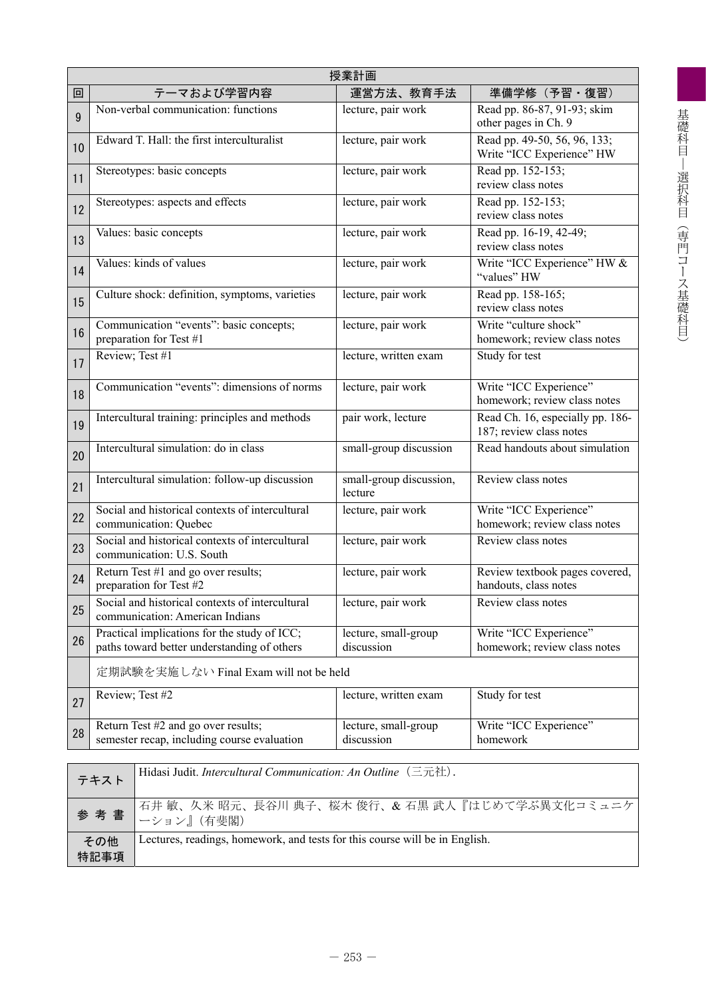|    | 授業計画                                                                                        |                                    |                                                             |  |  |  |
|----|---------------------------------------------------------------------------------------------|------------------------------------|-------------------------------------------------------------|--|--|--|
| 回  | テーマおよび学習内容                                                                                  | 運営方法、教育手法                          | 準備学修 (予習・復習)                                                |  |  |  |
| 9  | Non-verbal communication: functions                                                         | lecture, pair work                 | Read pp. 86-87, 91-93; skim<br>other pages in Ch. 9         |  |  |  |
| 10 | Edward T. Hall: the first interculturalist                                                  | lecture, pair work                 | Read pp. 49-50, 56, 96, 133;<br>Write "ICC Experience" HW   |  |  |  |
| 11 | Stereotypes: basic concepts                                                                 | lecture, pair work                 | Read pp. 152-153;<br>review class notes                     |  |  |  |
| 12 | Stereotypes: aspects and effects                                                            | lecture, pair work                 | Read pp. 152-153;<br>review class notes                     |  |  |  |
| 13 | Values: basic concepts                                                                      | lecture, pair work                 | Read pp. 16-19, 42-49;<br>review class notes                |  |  |  |
| 14 | Values: kinds of values                                                                     | lecture, pair work                 | Write "ICC Experience" HW &<br>"values" HW                  |  |  |  |
| 15 | Culture shock: definition, symptoms, varieties                                              | lecture, pair work                 | Read pp. 158-165;<br>review class notes                     |  |  |  |
| 16 | Communication "events": basic concepts;<br>preparation for Test #1                          | lecture, pair work                 | Write "culture shock"<br>homework; review class notes       |  |  |  |
| 17 | Review; Test #1                                                                             | lecture, written exam              | Study for test                                              |  |  |  |
| 18 | Communication "events": dimensions of norms                                                 | lecture, pair work                 | Write "ICC Experience"<br>homework; review class notes      |  |  |  |
| 19 | Intercultural training: principles and methods                                              | pair work, lecture                 | Read Ch. 16, especially pp. 186-<br>187; review class notes |  |  |  |
| 20 | Intercultural simulation: do in class                                                       | small-group discussion             | Read handouts about simulation                              |  |  |  |
| 21 | Intercultural simulation: follow-up discussion                                              | small-group discussion,<br>lecture | Review class notes                                          |  |  |  |
| 22 | Social and historical contexts of intercultural<br>communication: Quebec                    | lecture, pair work                 | Write "ICC Experience"<br>homework; review class notes      |  |  |  |
| 23 | Social and historical contexts of intercultural<br>communication: U.S. South                | lecture, pair work                 | Review class notes                                          |  |  |  |
| 24 | Return Test #1 and go over results;<br>preparation for Test #2                              | lecture, pair work                 | Review textbook pages covered,<br>handouts, class notes     |  |  |  |
| 25 | Social and historical contexts of intercultural<br>communication: American Indians          | lecture, pair work                 | Review class notes                                          |  |  |  |
| 26 | Practical implications for the study of ICC;<br>paths toward better understanding of others | lecture, small-group<br>discussion | Write "ICC Experience"<br>homework; review class notes      |  |  |  |
|    | 定期試験を実施しない Final Exam will not be held                                                      |                                    |                                                             |  |  |  |
| 27 | Review; Test #2                                                                             | lecture, written exam              | Study for test                                              |  |  |  |
| 28 | Return Test #2 and go over results;<br>semester recap, including course evaluation          | lecture, small-group<br>discussion | Write "ICC Experience"<br>homework                          |  |  |  |
|    |                                                                                             |                                    |                                                             |  |  |  |
|    | Hidasi Judit. Intercultural Communication: An Outline (三元社).<br>テキスト                        |                                    |                                                             |  |  |  |

| テキスト        | Hidasi Judit. Intercultural Communication: An Outline (三元社).                |
|-------------|-----------------------------------------------------------------------------|
|             | 石井 敏、久米 昭元、長谷川 典子、桜木 俊行、& 石黒 武人『はじめて学ぶ異文化コミュニケ<br>参考書   ニション』(有斐閣)          |
| その他<br>特記事項 | Lectures, readings, homework, and tests for this course will be in English. |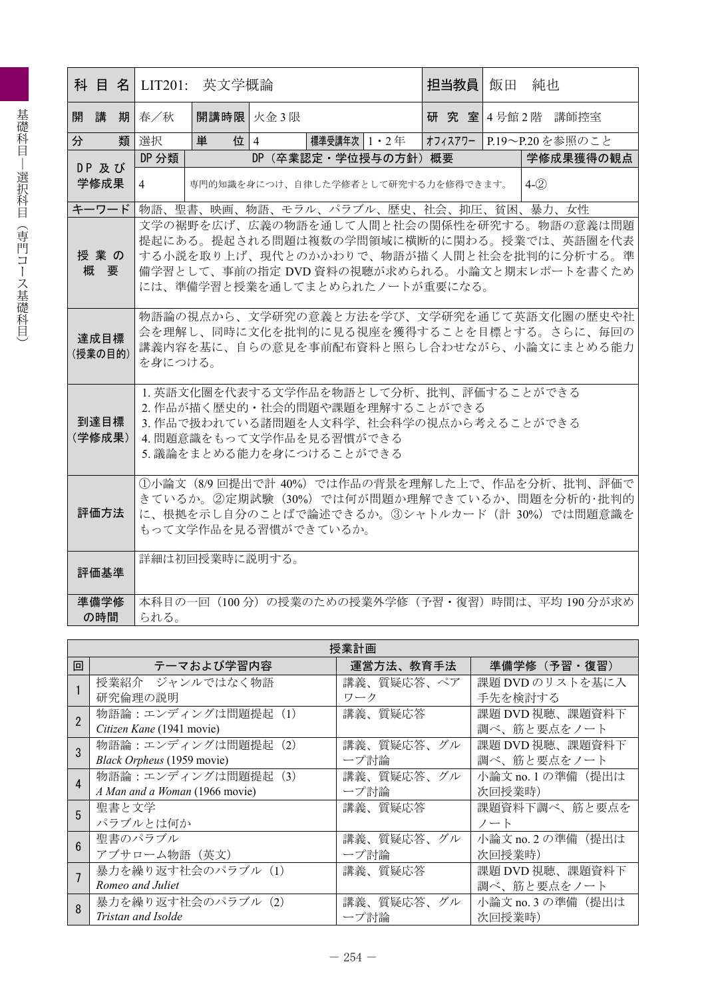|                 |                                                                                                                                                                              | 英文学概論<br>科 目 名 LIT201:                                                                                                                                                                                                |  |             |                      |  |  | 担当教員   飯田 | 純也      |                                                   |
|-----------------|------------------------------------------------------------------------------------------------------------------------------------------------------------------------------|-----------------------------------------------------------------------------------------------------------------------------------------------------------------------------------------------------------------------|--|-------------|----------------------|--|--|-----------|---------|---------------------------------------------------|
| 開講              | 期春/秋                                                                                                                                                                         | 開講時限 火金3限                                                                                                                                                                                                             |  |             |                      |  |  |           |         | 研究室 4号館2階 講師控室                                    |
| 分<br>類          | 選択                                                                                                                                                                           | 単<br>位 4                                                                                                                                                                                                              |  | 標準受講年次 1・2年 |                      |  |  |           |         | オフィスアワー   P.19~P.20 を参照のこと                        |
| DP及び            | DP 分類                                                                                                                                                                        |                                                                                                                                                                                                                       |  |             | DP (卒業認定·学位授与の方針) 概要 |  |  |           |         | 学修成果獲得の観点                                         |
| 学修成果            | 4                                                                                                                                                                            | 専門的知識を身につけ、自律した学修者として研究する力を修得できます。                                                                                                                                                                                    |  |             |                      |  |  |           | $4-(2)$ |                                                   |
| キーワード           |                                                                                                                                                                              | 物語、聖書、映画、物語、モラル、パラブル、歴史、社会、抑圧、貧困、暴力、女性                                                                                                                                                                                |  |             |                      |  |  |           |         |                                                   |
| 授業の<br>概要       |                                                                                                                                                                              | 文学の裾野を広げ、広義の物語を通して人間と社会の関係性を研究する。物語の意義は問題<br>提起にある。提起される問題は複数の学問領域に横断的に関わる。授業では、英語圏を代表<br>する小説を取り上げ、現代とのかかわりで、物語が描く人間と社会を批判的に分析する。準<br>備学習として、事前の指定 DVD 資料の視聴が求められる。小論文と期末レポートを書くため<br>には、準備学習と授業を通してまとめられたノートが重要になる。 |  |             |                      |  |  |           |         |                                                   |
| 達成目標<br>(授業の目的) | 物語論の視点から、文学研究の意義と方法を学び、文学研究を通じて英語文化圏の歴史や社<br>会を理解し、同時に文化を批判的に見る視座を獲得することを目標とする。さらに、毎回の<br>講義内容を基に、自らの意見を事前配布資料と照らし合わせながら、小論文にまとめる能力<br>を身につける。                               |                                                                                                                                                                                                                       |  |             |                      |  |  |           |         |                                                   |
| 到達目標<br>(学修成果)  | 1. 英語文化圏を代表する文学作品を物語として分析、批判、評価することができる<br>2. 作品が描く歴史的・社会的問題や課題を理解することができる<br>3.作品で扱われている諸問題を人文科学、社会科学の視点から考えることができる<br>4. 問題意識をもって文学作品を見る習慣ができる<br>5. 議論をまとめる能力を身につけることができる |                                                                                                                                                                                                                       |  |             |                      |  |  |           |         |                                                   |
| 評価方法            | ①小論文 (8/9回提出で計40%)では作品の背景を理解した上で、作品を分析、批判、評価で<br>きているか。②定期試験 (30%) では何が問題か理解できているか、問題を分析的·批判的<br>に、根拠を示し自分のことばで論述できるか。③シャトルカード (計 30%) では問題意識を<br>もって文学作品を見る習慣ができているか。       |                                                                                                                                                                                                                       |  |             |                      |  |  |           |         |                                                   |
| 評価基準            |                                                                                                                                                                              | 詳細は初回授業時に説明する。                                                                                                                                                                                                        |  |             |                      |  |  |           |         |                                                   |
| 準備学修<br>の時間     | られる。                                                                                                                                                                         |                                                                                                                                                                                                                       |  |             |                      |  |  |           |         | 本科目の一回 (100分) の授業のための授業外学修 (予習・復習) 時間は、平均 190分が求め |

|                        |                                | 授業計画       |                  |
|------------------------|--------------------------------|------------|------------------|
| 回                      | テーマおよび学習内容                     | 運営方法、教育手法  | 準備学修(予習・復習)      |
|                        | 授業紹介 ジャンルではなく物語                | 講義、質疑応答、ペア | 課題 DVD のリストを基に入  |
|                        | 研究倫理の説明                        | ワーク        | 手先を検討する          |
| $\overline{2}$         | 物語論:エンディングは問題提起 (1)            | 講義、質疑応答    | 課題 DVD 視聴、課題資料下  |
|                        | Citizen Kane (1941 movie)      |            | 調べ、筋と要点をノート      |
| $\mathcal{R}$          | 物語論:エンディングは問題提起 (2)            | 講義、質疑応答、グル | 課題 DVD 視聴、課題資料下  |
|                        | Black Orpheus (1959 movie)     | ープ討論       | 調べ、筋と要点をノート      |
| $\boldsymbol{\Lambda}$ | 物語論:エンディングは問題提起 (3)            | 講義、質疑応答、グル | 小論文 no.1の準備(提出は  |
|                        | A Man and a Woman (1966 movie) | ープ討論       | 次回授業時)           |
| 5                      | 聖書と文学                          | 講義、質疑応答    | 課題資料下調べ、筋と要点を    |
|                        | パラブルとは何か                       |            | ノート              |
|                        | 聖書のパラブル                        | 講義、質疑応答、グル | 小論文 no.2の準備(提出は  |
|                        | アブサローム物語 (英文)                  | ープ討論       | 次回授業時)           |
|                        | 暴力を繰り返す社会のパラブル (1)             | 講義、質疑応答    | 課題 DVD 視聴、課題資料下  |
|                        | Romeo and Juliet               |            | 調べ、筋と要点をノート      |
|                        | 暴力を繰り返す社会のパラブル (2)             | 講義、質疑応答、グル | 小論文 no.3 の準備(提出は |
|                        | Tristan and Isolde             | ープ討論       | 次回授業時)           |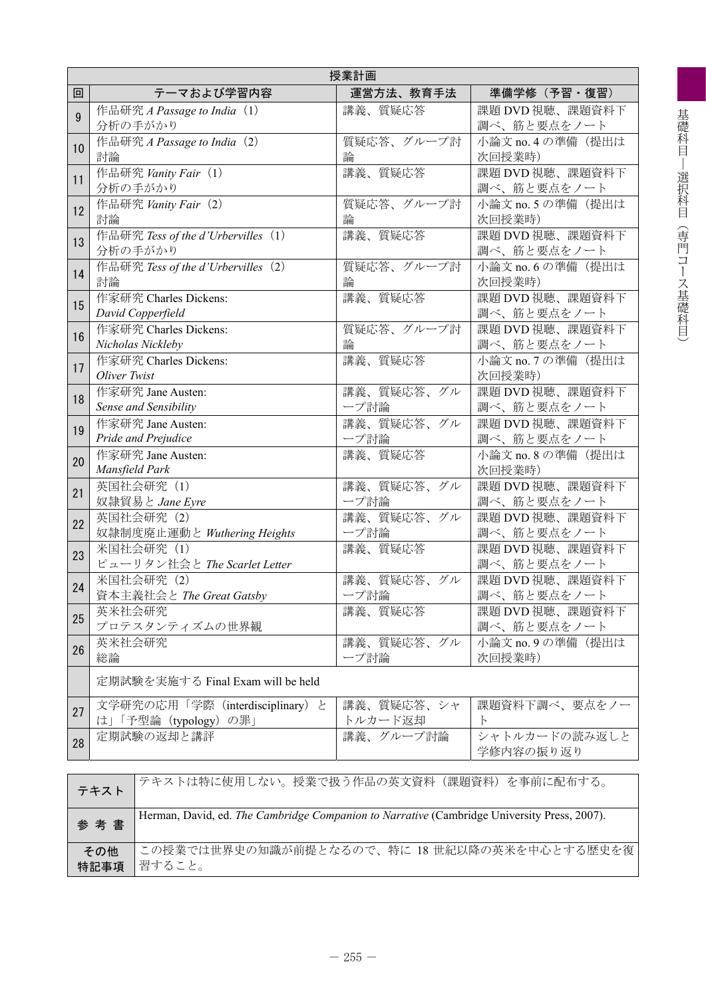|    | 授業計画                                                      |                       |                                |  |  |  |
|----|-----------------------------------------------------------|-----------------------|--------------------------------|--|--|--|
| 回  | テーマおよび学習内容                                                | 運営方法、教育手法             | 準備学修 (予習·復習)                   |  |  |  |
| 9  | 作品研究 A Passage to India (1)<br>分析の手がかり                    | 講義、質疑応答               | 課題 DVD 視聴、課題資料下<br>調べ、筋と要点をノート |  |  |  |
| 10 | 作品研究 A Passage to India (2)<br>討論                         | 質疑応答、グループ討<br>論       | 小論文 no. 4 の準備 (提出は<br>次回授業時)   |  |  |  |
| 11 | 作品研究 Vanity Fair (1)<br>分析の手がかり                           | 講義、質疑応答               | 課題 DVD 視聴、課題資料下<br>調べ、筋と要点をノート |  |  |  |
| 12 | 作品研究 Vanity Fair (2)<br>討論                                | 質疑応答、グループ討<br>論       | 小論文 no. 5 の準備 (提出は<br>次回授業時)   |  |  |  |
| 13 | 作品研究 Tess of the d'Urbervilles (1)<br>分析の手がかり             | 講義、質疑応答               | 課題 DVD 視聴、課題資料下<br>調べ、筋と要点をノート |  |  |  |
| 14 | 作品研究 Tess of the d'Urbervilles (2)<br>討論                  | 質疑応答、グループ討<br>論       | 小論文 no. 6 の準備 (提出は<br>次回授業時)   |  |  |  |
| 15 | 作家研究 Charles Dickens:<br>David Copperfield                | 講義、質疑応答               | 課題 DVD 視聴、課題資料下<br>調べ、筋と要点をノート |  |  |  |
| 16 | 作家研究 Charles Dickens:<br>Nicholas Nickleby                | 質疑応答、グループ討<br>論       | 課題 DVD 視聴、課題資料下<br>調べ、筋と要点をノート |  |  |  |
| 17 | 作家研究 Charles Dickens:<br>Oliver Twist                     | 講義、質疑応答               | 小論文 no. 7 の準備 (提出は<br>次回授業時)   |  |  |  |
| 18 | 作家研究 Jane Austen:<br>Sense and Sensibility                | 講義、質疑応答、グル<br>ープ討論    | 課題 DVD 視聴、課題資料下<br>調べ、筋と要点をノート |  |  |  |
| 19 | 作家研究 Jane Austen:<br>Pride and Prejudice                  | 講義、質疑応答、グル<br>ープ討論    | 課題 DVD 視聴、課題資料下<br>調べ、筋と要点をノート |  |  |  |
| 20 | 作家研究 Jane Austen:<br>Mansfield Park                       | 講義、質疑応答               | 小論文 no. 8 の準備 (提出は<br>次回授業時)   |  |  |  |
| 21 | 英国社会研究 (1)<br>奴隷貿易と Jane Eyre                             | 講義、質疑応答、グル<br>ープ討論    | 課題 DVD 視聴、課題資料下<br>調べ、筋と要点をノート |  |  |  |
| 22 | 英国社会研究 (2)<br>奴隷制度廃止運動と Wuthering Heights                 | 講義、質疑応答、グル<br>ープ討論    | 課題 DVD 視聴、課題資料下<br>調べ、筋と要点をノート |  |  |  |
| 23 | 米国社会研究 (1)<br>ピューリタン社会と The Scarlet Letter                | 講義、質疑応答               | 課題 DVD 視聴、課題資料下<br>調べ、筋と要点をノート |  |  |  |
| 24 | 米国社会研究 (2)<br>資本主義社会と The Great Gatsby                    | 講義、質疑応答、グル<br>ープ討論    | 課題 DVD 視聴、課題資料下<br>調べ、筋と要点をノート |  |  |  |
| 25 | 英米社会研究<br>プロテスタンティズムの世界観                                  | 講義、質疑応答               | 課題 DVD 視聴、課題資料下<br>調べ、筋と要点をノート |  |  |  |
| 26 | 英米社会研究<br>総論                                              | 講義、質疑応答、グル<br>ープ討論    | 小論文 no. 9の準備 (提出は<br>次回授業時)    |  |  |  |
|    | 定期試験を実施する Final Exam will be held                         |                       |                                |  |  |  |
| 27 | 文学研究の応用「学際 (interdisciplinary) と<br>は」「予型論 (typology) の罪」 | 講義、質疑応答、シャ<br>トルカード返却 | 課題資料下調べ、要点をノー<br>$\mathbb{R}$  |  |  |  |
| 28 | 定期試験の返却と講評                                                | 講義、グループ討論             | シャトルカードの読み返しと<br>学修内容の振り返り     |  |  |  |
|    |                                                           |                       |                                |  |  |  |

| テキスト        | テキストは特に使用しない。授業で扱う作品の英文資料(課題資料)を事前に配布する。                                                    |
|-------------|---------------------------------------------------------------------------------------------|
| 参考書         | Herman, David, ed. The Cambridge Companion to Narrative (Cambridge University Press, 2007). |
| その他<br>特記事項 | この授業では世界史の知識が前提となるので、特に 18世紀以降の英米を中心とする歴史を復<br>習すること。                                       |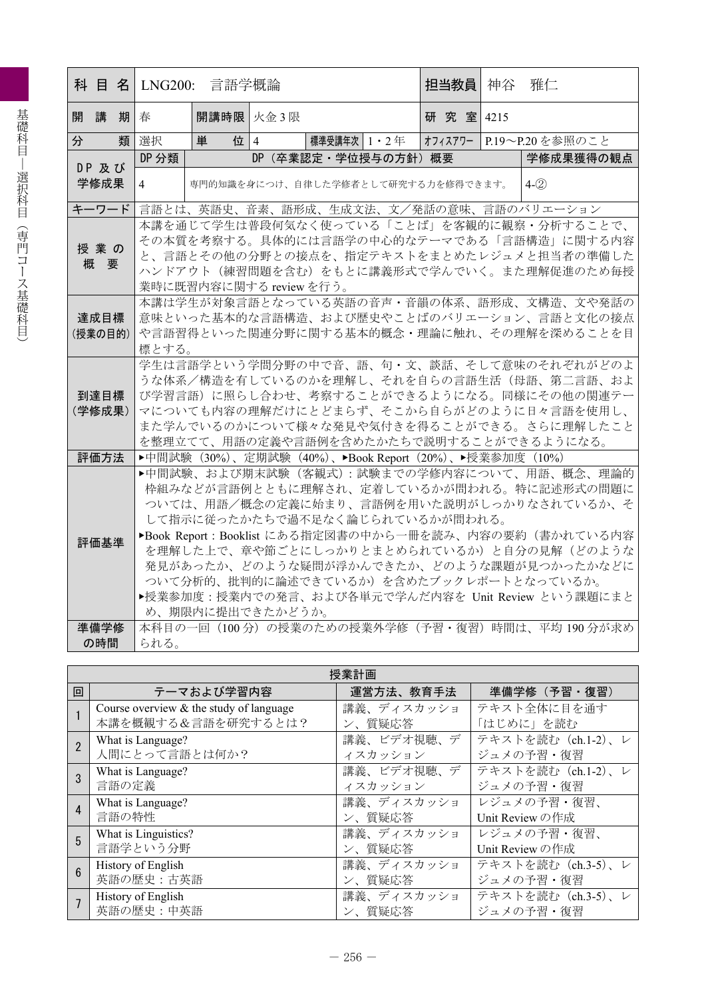|   |         |    |                | 科 目 名 LNG200: 言語学概論                                                                   |  |                      |  |          |  | 担当教員  神谷  雅仁 |                                                         |
|---|---------|----|----------------|---------------------------------------------------------------------------------------|--|----------------------|--|----------|--|--------------|---------------------------------------------------------|
| 開 | 講       | 期春 |                | 開講時限 火金3限                                                                             |  |                      |  | 研究室 4215 |  |              |                                                         |
| 分 |         | 類  | 選択             | 単<br>位   4                                                                            |  | 標準受講年次   1 ・ 2 年     |  |          |  |              | オフィスアワー P.19~P.20を参照のこと                                 |
|   | DP 及び   |    | DP 分類          |                                                                                       |  | DP (卒業認定·学位授与の方針) 概要 |  |          |  |              | 学修成果獲得の観点                                               |
|   | 学修成果    |    | $\overline{4}$ | 専門的知識を身につけ、自律した学修者として研究する力を修得できます。                                                    |  |                      |  |          |  |              | $4-(2)$                                                 |
|   | キーワード   |    |                |                                                                                       |  |                      |  |          |  |              | 言語とは、英語史、音素、語形成、生成文法、文/発話の意味、言語のバリエーション                 |
|   |         |    |                |                                                                                       |  |                      |  |          |  |              | 本講を通じて学生は普段何気なく使っている「ことば」を客観的に観察・分析することで、               |
|   | 授業の     |    |                |                                                                                       |  |                      |  |          |  |              | その本質を考察する。具体的には言語学の中心的なテーマである「言語構造」に関する内容               |
|   | 概要      |    |                |                                                                                       |  |                      |  |          |  |              | と、言語とその他の分野との接点を、指定テキストをまとめたレジュメと担当者の準備した               |
|   |         |    |                |                                                                                       |  |                      |  |          |  |              | ハンドアウト(練習問題を含む)をもとに講義形式で学んでいく。また理解促進のため毎授               |
|   |         |    |                | 業時に既習内容に関する review を行う。<br>本講は学生が対象言語となっている英語の音声・音韻の体系、語形成、文構造、文や発話の                  |  |                      |  |          |  |              |                                                         |
|   | 達成目標    |    |                |                                                                                       |  |                      |  |          |  |              | 意味といった基本的な言語構造、および歴史やことばのバリエーション、言語と文化の接点               |
|   | (授業の目的) |    |                |                                                                                       |  |                      |  |          |  |              | や言語習得といった関連分野に関する基本的概念・理論に触れ、その理解を深めることを目               |
|   |         |    | 標とする。          |                                                                                       |  |                      |  |          |  |              |                                                         |
|   |         |    |                |                                                                                       |  |                      |  |          |  |              | 学生は言語学という学問分野の中で音、語、句・文、談話、そして意味のそれぞれがどのよ               |
|   |         |    |                |                                                                                       |  |                      |  |          |  |              | うな体系/構造を有しているのかを理解し、それを自らの言語生活(母語、第二言語、およ               |
|   | 到達目標    |    |                |                                                                                       |  |                      |  |          |  |              | び学習言語)に照らし合わせ、考察することができるようになる。同様にその他の関連テー               |
|   | (学修成果)  |    |                |                                                                                       |  |                      |  |          |  |              | マについても内容の理解だけにとどまらず、そこから自らがどのように日々言語を使用し、               |
|   |         |    |                | また学んでいるのかについて様々な発見や気付きを得ることができる。さらに理解したこと<br>を整理立てて、用語の定義や言語例を含めたかたちで説明することができるようになる。 |  |                      |  |          |  |              |                                                         |
|   |         |    |                |                                                                                       |  |                      |  |          |  |              |                                                         |
|   | 評価方法    |    |                | ▶中間試験 (30%)、定期試験 (40%)、▶Book Report (20%)、▶授業参加度 (10%)                                |  |                      |  |          |  |              | ▶中間試験、および期末試験 (客観式):試験までの学修内容について、用語、概念、理論的             |
|   |         |    |                |                                                                                       |  |                      |  |          |  |              | 枠組みなどが言語例とともに理解され、定着しているかが問われる。特に記述形式の問題に               |
|   |         |    |                |                                                                                       |  |                      |  |          |  |              | ついては、用語/概念の定義に始まり、言語例を用いた説明がしっかりなされているか、そ               |
|   |         |    |                | して指示に従ったかたちで過不足なく論じられているかが問われる。                                                       |  |                      |  |          |  |              |                                                         |
|   |         |    |                |                                                                                       |  |                      |  |          |  |              | ▶Book Report : Booklist にある指定図書の中から一冊を読み、内容の要約(書かれている内容 |
|   | 評価基準    |    |                |                                                                                       |  |                      |  |          |  |              | を理解した上で、章や節ごとにしっかりとまとめられているか)と自分の見解(どのような               |
|   |         |    |                |                                                                                       |  |                      |  |          |  |              | 発見があったか、どのような疑問が浮かんできたか、どのような課題が見つかったかなどに               |
|   |         |    |                |                                                                                       |  |                      |  |          |  |              | ついて分析的、批判的に論述できているか)を含めたブックレポートとなっているか。                 |
|   |         |    |                |                                                                                       |  |                      |  |          |  |              | ▶授業参加度:授業内での発言、および各単元で学んだ内容を Unit Review という課題にまと       |
|   |         |    |                | め、期限内に提出できたかどうか。                                                                      |  |                      |  |          |  |              |                                                         |
|   | 準備学修    |    |                |                                                                                       |  |                      |  |          |  |              | 本科目の一回 (100分) の授業のための授業外学修 (予習・復習) 時間は、平均 190分が求め       |
|   | の時間     |    | られる。           |                                                                                       |  |                      |  |          |  |              |                                                         |

|                | 授業計画                                       |            |                    |  |  |  |  |  |
|----------------|--------------------------------------------|------------|--------------------|--|--|--|--|--|
| 回              | テーマおよび学習内容                                 | 運営方法、教育手法  | 準備学修(予習・復習)        |  |  |  |  |  |
|                | Course overview $\&$ the study of language | 講義、ディスカッショ | テキスト全体に目を通す        |  |  |  |  |  |
|                | 本講を概観する&言語を研究するとは?                         | ン、質疑応答     | 「はじめに」を読む          |  |  |  |  |  |
| $\overline{2}$ | What is Language?                          | 講義、ビデオ視聴、デ | テキストを読む (ch.1-2)、レ |  |  |  |  |  |
|                | 人間にとって言語とは何か?                              | イスカッション    | ジュメの予習・復習          |  |  |  |  |  |
|                | What is Language?                          | 講義、ビデオ視聴、デ | テキストを読む (ch.1-2)、レ |  |  |  |  |  |
|                | 言語の定義                                      | イスカッション    | ジュメの予習・復習          |  |  |  |  |  |
|                | What is Language?                          | 講義、ディスカッショ | レジュメの予習・復習、        |  |  |  |  |  |
|                | 言語の特性                                      | ン、質疑応答     | Unit Review の作成    |  |  |  |  |  |
| 5              | What is Linguistics?                       | 講義、ディスカッショ | レジュメの予習・復習、        |  |  |  |  |  |
|                | 言語学という分野                                   | ン、質疑応答     | Unit Review の作成    |  |  |  |  |  |
| $6\phantom{a}$ | History of English                         | 講義、ディスカッショ | テキストを読む (ch.3-5)、レ |  |  |  |  |  |
|                | 英語の歴史:古英語                                  | ン、質疑応答     | ジュメの予習・復習          |  |  |  |  |  |
|                | History of English                         | 講義、ディスカッショ | テキストを読む (ch.3-5)、レ |  |  |  |  |  |
|                | 英語の歴史:中英語                                  | ン、質疑応答     | ジュメの予習・復習          |  |  |  |  |  |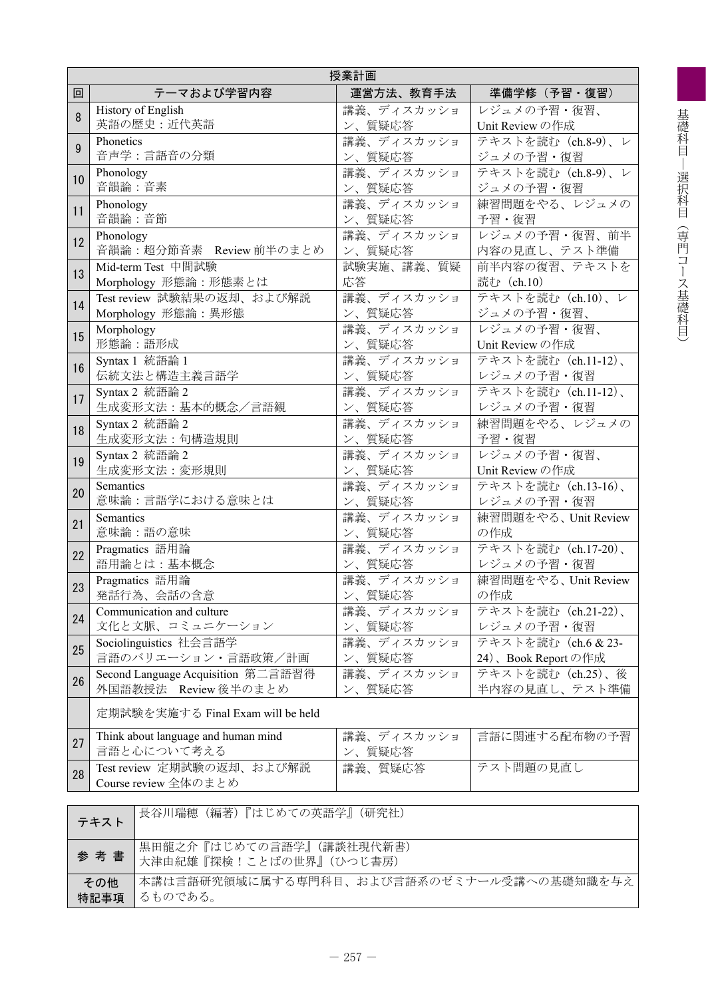|    | 授業計画                                               |                      |                     |  |  |  |  |  |
|----|----------------------------------------------------|----------------------|---------------------|--|--|--|--|--|
| 回  | テーマおよび学習内容                                         | 運営方法、教育手法            | 準備学修(予習・復習)         |  |  |  |  |  |
| 8  | History of English                                 | 講義、ディスカッショ           | レジュメの予習・復習、         |  |  |  |  |  |
|    | 英語の歴史:近代英語                                         | ン、質疑応答               | Unit Review の作成     |  |  |  |  |  |
| 9  | Phonetics                                          | 講義、ディスカッショ           | テキストを読む (ch.8-9)、レ  |  |  |  |  |  |
|    | 音声学:言語音の分類                                         | ン、質疑応答               | ジュメの予習・復習           |  |  |  |  |  |
| 10 | Phonology                                          | 講義、ディスカッショ           | テキストを読む (ch.8-9)、レ  |  |  |  |  |  |
|    | 音韻論:音素                                             | ン、質疑応答               | ジュメの予習・復習           |  |  |  |  |  |
| 11 | Phonology                                          | 講義、ディスカッショ           | 練習問題をやる、レジュメの       |  |  |  |  |  |
|    | 音韻論:音節                                             | ン、質疑応答               | 予習・復習               |  |  |  |  |  |
| 12 | Phonology                                          | <b>講義、ディスカッショ</b>    | レジュメの予習・復習、前半       |  |  |  |  |  |
|    | 音韻論:超分節音素 Review 前半のまとめ                            | ン、質疑応答               | 内容の見直し、テスト準備        |  |  |  |  |  |
| 13 | Mid-term Test 中間試験                                 | 試験実施、講義、質疑           | 前半内容の復習、テキストを       |  |  |  |  |  |
|    | Morphology 形態論:形態素とは                               | 応答                   | 読む (ch.10)          |  |  |  |  |  |
| 14 | Test review 試験結果の返却、および解説                          | 講義、ディスカッショ           | テキストを読む (ch.10)、レ   |  |  |  |  |  |
|    | Morphology 形態論:異形態                                 | ン、質疑応答               | ジュメの予習・復習、          |  |  |  |  |  |
| 15 | Morphology                                         | 講義、ディスカッショ           | レジュメの予習・復習、         |  |  |  |  |  |
|    | 形態論:語形成                                            | ン、質疑応答               | Unit Review の作成     |  |  |  |  |  |
| 16 | Syntax 1 統語論 1                                     | 講義、ディスカッショ           | テキストを読む (ch.11-12)、 |  |  |  |  |  |
|    | 伝統文法と構造主義言語学                                       | ン、質疑応答               | レジュメの予習・復習          |  |  |  |  |  |
| 17 | Syntax 2 統語論 2                                     | 講義、ディスカッショ           | テキストを読む (ch.11-12)、 |  |  |  |  |  |
|    | 生成変形文法:基本的概念/言語観                                   | ン、質疑応答               | レジュメの予習・復習          |  |  |  |  |  |
| 18 | Syntax 2 統語論 2                                     | 講義、ディスカッショ           | 練習問題をやる、レジュメの       |  |  |  |  |  |
|    | 生成変形文法:句構造規則                                       | ン、質疑応答               | 予習・復習               |  |  |  |  |  |
| 19 | Syntax 2 統語論 2                                     | 講義、ディスカッショ           | レジュメの予習・復習、         |  |  |  |  |  |
|    | 生成変形文法: 変形規則                                       | ン、質疑応答               | Unit Review の作成     |  |  |  |  |  |
| 20 | Semantics                                          | 講義、ディスカッショ           | テキストを読む (ch.13-16)、 |  |  |  |  |  |
|    | 意味論:言語学における意味とは                                    | ン、質疑応答               | レジュメの予習・復習          |  |  |  |  |  |
| 21 | Semantics                                          | 講義、ディスカッショ           | 練習問題をやる、Unit Review |  |  |  |  |  |
|    | 意味論:語の意味                                           | ン、質疑応答               | の作成                 |  |  |  |  |  |
| 22 | Pragmatics 語用論                                     | 講義、ディスカッショ           | テキストを読む (ch.17-20)、 |  |  |  |  |  |
|    | 語用論とは:基本概念                                         | ン、質疑応答               | レジュメの予習・復習          |  |  |  |  |  |
| 23 | Pragmatics 語用論                                     | 講義、ディスカッショ           | 練習問題をやる、Unit Review |  |  |  |  |  |
|    | 発話行為、会話の含意                                         | ン、質疑応答               | の作成                 |  |  |  |  |  |
| 24 | Communication and culture                          | 講義、ディスカッショ           | テキストを読む (ch.21-22)、 |  |  |  |  |  |
|    | 文化と文脈、コミュニケーション                                    | ン、質疑応答               | レジュメの予習・復習          |  |  |  |  |  |
| 25 | Sociolinguistics 社会言語学                             | 講義、ディスカッショ           | テキストを読む (ch.6 & 23- |  |  |  |  |  |
|    | 言語のバリエーション・言語政策/計画                                 | ン、質疑応答               | 24)、Book Report の作成 |  |  |  |  |  |
| 26 | Second Language Acquisition 第二言語習得                 | 講義、ディスカッショ           | テキストを読む (ch.25)、後   |  |  |  |  |  |
|    | 外国語教授法 Review 後半のまとめ                               | ン、質疑応答               | 半内容の見直し、テスト準備       |  |  |  |  |  |
|    | 定期試験を実施する Final Exam will be held                  |                      |                     |  |  |  |  |  |
| 27 | Think about language and human mind<br>言語と心について考える | 講義、ディスカッショ<br>ン、質疑応答 | 言語に関連する配布物の予習       |  |  |  |  |  |
| 28 | Test review 定期試験の返却、および解説<br>Course review 全体のまとめ  | 講義、質疑応答              | テスト問題の見直し           |  |  |  |  |  |
|    |                                                    |                      |                     |  |  |  |  |  |

| テキスト        | 「長谷川瑞穂(編著)『はじめての英語学』(研究社)                            |
|-------------|------------------------------------------------------|
| 参考書         | 黒田龍之介『はじめての言語学』(講談社現代新書)<br>大津由紀雄『探検!ことばの世界』(ひつじ書房)  |
| その他<br>特記事項 | 本講は言語研究領域に属する専門科目、および言語系のゼミナール受講への基礎知識を与え<br>るものである。 |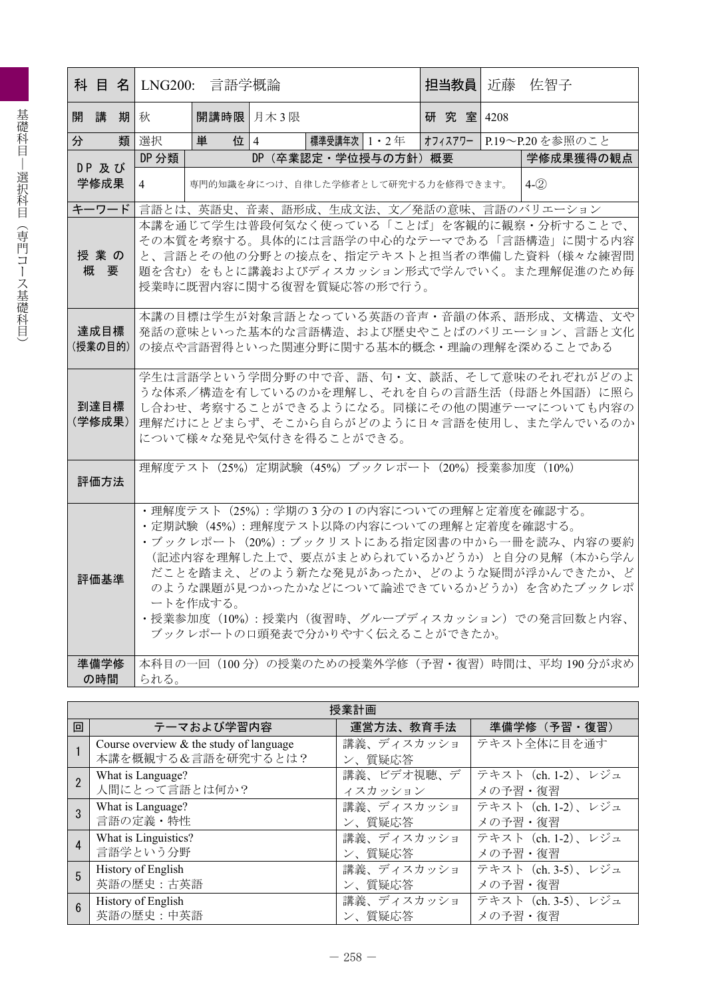|   |                 |     |                                                                                                                                                                                                                                                                                                                                                                           | 科 目 名  LNG200: 言語学概論 |  |                                                   | 担当教員                                    | 近藤 | 佐智子                                                                                    |  |
|---|-----------------|-----|---------------------------------------------------------------------------------------------------------------------------------------------------------------------------------------------------------------------------------------------------------------------------------------------------------------------------------------------------------------------------|----------------------|--|---------------------------------------------------|-----------------------------------------|----|----------------------------------------------------------------------------------------|--|
|   | 開講              | 期】秋 |                                                                                                                                                                                                                                                                                                                                                                           | 開講時限 月木 3 限          |  |                                                   | 研究室 4208                                |    |                                                                                        |  |
| 分 |                 | 類   | 選択                                                                                                                                                                                                                                                                                                                                                                        | 位   4<br>単           |  | 標準受講年次│1・2年 │オフィスアワー│P.19〜P.20 を参照のこと             |                                         |    |                                                                                        |  |
|   | DP 及び           |     | DP 分類                                                                                                                                                                                                                                                                                                                                                                     |                      |  | DP(卒業認定・学位授与の方針)概要                                |                                         |    | 学修成果獲得の観点                                                                              |  |
|   | 学修成果            |     | 4                                                                                                                                                                                                                                                                                                                                                                         |                      |  | 専門的知識を身につけ、自律した学修者として研究する力を修得できます。                |                                         |    | $4-(2)$                                                                                |  |
|   | キーワード           |     |                                                                                                                                                                                                                                                                                                                                                                           |                      |  |                                                   | 言語とは、英語史、音素、語形成、生成文法、文/発話の意味、言語のバリエーション |    |                                                                                        |  |
|   | 授業の<br>概要       |     | 本講を通じて学生は普段何気なく使っている「ことば」を客観的に観察・分析することで、<br>その本質を考察する。具体的には言語学の中心的なテーマである「言語構造」に関する内容<br>と、言語とその他の分野との接点を、指定テキストと担当者の準備した資料(様々な練習問<br>題を含む)をもとに講義およびディスカッション形式で学んでいく。また理解促進のため毎<br>授業時に既習内容に関する復習を質疑応答の形で行う。                                                                                                                                                             |                      |  |                                                   |                                         |    |                                                                                        |  |
|   | 達成目標<br>(授業の目的) |     |                                                                                                                                                                                                                                                                                                                                                                           |                      |  | の接点や言語習得といった関連分野に関する基本的概念・理論の理解を深めることである          |                                         |    | 本講の目標は学生が対象言語となっている英語の音声・音韻の体系、語形成、文構造、文や<br>発話の意味といった基本的な言語構造、および歴史やことばのバリエーション、言語と文化 |  |
|   | 到達目標<br>(学修成果)  |     | 学生は言語学という学問分野の中で音、語、句・文、談話、そして意味のそれぞれがどのよ<br>うな体系/構造を有しているのかを理解し、それを自らの言語生活(母語と外国語)に照ら<br>し合わせ、考察することができるようになる。同様にその他の関連テーマについても内容の<br>理解だけにとどまらず、そこから自らがどのように日々言語を使用し、また学んでいるのか<br>について様々な発見や気付きを得ることができる。                                                                                                                                                               |                      |  |                                                   |                                         |    |                                                                                        |  |
|   | 評価方法            |     |                                                                                                                                                                                                                                                                                                                                                                           |                      |  | 理解度テスト (25%) 定期試験 (45%) ブックレポート (20%) 授業参加度 (10%) |                                         |    |                                                                                        |  |
|   | 評価基準            |     | ・理解度テスト (25%) : 学期の3分の1の内容についての理解と定着度を確認する。<br>・定期試験(45%): 理解度テスト以降の内容についての理解と定着度を確認する。<br>・ブックレポート(20%): ブックリストにある指定図書の中から一冊を読み、内容の要約<br>(記述内容を理解した上で、要点がまとめられているかどうか)と自分の見解(本から学ん<br>だことを踏まえ、どのよう新たな発見があったか、どのような疑問が浮かんできたか、ど<br>のような課題が見つかったかなどについて論述できているかどうか)を含めたブックレポ<br>ートを作成する。<br>・授業参加度(10%): 授業内(復習時、グループディスカッション)での発言回数と内容、<br>ブックレポートの口頭発表で分かりやすく伝えることができたか。 |                      |  |                                                   |                                         |    |                                                                                        |  |
|   | 準備学修<br>の時間     |     | られる。                                                                                                                                                                                                                                                                                                                                                                      |                      |  |                                                   |                                         |    | 本科目の一回(100分)の授業のための授業外学修(予習・復習)時間は、平均 190分が求め                                          |  |
|   |                 |     |                                                                                                                                                                                                                                                                                                                                                                           |                      |  |                                                   |                                         |    |                                                                                        |  |

|   | 授業計画                                                            |                      |                    |  |  |  |  |  |  |
|---|-----------------------------------------------------------------|----------------------|--------------------|--|--|--|--|--|--|
| 回 | テーマおよび学習内容                                                      | 運営方法、教育手法            | 準備学修(予習・復習)        |  |  |  |  |  |  |
|   | Course overview $&$ the study of language<br>本講を概観する&言語を研究するとは? | 講義、ディスカッショ<br>ン、質疑応答 | テキスト全体に目を通す        |  |  |  |  |  |  |
|   | What is Language?                                               | 講義、ビデオ視聴、デ           | テキスト (ch. 1-2)、レジュ |  |  |  |  |  |  |
|   | 人間にとって言語とは何か?                                                   | イスカッション              | メの予習・復習            |  |  |  |  |  |  |
|   | What is Language?                                               | 講義、ディスカッショ           | テキスト (ch. 1-2)、レジュ |  |  |  |  |  |  |
|   | 言語の定義・特性                                                        | ン、質疑応答               | メの予習・復習            |  |  |  |  |  |  |
|   | What is Linguistics?                                            | 講義、ディスカッショ           | テキスト (ch. 1-2)、レジュ |  |  |  |  |  |  |
|   | 言語学という分野                                                        | ン、質疑応答               | メの予習・復習            |  |  |  |  |  |  |
| 5 | History of English                                              | 講義、ディスカッショ           | テキスト (ch. 3-5)、レジュ |  |  |  |  |  |  |
|   | 英語の歴史:古英語                                                       | ン、質疑応答               | メの予習・復習            |  |  |  |  |  |  |
|   | History of English                                              | 講義、ディスカッショ           | テキスト (ch. 3-5)、レジュ |  |  |  |  |  |  |
|   | 英語の歴史:中英語                                                       | ン、質疑応答               | メの予習・復習            |  |  |  |  |  |  |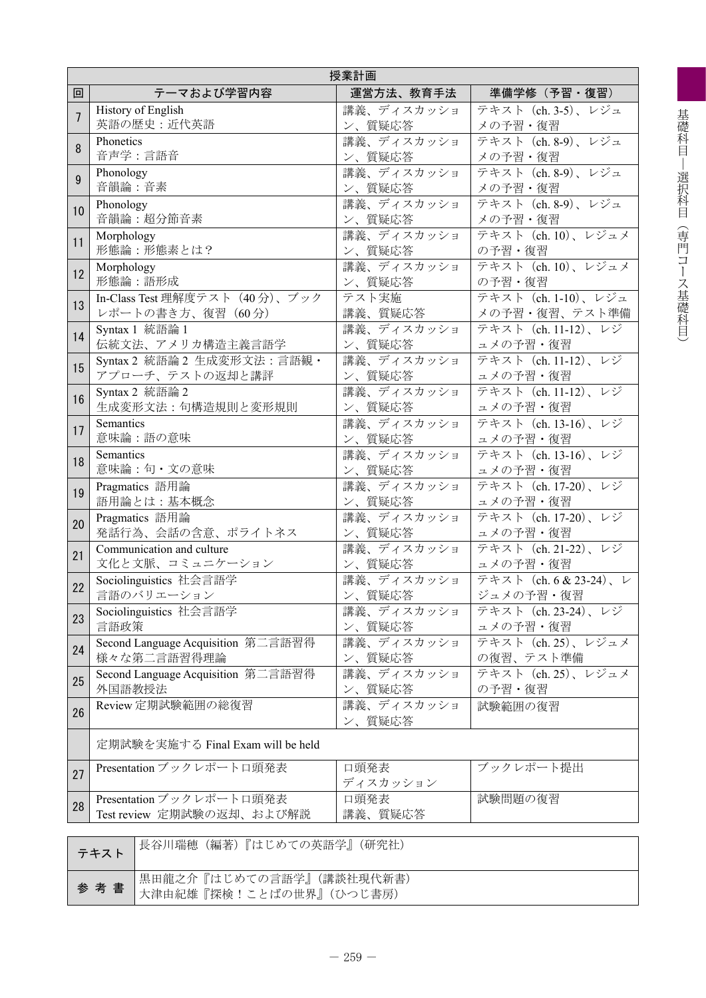| 授業計画           |                                                            |                      |                        |  |  |  |  |  |
|----------------|------------------------------------------------------------|----------------------|------------------------|--|--|--|--|--|
| 回              | テーマおよび学習内容                                                 | 運営方法、教育手法            | 準備学修(予習・復習)            |  |  |  |  |  |
| $\overline{7}$ | History of English                                         | 講義、ディスカッショ           | テキスト (ch. 3-5)、レジュ     |  |  |  |  |  |
|                | 英語の歴史:近代英語                                                 | ン、質疑応答               | メの予習・復習                |  |  |  |  |  |
| 8              | Phonetics                                                  | 講義、ディスカッショ           | テキスト (ch. 8-9)、レジュ     |  |  |  |  |  |
|                | 音声学:言語音                                                    | ン、質疑応答               | メの予習・復習                |  |  |  |  |  |
| 9              | Phonology                                                  | 講義、ディスカッショ           | テキスト (ch. 8-9)、レジュ     |  |  |  |  |  |
|                | 音韻論:音素                                                     | ン、質疑応答               | メの予習・復習                |  |  |  |  |  |
| 10             | Phonology                                                  | 講義、ディスカッショ           | テキスト (ch. 8-9)、レジュ     |  |  |  |  |  |
| 11             | 音韻論:超分節音素                                                  | ン、質疑応答               | メの予習・復習                |  |  |  |  |  |
|                | Morphology                                                 | 講義、ディスカッショ           | テキスト (ch. 10)、レジュメ     |  |  |  |  |  |
| 12             | 形態論:形態素とは?                                                 | ン、質疑応答               | の予習・復習                 |  |  |  |  |  |
|                | Morphology                                                 | 講義、ディスカッショ           | テキスト (ch. 10)、レジュメ     |  |  |  |  |  |
|                | 形態論:語形成                                                    | ン、質疑応答               | の予習・復習                 |  |  |  |  |  |
|                | In-Class Test 理解度テスト (40分)、ブック                             | テスト実施                | テキスト (ch. 1-10)、レジュ    |  |  |  |  |  |
| 13             | レポートの書き方、復習 (60分)                                          | 講義、質疑応答              | メの予習・復習、テスト準備          |  |  |  |  |  |
| 14             | Syntax 1 統語論 1                                             | 講義、ディスカッショ           | テキスト (ch. 11-12)、レジ    |  |  |  |  |  |
|                | 伝統文法、アメリカ構造主義言語学                                           | ン、質疑応答               | ュメの予習・復習               |  |  |  |  |  |
| 15             | Syntax 2 統語論 2 生成変形文法:言語観·                                 | 講義、ディスカッショ           | テキスト (ch. 11-12)、レジ    |  |  |  |  |  |
|                | アプローチ、テストの返却と講評                                            | ン、質疑応答               | ュメの予習・復習               |  |  |  |  |  |
| 16             | Syntax 2 統語論 2                                             | 講義、ディスカッショ           | テキスト (ch. 11-12)、レジ    |  |  |  |  |  |
|                | 生成変形文法:句構造規則と変形規則                                          | ン、質疑応答               | ュメの予習・復習               |  |  |  |  |  |
| 17             | Semantics                                                  | 講義、ディスカッショ           | テキスト (ch. 13-16)、レジ    |  |  |  |  |  |
|                | 意味論:語の意味                                                   | ン、質疑応答               | ュメの予習・復習               |  |  |  |  |  |
| 18             | Semantics                                                  | 講義、ディスカッショ           | テキスト (ch. 13-16)、レジ    |  |  |  |  |  |
|                | 意味論:句・文の意味                                                 | ン、質疑応答               | ュメの予習・復習               |  |  |  |  |  |
| 19             | Pragmatics 語用論                                             | 講義、ディスカッショ           | テキスト (ch. 17-20)、レジ    |  |  |  |  |  |
|                | 語用論とは:基本概念                                                 | ン、質疑応答               | ュメの予習・復習               |  |  |  |  |  |
| 20             | Pragmatics 語用論                                             | 講義、ディスカッショ           | テキスト (ch. 17-20)、レジ    |  |  |  |  |  |
|                | 発話行為、会話の含意、ポライトネス                                          | ン、質疑応答               | ュメの予習・復習               |  |  |  |  |  |
| 21             | Communication and culture                                  | 講義、ディスカッショ           | テキスト (ch. 21-22)、レジ    |  |  |  |  |  |
|                | 文化と文脈、コミュニケーション                                            | ン、質疑応答               | ュメの予習・復習               |  |  |  |  |  |
| 22             | Sociolinguistics 社会言語学                                     | 講義、ディスカッショ           | テキスト (ch. 6 & 23-24)、レ |  |  |  |  |  |
|                | 言語のバリエーション                                                 | ン、質疑応答               | ジュメの予習・復習              |  |  |  |  |  |
| 23             | Sociolinguistics 社会言語学                                     | 講義、ディスカッショ           | テキスト (ch. 23-24)、レジ    |  |  |  |  |  |
|                | 言語政策                                                       | ン、質疑応答               | ュメの予習・復習               |  |  |  |  |  |
|                | Second Language Acquisition 第二言語習得                         | 講義、ディスカッショ           | テキスト (ch. 25)、レジュメ     |  |  |  |  |  |
| 24             | 様々な第二言語習得理論                                                | ン、質疑応答               | の復習、テスト準備              |  |  |  |  |  |
|                | Second Language Acquisition 第二言語習得                         | 講義、ディスカッショ           | テキスト (ch. 25)、レジュメ     |  |  |  |  |  |
| 25             | 外国語教授法                                                     | ン、質疑応答               | の予習・復習                 |  |  |  |  |  |
| 26             | Review 定期試験範囲の総復習                                          | 講義、ディスカッショ<br>ン、質疑応答 | 試験範囲の復習                |  |  |  |  |  |
|                | 定期試験を実施する Final Exam will be held                          |                      |                        |  |  |  |  |  |
| 27             | Presentation ブックレポートロ頭発表                                   | 口頭発表<br>ディスカッション     | ブックレポート提出              |  |  |  |  |  |
| 28             | Presentation ブックレポートロ頭発表<br>Test review 定期試験の返却、および解説      | 口頭発表<br>講義、質疑応答      | 試験問題の復習                |  |  |  |  |  |
|                |                                                            |                      |                        |  |  |  |  |  |
|                | 長谷川瑞穂 (編著)『はじめての英語学』(研究社)<br>テキスト                          |                      |                        |  |  |  |  |  |
|                | 黒田龍之介『はじめての言語学』(講談社現代新書)<br>参考書<br>大津由紀雄『探検!ことばの世界』(ひつじ書房) |                      |                        |  |  |  |  |  |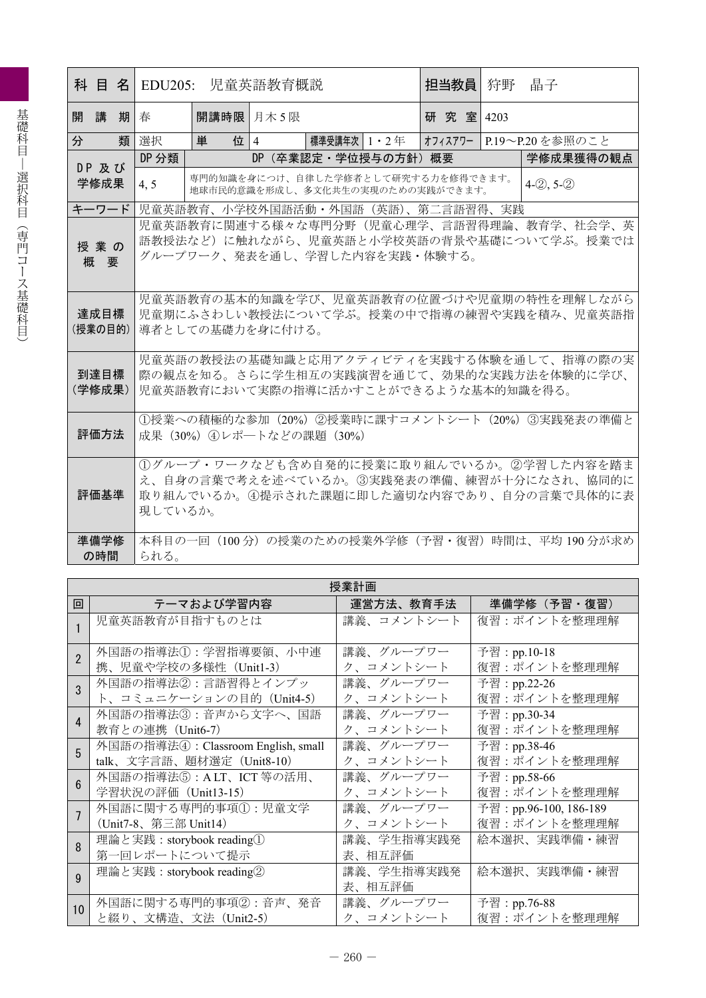|         |      |  |                                                                                    | 科 目 名 EDU205: 児童英語教育概説                    |  |            | 担当教員丨                | 狩野 | 晶子                                                                     |  |                                                  |
|---------|------|--|------------------------------------------------------------------------------------|-------------------------------------------|--|------------|----------------------|----|------------------------------------------------------------------------|--|--------------------------------------------------|
| 開講期」春   |      |  |                                                                                    |                                           |  | 開講時限 月木 5限 |                      |    | 研究室 4203                                                               |  |                                                  |
| 分       |      |  | 類 選択                                                                               | 単                                         |  | 位 4        | 標準受講年次 1・2 年         |    |                                                                        |  | オフィスアワー P.19~P.20を参照のこと                          |
| DP 及び   |      |  | DP 分類                                                                              |                                           |  |            | DP (卒業認定・学位授与の方針) 概要 |    |                                                                        |  | 学修成果獲得の観点                                        |
|         | 学修成果 |  | 4, 5                                                                               |                                           |  |            |                      |    | 専門的知識を身につけ、自律した学修者として研究する力を修得できます。<br>地球市民的意識を形成し、多文化共生の実現のための実践ができます。 |  | $4-2, 5-2$                                       |
| キーワード   |      |  |                                                                                    |                                           |  |            |                      |    | 児童英語教育、小学校外国語活動・外国語(英語)、第二言語習得、実践                                      |  |                                                  |
|         |      |  |                                                                                    |                                           |  |            |                      |    |                                                                        |  | 児童英語教育に関連する様々な専門分野(児童心理学、言語習得理論、教育学、社会学、英        |
|         | 授業の  |  |                                                                                    | 語教授法など)に触れながら、児童英語と小学校英語の背景や基礎について学ぶ。授業では |  |            |                      |    |                                                                        |  |                                                  |
|         | 概要   |  |                                                                                    | グループワーク、発表を通し、学習した内容を実践・体験する。             |  |            |                      |    |                                                                        |  |                                                  |
|         |      |  |                                                                                    |                                           |  |            |                      |    |                                                                        |  |                                                  |
|         |      |  |                                                                                    |                                           |  |            |                      |    |                                                                        |  | 児童英語教育の基本的知識を学び、児童英語教育の位置づけや児童期の特性を理解しながら        |
|         | 達成目標 |  |                                                                                    |                                           |  |            |                      |    |                                                                        |  | 児童期にふさわしい教授法について学ぶ。授業の中で指導の練習や実践を積み、児童英語指        |
| (授業の目的) |      |  | 導者としての基礎力を身に付ける。                                                                   |                                           |  |            |                      |    |                                                                        |  |                                                  |
|         |      |  |                                                                                    |                                           |  |            |                      |    |                                                                        |  | 児童英語の教授法の基礎知識と応用アクティビティを実践する体験を通して、指導の際の実        |
|         | 到達目標 |  |                                                                                    |                                           |  |            |                      |    |                                                                        |  |                                                  |
| (学修成果)  |      |  | 際の観点を知る。さらに学生相互の実践演習を通じて、効果的な実践方法を体験的に学び、<br>児童英語教育において実際の指導に活かすことができるような基本的知識を得る。 |                                           |  |            |                      |    |                                                                        |  |                                                  |
|         |      |  |                                                                                    |                                           |  |            |                      |    |                                                                        |  |                                                  |
|         |      |  |                                                                                    |                                           |  |            |                      |    |                                                                        |  | ①授業への積極的な参加 (20%) ②授業時に課すコメントシート (20%) ③実践発表の準備と |
|         | 評価方法 |  | 成果 (30%) 4レポートなどの課題 (30%)                                                          |                                           |  |            |                      |    |                                                                        |  |                                                  |
|         |      |  |                                                                                    |                                           |  |            |                      |    |                                                                        |  | 1グループ・ワークなども含め自発的に授業に取り組んでいるか。2学習した内容を踏ま         |
|         |      |  |                                                                                    |                                           |  |            |                      |    |                                                                        |  | え、自身の言葉で考えを述べているか。③実践発表の準備、練習が十分になされ、協同的に        |
|         | 評価基準 |  |                                                                                    |                                           |  |            |                      |    |                                                                        |  | 取り組んでいるか。④提示された課題に即した適切な内容であり、自分の言葉で具体的に表        |
|         |      |  | 現しているか。                                                                            |                                           |  |            |                      |    |                                                                        |  |                                                  |
|         |      |  |                                                                                    |                                           |  |            |                      |    |                                                                        |  |                                                  |
|         | 準備学修 |  |                                                                                    |                                           |  |            |                      |    |                                                                        |  | 本科目の一回(100分)の授業のための授業外学修(予習・復習)時間は、平均 190 分が求め   |
|         | の時間  |  | られる。                                                                               |                                           |  |            |                      |    |                                                                        |  |                                                  |

|                  | 授業計画                               |            |                        |  |  |  |  |  |  |
|------------------|------------------------------------|------------|------------------------|--|--|--|--|--|--|
| 回                | テーマおよび学習内容                         | 運営方法、教育手法  | 準備学修(予習・復習)            |  |  |  |  |  |  |
|                  | 児童英語教育が目指すものとは                     | 講義、コメントシート | 復習:ポイントを整理理解           |  |  |  |  |  |  |
|                  |                                    |            |                        |  |  |  |  |  |  |
| $\overline{2}$   | 外国語の指導法①:学習指導要領、小中連                | 講義、グループワー  | 予習:pp.10-18            |  |  |  |  |  |  |
|                  | 携、児童や学校の多様性(Unit1-3)               | ク、コメントシート  | 復習:ポイントを整理理解           |  |  |  |  |  |  |
|                  | 外国語の指導法②:言語習得とインプッ                 | 講義、グループワー  | 予習: pp.22-26           |  |  |  |  |  |  |
|                  | ト、コミュニケーションの目的 (Unit4-5)           | ク、コメントシート  | 復習:ポイントを整理理解           |  |  |  |  |  |  |
| Δ                | 外国語の指導法③:音声から文字へ、国語                | 講義、グループワー  | 予習:pp.30-34            |  |  |  |  |  |  |
|                  | 教育との連携(Unit6-7)                    | ク、コメントシート  | 復習:ポイントを整理理解           |  |  |  |  |  |  |
| 5                | 外国語の指導法4: Classroom English, small | 講義、グループワー  | 予習:pp.38-46            |  |  |  |  |  |  |
|                  | talk、文字言語、題材選定 (Unit8-10)          | ク、コメントシート  | 復習:ポイントを整理理解           |  |  |  |  |  |  |
|                  | 外国語の指導法⑤: ALT、ICT 等の活用、            | 講義、グループワー  | 予習:pp.58-66            |  |  |  |  |  |  |
|                  | 学習状況の評価(Unit13-15)                 | ク、コメントシート  | 復習:ポイントを整理理解           |  |  |  |  |  |  |
|                  | 外国語に関する専門的事項①:児童文学                 | 講義、グループワー  | 予習: pp.96-100, 186-189 |  |  |  |  |  |  |
|                  | (Unit7-8、第三部 Unit14)               | ク、コメントシート  | 復習:ポイントを整理理解           |  |  |  |  |  |  |
| 8                | 理論と実践: storybook reading①          | 講義、学生指導実践発 | 絵本選択、実践準備・練習           |  |  |  |  |  |  |
|                  | 第一回レポートについて提示                      | 表、相互評価     |                        |  |  |  |  |  |  |
| q                | 理論と実践: storybook reading2          | 講義、学生指導実践発 | 絵本選択、実践準備・練習           |  |  |  |  |  |  |
|                  |                                    | 表、相互評価     |                        |  |  |  |  |  |  |
| 10 <sup>10</sup> | 外国語に関する専門的事項②:音声、発音                | 講義、グループワー  | 予習:pp.76-88            |  |  |  |  |  |  |
|                  | と綴り、文構造、文法(Unit2-5)                | ク、コメントシート  | 復習:ポイントを整理理解           |  |  |  |  |  |  |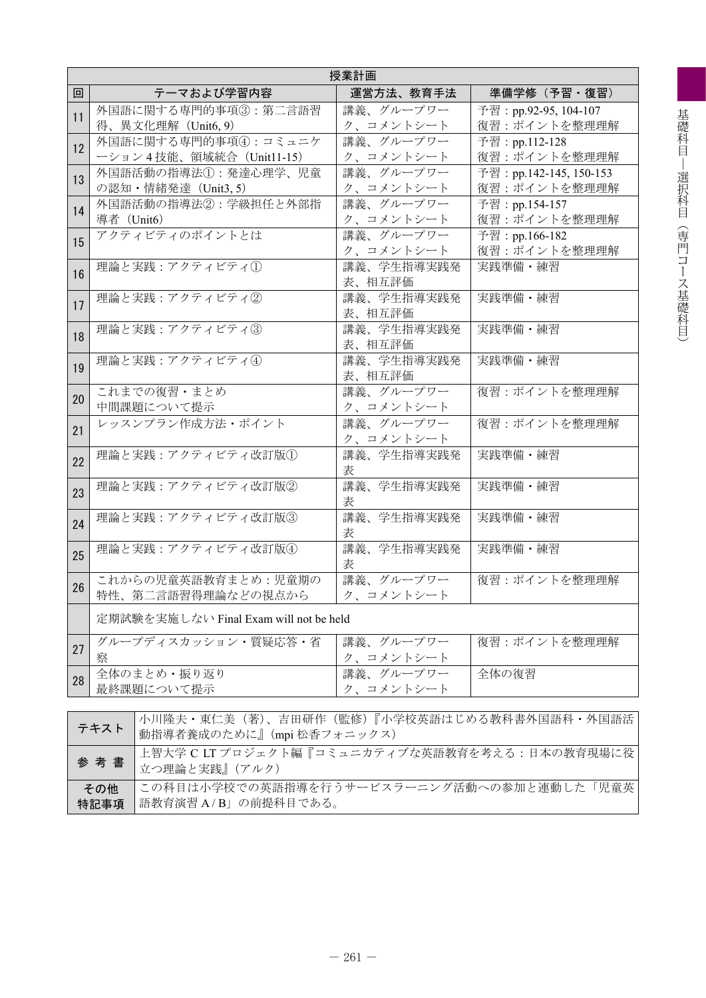|    | 授業計画                                                                 |                               |                         |  |  |  |  |  |
|----|----------------------------------------------------------------------|-------------------------------|-------------------------|--|--|--|--|--|
| 回  | テーマおよび学習内容                                                           | 運営方法、教育手法                     | 準備学修(予習・復習)             |  |  |  |  |  |
| 11 | 外国語に関する専門的事項3:第二言語習                                                  | 講義、グループワー                     | 予習: pp.92-95, 104-107   |  |  |  |  |  |
|    | 得、異文化理解 (Unit6, 9)                                                   | ク、コメントシート                     | 復習:ポイントを整理理解            |  |  |  |  |  |
| 12 | 外国語に関する専門的事項42:コミュニケ                                                 | 講義、グループワー                     | 予習: pp.112-128          |  |  |  |  |  |
|    | ーション4技能、領域統合 (Unit11-15)                                             | ク、コメントシート                     | 復習:ポイントを整理理解            |  |  |  |  |  |
| 13 | 外国語活動の指導法1:発達心理学、児童                                                  | 講義、グループワー                     | 予習: pp.142-145, 150-153 |  |  |  |  |  |
|    | の認知・情緒発達 (Unit3, 5)                                                  | ク、コメントシート                     | 復習:ポイントを整理理解            |  |  |  |  |  |
| 14 | 外国語活動の指導法2:学級担任と外部指                                                  | 講義、グループワー                     | 予習: pp.154-157          |  |  |  |  |  |
|    | 導者 (Unit6)                                                           | ク、コメントシート                     | 復習:ポイントを整理理解            |  |  |  |  |  |
| 15 | アクティビティのポイントとは                                                       | 講義、グループワー                     | 予習: pp.166-182          |  |  |  |  |  |
|    |                                                                      | ク、コメントシート                     | 復習:ポイントを整理理解            |  |  |  |  |  |
| 16 | 理論と実践:アクティビティ①                                                       | 講義、学生指導実践発<br>表、相互評価          | 実践準備・練習                 |  |  |  |  |  |
|    | 理論と実践:アクティビティ②                                                       | 講義、学生指導実践発                    | 実践準備・練習                 |  |  |  |  |  |
| 17 |                                                                      | 表、相互評価                        |                         |  |  |  |  |  |
|    | 理論と実践:アクティビティ3                                                       | 講義、学生指導実践発                    | 実践準備・練習                 |  |  |  |  |  |
| 18 |                                                                      | 表、相互評価                        |                         |  |  |  |  |  |
|    | 理論と実践:アクティビティ4                                                       | 講義、学生指導実践発                    | 実践準備・練習                 |  |  |  |  |  |
| 19 |                                                                      | 表、相互評価                        |                         |  |  |  |  |  |
| 20 | これまでの復習・まとめ                                                          | 講義、グループワー                     | 復習:ポイントを整理理解            |  |  |  |  |  |
|    | 中間課題について提示                                                           | ク、コメントシート                     |                         |  |  |  |  |  |
| 21 | レッスンプラン作成方法・ポイント                                                     | 講義、グループワー                     | 復習:ポイントを整理理解            |  |  |  |  |  |
|    |                                                                      | ク、コメントシート                     |                         |  |  |  |  |  |
| 22 | 理論と実践:アクティビティ改訂版1                                                    | 講義、学生指導実践発                    | 実践準備・練習                 |  |  |  |  |  |
|    | 理論と実践:アクティビティ改訂版2                                                    | 表<br>講義、学生指導実践発               | 実践準備・練習                 |  |  |  |  |  |
| 23 |                                                                      | 表                             |                         |  |  |  |  |  |
|    | 理論と実践:アクティビティ改訂版3                                                    | 講義、学生指導実践発                    | 実践準備・練習                 |  |  |  |  |  |
| 24 |                                                                      | 表                             |                         |  |  |  |  |  |
|    | 理論と実践:アクティビティ改訂版4                                                    | 講義、学生指導実践発                    | 実践準備・練習                 |  |  |  |  |  |
| 25 |                                                                      | 表                             |                         |  |  |  |  |  |
| 26 | これからの児童英語教育まとめ:児童期の                                                  | 講義、グループワー                     | 復習:ポイントを整理理解            |  |  |  |  |  |
|    | 特性、第二言語習得理論などの視点から                                                   | ク、コメントシート                     |                         |  |  |  |  |  |
|    | 定期試験を実施しない Final Exam will not be held                               |                               |                         |  |  |  |  |  |
|    | グループディスカッション・質疑応答・省                                                  | 講義、グループワー                     | 復習:ポイントを整理理解            |  |  |  |  |  |
| 27 | 察                                                                    |                               |                         |  |  |  |  |  |
| 28 | 全体のまとめ・振り返り                                                          | <u>ク、コメントシート</u><br>講義、グループワー | 全体の復習                   |  |  |  |  |  |
|    | 最終課題について提示                                                           | ク、コメントシート                     |                         |  |  |  |  |  |
|    |                                                                      |                               |                         |  |  |  |  |  |
|    | 小川隆夫・東仁美 (著)、吉田研作 (監修)『小学校英語はじめる教科書外国語科・外国語活<br>テキスト                 |                               |                         |  |  |  |  |  |
|    | 動指導者養成のために』(mpi 松香フォニックス)                                            |                               |                         |  |  |  |  |  |
|    | 上智大学 C LTプロジェクト編『コミュニカティブな英語教育を考える:日本の教育現場に役<br>参考書<br>☆△理科も中止』(マルカ) |                               |                         |  |  |  |  |  |

| ■ <sup>■</sup> ■  立つ理論と実践』 (アルク)              |  |
|-----------------------------------------------|--|
| その他 この科目は小学校での英語指導を行うサービスラーニング活動への参加と連動した「児童英 |  |
| √特記事項   語教育演習 A/B」の前提科目である。                   |  |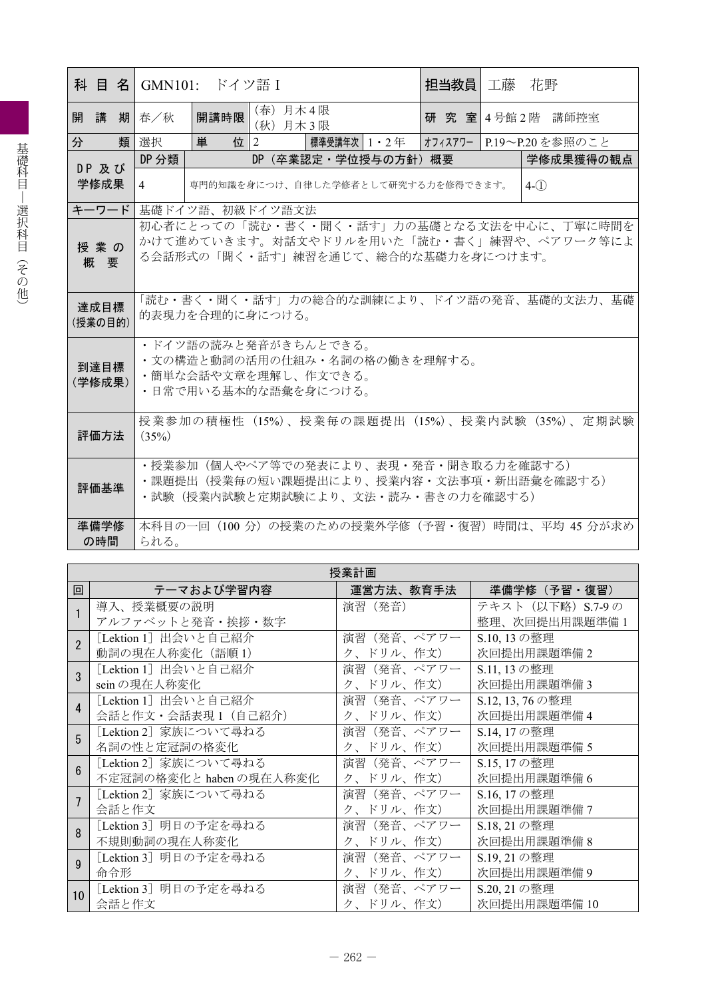| 科 目 名  GMN101: ドイツ語 I |                                                       |                                    |                                               | 担当教員 |  | 工藤 花野                   |  |  |
|-----------------------|-------------------------------------------------------|------------------------------------|-----------------------------------------------|------|--|-------------------------|--|--|
| 開講<br>期               | 春/秋                                                   | 開講時限                               | (春) 月木4限<br>(秋) 月木3限                          |      |  | 研究室 4号館 2階 講師控室         |  |  |
| 類<br>分                | 選択                                                    | 単<br>位 $ 2 $                       | 標準受講年次 1・2 年                                  |      |  | オフィスアワー P.19~P.20を参照のこと |  |  |
| DP 及び                 | DP 分類                                                 |                                    | DP (卒業認定·学位授与の方針) 概要                          |      |  | 学修成果獲得の観点               |  |  |
| 学修成果                  | $\overline{4}$                                        | 専門的知識を身につけ、自律した学修者として研究する力を修得できます。 | $4-(1)$                                       |      |  |                         |  |  |
| キーワード                 |                                                       |                                    | 基礎ドイツ語、初級ドイツ語文法                               |      |  |                         |  |  |
|                       |                                                       |                                    | 初心者にとっての「読む・書く・聞く・話す」力の基礎となる文法を中心に、丁寧に時間を     |      |  |                         |  |  |
| 授業の                   |                                                       |                                    | かけて進めていきます。対話文やドリルを用いた「読む・書く」練習や、ペアワーク等によ     |      |  |                         |  |  |
| 概要                    | る会話形式の「聞く・話す」練習を通じて、総合的な基礎力を身につけます。                   |                                    |                                               |      |  |                         |  |  |
|                       |                                                       |                                    |                                               |      |  |                         |  |  |
| 達成目標                  | 「読む・書く・聞く・話す」力の総合的な訓練により、ドイツ語の発音、基礎的文法力、基礎            |                                    |                                               |      |  |                         |  |  |
| (授業の目的)               | 的表現力を合理的に身につける。                                       |                                    |                                               |      |  |                         |  |  |
|                       |                                                       |                                    |                                               |      |  |                         |  |  |
|                       | ・ドイツ語の読みと発音がきちんとできる。<br>・文の構造と動詞の活用の仕組み・名詞の格の働きを理解する。 |                                    |                                               |      |  |                         |  |  |
| 到達目標                  | ・簡単な会話や文章を理解し、作文できる。                                  |                                    |                                               |      |  |                         |  |  |
| (学修成果)                | ・日常で用いる基本的な語彙を身につける。                                  |                                    |                                               |      |  |                         |  |  |
|                       |                                                       |                                    |                                               |      |  |                         |  |  |
| 評価方法                  |                                                       |                                    | 授業参加の積極性(15%)、授業毎の課題提出(15%)、授業内試験(35%)、定期試験   |      |  |                         |  |  |
|                       | (35%)                                                 |                                    |                                               |      |  |                         |  |  |
|                       |                                                       |                                    | • 授業参加 (個人やペア等での発表により、表現・発音・聞き取る力を確認する)       |      |  |                         |  |  |
| 評価基準                  |                                                       |                                    | ・課題提出(授業毎の短い課題提出により、授業内容・文法事項・新出語彙を確認する)      |      |  |                         |  |  |
|                       |                                                       |                                    | ・試験(授業内試験と定期試験により、文法・読み・書きの力を確認する)            |      |  |                         |  |  |
| 準備学修                  |                                                       |                                    | 本科目の一回(100分)の授業のための授業外学修(予習・復習)時間は、平均 45 分が求め |      |  |                         |  |  |
| の時間                   | られる。                                                  |                                    |                                               |      |  |                         |  |  |

|                        | 授業計画                    |            |                   |  |  |  |  |  |  |
|------------------------|-------------------------|------------|-------------------|--|--|--|--|--|--|
| 回                      | テーマおよび学習内容              | 運営方法、教育手法  | 準備学修(予習・復習)       |  |  |  |  |  |  |
|                        | 導入、授業概要の説明              | 演習 (発音)    | テキスト (以下略) S.7-9の |  |  |  |  |  |  |
|                        | アルファベットと発音・挨拶・数字        |            | 整理、次回提出用課題準備1     |  |  |  |  |  |  |
| $\mathfrak{p}$         | [Lektion 1] 出会いと自己紹介    | 演習(発音、ペアワー | S.10, 13の整理       |  |  |  |  |  |  |
|                        | 動詞の現在人称変化 (語順1)         | ク、ドリル、作文)  | 次回提出用課題準備2        |  |  |  |  |  |  |
| $\overline{3}$         | [Lektion 1] 出会いと自己紹介    | 演習(発音、ペアワー | S.11, 13の整理       |  |  |  |  |  |  |
|                        | sein の現在人称変化            | ク、ドリル、作文)  | 次回提出用課題準備3        |  |  |  |  |  |  |
| $\boldsymbol{\Lambda}$ | [Lektion 1] 出会いと自己紹介    | 演習(発音、ペアワー | S.12, 13, 76の整理   |  |  |  |  |  |  |
|                        | 会話と作文・会話表現1 (自己紹介)      | ク、ドリル、作文)  | 次回提出用課題準備 4       |  |  |  |  |  |  |
| 5                      | [Lektion 2] 家族について尋ねる   | 演習(発音、ペアワー | S.14, 17の整理       |  |  |  |  |  |  |
|                        | 名詞の性と定冠詞の格変化            | ク、ドリル、作文)  | 次回提出用課題準備 5       |  |  |  |  |  |  |
| 6                      | [Lektion 2] 家族について尋ねる   | 演習(発音、ペアワー | S.15, 17の整理       |  |  |  |  |  |  |
|                        | 不定冠詞の格変化と haben の現在人称変化 | ク、ドリル、作文)  | 次回提出用課題準備6        |  |  |  |  |  |  |
|                        | [Lektion 2] 家族について尋ねる   | 演習(発音、ペアワー | S.16, 17の整理       |  |  |  |  |  |  |
|                        | 会話と作文                   | ク、ドリル、作文)  | 次回提出用課題準備7        |  |  |  |  |  |  |
| $\mathsf{R}$           | 「Lektion 3] 明日の予定を尋ねる   | 演習(発音、ペアワー | S.18, 21の整理       |  |  |  |  |  |  |
|                        | 不規則動詞の現在人称変化            | ク、ドリル、作文)  | 次回提出用課題準備 8       |  |  |  |  |  |  |
| $\mathbf{Q}$           | [Lektion 3] 明日の予定を尋ねる   | 演習(発音、ペアワー | S.19, 21 の整理      |  |  |  |  |  |  |
|                        | 命令形                     | ク、ドリル、作文)  | 次回提出用課題準備9        |  |  |  |  |  |  |
| 10                     | [Lektion 3] 明日の予定を尋ねる   | 演習(発音、ペアワー | S.20, 21の整理       |  |  |  |  |  |  |
|                        | 会話と作文                   | ク、ドリル、作文)  | 次回提出用課題準備 10      |  |  |  |  |  |  |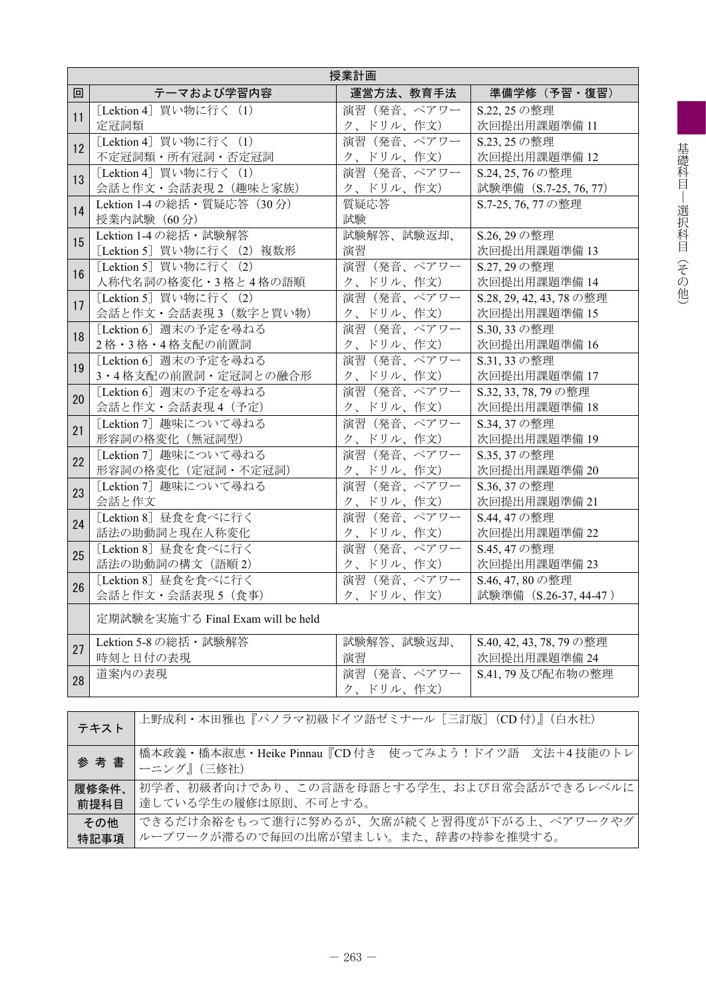|    | 授業計画                                                                    |            |                         |  |  |  |  |  |  |
|----|-------------------------------------------------------------------------|------------|-------------------------|--|--|--|--|--|--|
| 回  | テーマおよび学習内容                                                              | 運営方法、教育手法  | 準備学修(予習・復習)             |  |  |  |  |  |  |
| 11 | [Lektion 4] 買い物に行く (1)                                                  | 演習(発音、ペアワー | S.22.25の整理              |  |  |  |  |  |  |
|    | 定冠詞類                                                                    | ク、ドリル、作文)  | 次回提出用課題準備 11            |  |  |  |  |  |  |
| 12 | [Lektion 4] 買い物に行く (1)                                                  | 演習(発音、ペアワー | S.23, 25 の整理            |  |  |  |  |  |  |
|    | 不定冠詞類·所有冠詞·否定冠詞                                                         | ク、ドリル、作文)  | 次回提出用課題準備 12            |  |  |  |  |  |  |
| 13 | [Lektion 4] 買い物に行く (1)                                                  | 演習(発音、ペアワー | S.24, 25, 76の整理         |  |  |  |  |  |  |
|    | 会話と作文・会話表現2 (趣味と家族)                                                     | ク、ドリル、作文)  | 試験準備 (S.7-25, 76, 77)   |  |  |  |  |  |  |
| 14 | Lektion 1-4 の総括 · 質疑応答 (30分)                                            | 質疑応答       | S.7-25, 76, 77の整理       |  |  |  |  |  |  |
|    | 授業内試験 (60分)                                                             | 試験         |                         |  |  |  |  |  |  |
| 15 | Lektion 1-4 の総括・試験解答                                                    | 試験解答、試験返却、 | S.26, 29の整理             |  |  |  |  |  |  |
|    | [Lektion 5] 買い物に行く (2) 複数形                                              | 演習         | 次回提出用課題準備 13            |  |  |  |  |  |  |
| 16 | [Lektion 5] 買い物に行く (2)                                                  | 演習(発音、ペアワー | S.27, 29の整理             |  |  |  |  |  |  |
|    | 人称代名詞の格変化・3格と4格の語順                                                      | ク、ドリル、作文)  | 次回提出用課題準備 14            |  |  |  |  |  |  |
| 17 | [Lektion 5] 買い物に行く (2)                                                  | 演習(発音、ペアワー | S.28, 29, 42, 43, 78の整理 |  |  |  |  |  |  |
|    | 会話と作文·会話表現3 (数字と買い物)                                                    | ク、ドリル、作文)  | 次回提出用課題準備 15            |  |  |  |  |  |  |
| 18 | [Lektion 6] 週末の予定を尋ねる                                                   | 演習(発音、ペアワー | S.30, 33 の整理            |  |  |  |  |  |  |
|    | 2格・3格・4格支配の前置詞                                                          | ク、ドリル、作文)  | 次回提出用課題準備 16            |  |  |  |  |  |  |
| 19 | 「Lektion 6] 週末の予定を尋ねる                                                   | 演習(発音、ペアワー | S.31, 33 の整理            |  |  |  |  |  |  |
|    | 3・4格支配の前置詞・定冠詞との融合形                                                     | ク、ドリル、作文)  | 次回提出用課題準備 17            |  |  |  |  |  |  |
| 20 | [Lektion 6] 週末の予定を尋ねる                                                   | 演習(発音、ペアワー | S.32, 33, 78, 79の整理     |  |  |  |  |  |  |
|    | 会話と作文・会話表現4 (予定)                                                        | ク、ドリル、作文)  | 次回提出用課題準備 18            |  |  |  |  |  |  |
| 21 | [Lektion 7] 趣味について尋ねる                                                   | 演習(発音、ペアワー | S.34, 37の整理             |  |  |  |  |  |  |
|    | 形容詞の格変化 (無冠詞型)                                                          | ク、ドリル、作文)  | 次回提出用課題準備 19            |  |  |  |  |  |  |
| 22 | [Lektion 7] 趣味について尋ねる                                                   | 演習(発音、ペアワー | S.35, 37 の整理            |  |  |  |  |  |  |
|    | 形容詞の格変化 (定冠詞・不定冠詞)                                                      | ク、ドリル、作文)  | 次回提出用課題準備 20            |  |  |  |  |  |  |
| 23 | [Lektion 7] 趣味について尋ねる                                                   | 演習(発音、ペアワー | S.36, 37の整理             |  |  |  |  |  |  |
|    | 会話と作文                                                                   | ク、ドリル、作文)  | 次回提出用課題準備 21            |  |  |  |  |  |  |
| 24 | [Lektion 8] 昼食を食べに行く                                                    | 演習(発音、ペアワー | S.44, 47 の整理            |  |  |  |  |  |  |
|    | 話法の助動詞と現在人称変化                                                           | ク、ドリル、作文)  | 次回提出用課題準備 22            |  |  |  |  |  |  |
| 25 | [Lektion 8] 昼食を食べに行く                                                    | 演習(発音、ペアワー | S.45, 47の整理             |  |  |  |  |  |  |
|    | 話法の助動詞の構文 (語順2)                                                         | ク、ドリル、作文)  | 次回提出用課題準備 23            |  |  |  |  |  |  |
| 26 | [Lektion 8] 昼食を食べに行く                                                    | 演習(発音、ペアワー | S.46, 47, 80の整理         |  |  |  |  |  |  |
|    | 会話と作文・会話表現5 (食事)                                                        | ク、ドリル、作文)  | 試験準備 (S.26-37, 44-47)   |  |  |  |  |  |  |
|    | 定期試験を実施する Final Exam will be held                                       |            |                         |  |  |  |  |  |  |
|    | Lektion 5-8 の総括・試験解答                                                    | 試験解答、試験返却、 | S.40, 42, 43, 78, 79の整理 |  |  |  |  |  |  |
| 27 | 時刻と日付の表現                                                                | 演習         | 次回提出用課題準備 24            |  |  |  |  |  |  |
|    | 道案内の表現                                                                  | 演習(発音、ペアワー | S.41, 79 及び配布物の整理       |  |  |  |  |  |  |
| 28 |                                                                         | ク、ドリル、作文)  |                         |  |  |  |  |  |  |
|    |                                                                         |            |                         |  |  |  |  |  |  |
|    | 上野成利・本田雅也『パノラマ初級ドイツ語ゼミナール [三訂版] (CD付)』 (白水社)<br>テキスト                    |            |                         |  |  |  |  |  |  |
|    | 橋本政義・橋本淑恵・Heike Pinnau『CD 付き 使ってみよう!ドイツ語 文法+4技能のトレ<br>参考書<br>ーニング』(三修社) |            |                         |  |  |  |  |  |  |
|    | 初学者、初級者向けであり、この言語を母語とする学生、および日常会話ができるレベルに<br>履修条件、                      |            |                         |  |  |  |  |  |  |
|    | 達している学生の履修は原則、不可とする。<br>前提科目                                            |            |                         |  |  |  |  |  |  |
|    | できるだけ余裕をもって進行に努めるが、欠席が続くと習得度が下がる上、ペアワークやグ<br>その他                        |            |                         |  |  |  |  |  |  |

特記事項 ループワークが滞るので毎回の出席が望ましい。また、辞書の持参を推奨する。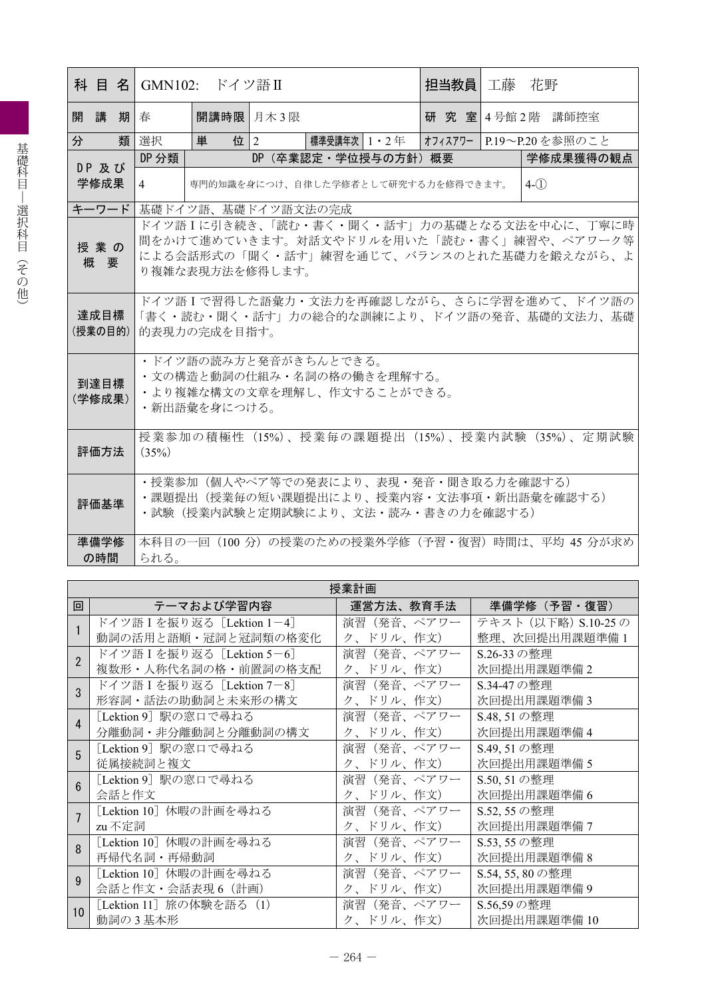| 科 目 名  GMN102: ドイツ語Ⅱ |                                                                                                                           |                    |        |                                                                                    |  | 担当教員   工藤 花野 |  |                                                                                                                                      |
|----------------------|---------------------------------------------------------------------------------------------------------------------------|--------------------|--------|------------------------------------------------------------------------------------|--|--------------|--|--------------------------------------------------------------------------------------------------------------------------------------|
| 開講期春                 |                                                                                                                           | 開講時限 月木3限          |        |                                                                                    |  |              |  | 研究室 4号館2階 講師控室                                                                                                                       |
| 類<br>分               | 選択                                                                                                                        | 単                  | 位 $ 2$ | 標準受講年次   1 ・ 2 年                                                                   |  |              |  | オフィスアワー   P.19~P.20 を参照のこと                                                                                                           |
| DP 及び                | DP 分類                                                                                                                     |                    |        | DP (卒業認定・学位授与の方針) 概要                                                               |  |              |  | 学修成果獲得の観点                                                                                                                            |
| 学修成果                 | $\overline{4}$                                                                                                            |                    |        | 専門的知識を身につけ、自律した学修者として研究する力を修得できます。                                                 |  |              |  | $4-(1)$                                                                                                                              |
| キーワード                |                                                                                                                           | 基礎ドイツ語、基礎ドイツ語文法の完成 |        |                                                                                    |  |              |  |                                                                                                                                      |
| 授業の<br>概要            |                                                                                                                           | り複雑な表現方法を修得します。    |        |                                                                                    |  |              |  | ドイツ語Iに引き続き、「読む・書く・聞く・話す」力の基礎となる文法を中心に、丁寧に時<br>間をかけて進めていきます。対話文やドリルを用いた「読む・書く」練習や、ペアワーク等<br>による会話形式の「聞く・話す」練習を通じて、バランスのとれた基礎力を鍛えながら、よ |
| 達成目標<br>(授業の目的)      |                                                                                                                           | 的表現力の完成を目指す。       |        |                                                                                    |  |              |  | ドイツ語Iで習得した語彙力・文法力を再確認しながら、さらに学習を進めて、ドイツ語の<br>「書く・読む・聞く・話す」力の総合的な訓練により、ドイツ語の発音、基礎的文法力、基礎                                              |
| 到達目標<br>(学修成果)       |                                                                                                                           | ・新出語彙を身につける。       |        | ・ドイツ語の読み方と発音がきちんとできる。<br>・文の構造と動詞の仕組み・名詞の格の働きを理解する。<br>・より複雑な構文の文章を理解し、作文することができる。 |  |              |  |                                                                                                                                      |
| 評価方法                 | (35%)                                                                                                                     |                    |        |                                                                                    |  |              |  | 授業参加の積極性(15%)、授業毎の課題提出(15%)、授業内試験(35%)、定期試験                                                                                          |
| 評価基準                 | • 授業参加 (個人やペア等での発表により、表現・発音・聞き取る力を確認する)<br>・課題提出(授業毎の短い課題提出により、授業内容・文法事項・新出語彙を確認する)<br>・試験(授業内試験と定期試験により、文法・読み・書きの力を確認する) |                    |        |                                                                                    |  |              |  |                                                                                                                                      |
| 準備学修<br>の時間          | られる。                                                                                                                      |                    |        |                                                                                    |  |              |  | 本科目の一回 (100 分) の授業のための授業外学修 (予習・復習) 時間は、平均 45 分が求め                                                                                   |

|                | 授業計画                       |            |                     |  |  |  |  |  |
|----------------|----------------------------|------------|---------------------|--|--|--|--|--|
| 回              | テーマおよび学習内容                 | 運営方法、教育手法  | 準備学修(予習・復習)         |  |  |  |  |  |
|                | ドイツ語 I を振り返る [Lektion 1-4] | 演習(発音、ペアワー | テキスト (以下略) S.10-25の |  |  |  |  |  |
|                | 動詞の活用と語順・冠詞と冠詞類の格変化        | ク、ドリル、作文)  | 整理、次回提出用課題準備 1      |  |  |  |  |  |
| $\mathfrak{p}$ | ドイツ語 I を振り返る [Lektion 5-6] | 演習(発音、ペアワー | S.26-33 の整理         |  |  |  |  |  |
|                | 複数形・人称代名詞の格・前置詞の格支配        | ク、ドリル、作文)  | 次回提出用課題準備2          |  |  |  |  |  |
| 3              | ドイツ語 I を振り返る [Lektion 7-8] | 演習(発音、ペアワー | S.34-47の整理          |  |  |  |  |  |
|                | 形容詞・話法の助動詞と未来形の構文          | ク、ドリル、作文)  | 次回提出用課題準備3          |  |  |  |  |  |
| $\Delta$       | [Lektion 9] 駅の窓口で尋ねる       | 演習(発音、ペアワー | S.48, 51の整理         |  |  |  |  |  |
|                | 分離動詞・非分離動詞と分離動詞の構文         | ク、ドリル、作文)  | 次回提出用課題準備 4         |  |  |  |  |  |
| 5              | [Lektion 9] 駅の窓口で尋ねる       | 演習(発音、ペアワー | S.49, 51の整理         |  |  |  |  |  |
|                | 従属接続詞と複文                   | ク、ドリル、作文)  | 次回提出用課題準備 5         |  |  |  |  |  |
| 6              | [Lektion 9] 駅の窓口で尋ねる       | 演習(発音、ペアワー | S.50, 51の整理         |  |  |  |  |  |
|                | 会話と作文                      | ク、ドリル、作文)  | 次回提出用課題準備6          |  |  |  |  |  |
|                | [Lektion 10] 休暇の計画を尋ねる     | 演習(発音、ペアワー | S.52, 55 の整理        |  |  |  |  |  |
|                | zu不定詞                      | ク、ドリル、作文)  | 次回提出用課題準備7          |  |  |  |  |  |
| $\mathsf{R}$   | [Lektion 10] 休暇の計画を尋ねる     | 演習(発音、ペアワー | S.53, 55 の整理        |  |  |  |  |  |
|                | 再帰代名詞・再帰動詞                 | ク、ドリル、作文)  | 次回提出用課題準備 8         |  |  |  |  |  |
| Q              | [Lektion 10] 休暇の計画を尋ねる     | 演習(発音、ペアワー | S.54, 55, 80の整理     |  |  |  |  |  |
|                | 会話と作文・会話表現6 (計画)           | ク、ドリル、作文)  | 次回提出用課題準備9          |  |  |  |  |  |
|                | [Lektion 11] 旅の体験を語る (1)   | 演習(発音、ペアワー | S.56,59の整理          |  |  |  |  |  |
| 10             | 動詞の3基本形                    | ク、ドリル、作文)  | 次回提出用課題準備 10        |  |  |  |  |  |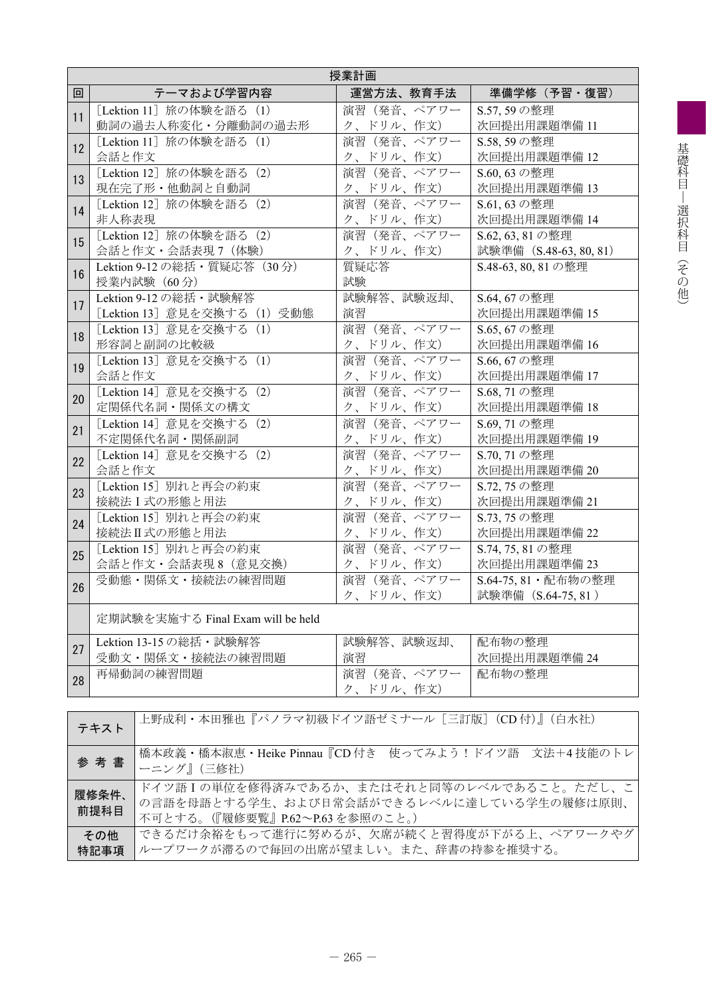|    | 授業計画                                                                                                    |                                                       |                                           |  |  |  |  |  |  |
|----|---------------------------------------------------------------------------------------------------------|-------------------------------------------------------|-------------------------------------------|--|--|--|--|--|--|
| 回  | テーマおよび学習内容                                                                                              | 運営方法、教育手法                                             | 準備学修(予習・復習)                               |  |  |  |  |  |  |
| 11 | [Lektion 11] 旅の体験を語る (1)                                                                                | 演習(発音、ペアワー                                            | S.57, 59の整理                               |  |  |  |  |  |  |
|    | 動詞の過去人称変化・分離動詞の過去形                                                                                      | ク、ドリル、作文)                                             | 次回提出用課題準備 11                              |  |  |  |  |  |  |
| 12 | [Lektion 11] 旅の体験を語る (1)                                                                                | 演習 (発音、ペアワー                                           | S.58, 59の整理                               |  |  |  |  |  |  |
|    | 会話と作文                                                                                                   | ク、ドリル、作文)                                             | 次回提出用課題準備 12                              |  |  |  |  |  |  |
| 13 | [Lektion 12] 旅の体験を語る (2)                                                                                | 演習(発音、ペアワー                                            | S.60, 63 の整理                              |  |  |  |  |  |  |
|    | 現在完了形・他動詞と自動詞                                                                                           | ク、ドリル、作文)                                             | 次回提出用課題準備 13                              |  |  |  |  |  |  |
| 14 | [Lektion 12] 旅の体験を語る (2)                                                                                | 演習(発音、ペアワー                                            | S.61, 63 の整理                              |  |  |  |  |  |  |
|    | 非人称表現                                                                                                   | ク、ドリル、作文)                                             | 次回提出用課題準備 14                              |  |  |  |  |  |  |
| 15 | [Lektion 12] 旅の体験を語る (2)                                                                                | 演習(発音、ペアワー                                            | S.62, 63, 81の整理                           |  |  |  |  |  |  |
|    | 会話と作文・会話表現7 (体験)                                                                                        | ク、ドリル、作文)                                             | 試験準備 (S.48-63, 80, 81)                    |  |  |  |  |  |  |
| 16 | Lektion 9-12 の総括・質疑応答 (30分)<br>授業内試験 (60分)                                                              | 質疑応答<br>試験                                            | S.48-63, 80, 81の整理                        |  |  |  |  |  |  |
| 17 | Lektion 9-12の総括・試験解答                                                                                    | 試験解答、試験返却、                                            | S.64, 67 の整理                              |  |  |  |  |  |  |
|    | [Lektion 13] 意見を交換する (1) 受動態                                                                            | 演習                                                    | 次回提出用課題準備 15                              |  |  |  |  |  |  |
| 18 | [Lektion 13] 意見を交換する (1)                                                                                | 演習(発音、ペアワー                                            | S.65, 67 の整理                              |  |  |  |  |  |  |
|    | 形容詞と副詞の比較級                                                                                              | ク、ドリル、作文)                                             | 次回提出用課題準備 16                              |  |  |  |  |  |  |
| 19 | [Lektion 13] 意見を交換する (1)                                                                                | 演習(発音、ペアワー                                            | S.66, 67 の整理                              |  |  |  |  |  |  |
|    | 会話と作文                                                                                                   | ク、ドリル、作文)                                             | 次回提出用課題準備 17                              |  |  |  |  |  |  |
| 20 | [Lektion 14] 意見を交換する (2)                                                                                | 演習(発音、ペアワー                                            | S.68, 71の整理                               |  |  |  |  |  |  |
|    | 定関係代名詞・関係文の構文                                                                                           | ク、ドリル、作文)                                             | 次回提出用課題準備 18                              |  |  |  |  |  |  |
| 21 | [Lektion 14] 意見を交換する (2)<br>不定関係代名詞・関係副詞                                                                | 演習(発音、ペアワー<br>S.69.71の整理<br>次回提出用課題準備 19<br>ク、ドリル、作文) |                                           |  |  |  |  |  |  |
| 22 | [Lektion 14] 意見を交換する (2)                                                                                | 演習(発音、ペアワー                                            | S.70, 71の整理                               |  |  |  |  |  |  |
|    | 会話と作文                                                                                                   | ク、ドリル、作文)                                             | 次回提出用課題準備 20                              |  |  |  |  |  |  |
| 23 | [Lektion 15] 別れと再会の約束                                                                                   | 演習(発音、ペアワー                                            | S.72, 75 の整理                              |  |  |  |  |  |  |
|    | 接続法I式の形態と用法                                                                                             | ク、ドリル、作文)                                             | 次回提出用課題準備 21                              |  |  |  |  |  |  |
| 24 | [Lektion 15] 別れと再会の約束                                                                                   | 演習(発音、ペアワー                                            | S.73, 75 の整理                              |  |  |  |  |  |  |
|    | 接続法II式の形態と用法                                                                                            | ク、ドリル、作文)                                             | 次回提出用課題準備 22                              |  |  |  |  |  |  |
| 25 | [Lektion 15] 別れと再会の約束                                                                                   | 演習(発音、ペアワー                                            | S.74, 75, 81の整理                           |  |  |  |  |  |  |
|    | 会話と作文・会話表現8 (意見交換)                                                                                      | ク、ドリル、作文)                                             | 次回提出用課題準備 23                              |  |  |  |  |  |  |
| 26 | 受動態・関係文・接続法の練習問題                                                                                        | 演習(発音、ペアワー<br>ク、ドリル、作文)                               | S.64-75,81 · 配布物の整理<br>試験準備 (S.64-75, 81) |  |  |  |  |  |  |
|    | 定期試験を実施する Final Exam will be held                                                                       |                                                       |                                           |  |  |  |  |  |  |
| 27 | Lektion 13-15 の総括・試験解答                                                                                  | 試験解答、試験返却、                                            | 配布物の整理                                    |  |  |  |  |  |  |
|    | 受動文・関係文・接続法の練習問題                                                                                        | 演習                                                    | 次回提出用課題準備 24                              |  |  |  |  |  |  |
| 28 | 再帰動詞の練習問題                                                                                               | 演習(発音、ペアワー<br>ク、ドリル、作文)                               | 配布物の整理                                    |  |  |  |  |  |  |
|    | 上野成利・本田雅也『パノラマ初級ドイツ語ゼミナール「三訂版] (CD付)』(白水社)<br>テキスト                                                      |                                                       |                                           |  |  |  |  |  |  |
|    | 橋本政義・橋本淑恵・Heike Pinnau『CD 付き 使ってみよう!ドイツ語 文法+4技能のトレ<br>参考書<br>ーニング』(三修社)                                 |                                                       |                                           |  |  |  |  |  |  |
|    | ドイツ語Iの単位を修得済みであるか、またはそれと同等のレベルであること。ただし、こ<br>履修条件、<br>の言語を母語とする学生、および日常会話ができるレベルに達している学生の履修は原則、<br>前坦利日 |                                                       |                                           |  |  |  |  |  |  |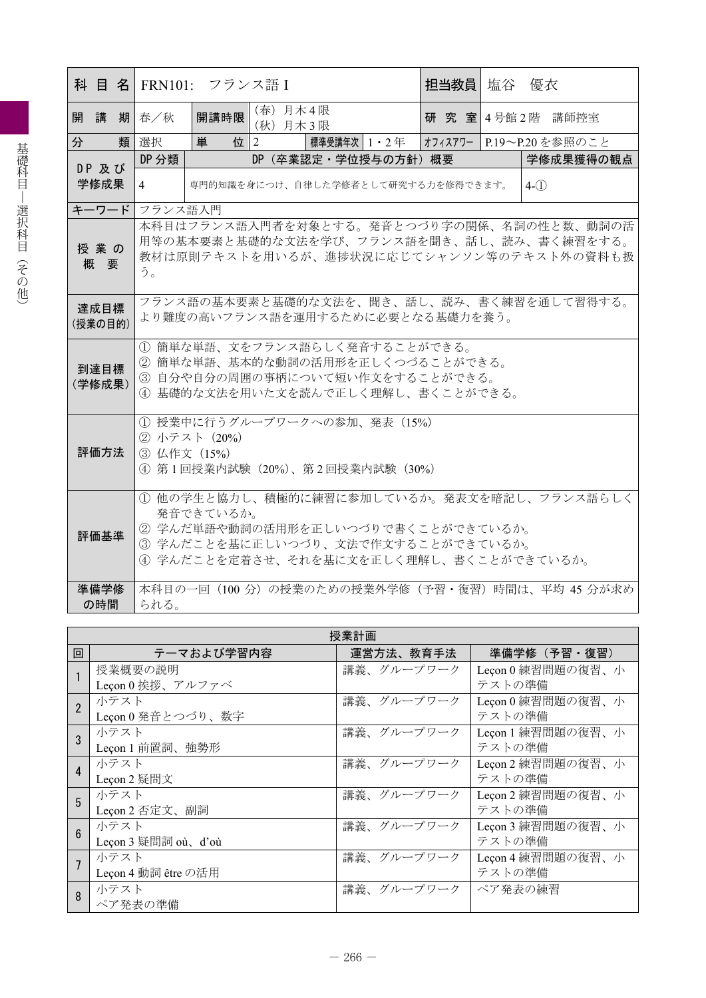|                 |                                                                                                                                            | 科 目 名  FRN101: フランス語 I                                                                           |                      |                      |  | 担当教員                               | 塩谷 | 優衣                                                                                                                                 |  |
|-----------------|--------------------------------------------------------------------------------------------------------------------------------------------|--------------------------------------------------------------------------------------------------|----------------------|----------------------|--|------------------------------------|----|------------------------------------------------------------------------------------------------------------------------------------|--|
| 開講              | 期春/秋                                                                                                                                       | 開講時限                                                                                             | (春) 月木4限<br>(秋) 月木3限 |                      |  |                                    |    | 研究室 4号館2階 講師控室                                                                                                                     |  |
| 類<br>分          | 選択                                                                                                                                         | 単                                                                                                | 位 2                  | 標準受講年次   1 ・ 2 年     |  |                                    |    | オフィスアワー P.19~P.20を参照のこと                                                                                                            |  |
| DP及び            | DP 分類                                                                                                                                      |                                                                                                  |                      | DP (卒業認定·学位授与の方針) 概要 |  |                                    |    | 学修成果獲得の観点                                                                                                                          |  |
| 学修成果            | $\overline{4}$                                                                                                                             |                                                                                                  |                      |                      |  | 専門的知識を身につけ、自律した学修者として研究する力を修得できます。 |    | $4-(1)$                                                                                                                            |  |
| キーワード           | フランス語入門                                                                                                                                    |                                                                                                  |                      |                      |  |                                    |    |                                                                                                                                    |  |
| 授業の<br>概要       | う。                                                                                                                                         |                                                                                                  |                      |                      |  |                                    |    | 本科目はフランス語入門者を対象とする。発音とつづり字の関係、名詞の性と数、動詞の活<br>用等の基本要素と基礎的な文法を学び、フランス語を聞き、話し、読み、書く練習をする。<br>教材は原則テキストを用いるが、進捗状況に応じてシャンソン等のテキスト外の資料も扱 |  |
| 達成目標<br>(授業の目的) |                                                                                                                                            | より難度の高いフランス語を運用するために必要となる基礎力を養う。                                                                 |                      |                      |  |                                    |    | フランス語の基本要素と基礎的な文法を、聞き、話し、読み、書く練習を通して習得する。                                                                                          |  |
| 到達目標<br>(学修成果)  | 1) 簡単な単語、文をフランス語らしく発音することができる。<br>② 簡単な単語、基本的な動詞の活用形を正しくつづることができる。<br>3 自分や自分の周囲の事柄について短い作文をすることができる。<br>4 基礎的な文法を用いた文を読んで正しく理解し、書くことができる。 |                                                                                                  |                      |                      |  |                                    |    |                                                                                                                                    |  |
| 評価方法            |                                                                                                                                            | (1) 授業中に行うグループワークへの参加、発表 (15%)<br>② 小テスト (20%)<br>3 仏作文 (15%)<br>④ 第1回授業内試験 (20%)、第2回授業内試験 (30%) |                      |                      |  |                                    |    |                                                                                                                                    |  |
| 評価基準            |                                                                                                                                            | 発音できているか。<br>② 学んだ単語や動詞の活用形を正しいつづりで書くことができているか。<br>3 学んだことを基に正しいつづり、文法で作文することができているか。            |                      |                      |  |                                    |    | 1) 他の学生と協力し、積極的に練習に参加しているか。発表文を暗記し、フランス語らしく<br>4 学んだことを定着させ、それを基に文を正しく理解し、書くことができているか。                                             |  |
| 準備学修<br>の時間     | られる。                                                                                                                                       |                                                                                                  |                      |                      |  |                                    |    | 本科目の一回 (100 分) の授業のための授業外学修 (予習・復習) 時間は、平均 45 分が求め                                                                                 |  |

|                  | 授業計画                |            |                   |  |  |  |  |  |  |
|------------------|---------------------|------------|-------------------|--|--|--|--|--|--|
| 回                | テーマおよび学習内容          | 運営方法、教育手法  | 準備学修(予習・復習)       |  |  |  |  |  |  |
|                  | 授業概要の説明             | 講義、グループワーク | Leçon 0 練習問題の復習、小 |  |  |  |  |  |  |
|                  | Leçon 0挨拶、アルファベ     |            | テストの準備            |  |  |  |  |  |  |
|                  | 小テスト                | 講義、グループワーク | Leçon 0 練習問題の復習、小 |  |  |  |  |  |  |
|                  | Leçon 0 発音とつづり、数字   |            | テストの準備            |  |  |  |  |  |  |
| 3                | 小テスト                | 講義、グループワーク | Leçon 1 練習問題の復習、小 |  |  |  |  |  |  |
|                  | Leçon 1 前置詞、強勢形     |            | テストの準備            |  |  |  |  |  |  |
| $\overline{4}$   | 小テスト                | 講義、グループワーク | Leçon 2 練習問題の復習、小 |  |  |  |  |  |  |
|                  | Leçon 2 疑問文         |            | テストの準備            |  |  |  |  |  |  |
| 5                | 小テスト                | 講義、グループワーク | Leçon 2 練習問題の復習、小 |  |  |  |  |  |  |
|                  | Leçon 2 否定文、副詞      |            | テストの準備            |  |  |  |  |  |  |
| $6 \overline{6}$ | 小テスト                | 講義、グループワーク | Leçon 3 練習問題の復習、小 |  |  |  |  |  |  |
|                  | Leçon 3 疑問詞 où、d'où |            | テストの準備            |  |  |  |  |  |  |
| $\overline{7}$   | 小テスト                | 講義、グループワーク | Leçon 4 練習問題の復習、小 |  |  |  |  |  |  |
|                  | Leçon 4 動詞 être の活用 |            | テストの準備            |  |  |  |  |  |  |
| 8                | 小テスト                | 講義、グループワーク | ペア発表の練習           |  |  |  |  |  |  |
|                  | ペア発表の準備             |            |                   |  |  |  |  |  |  |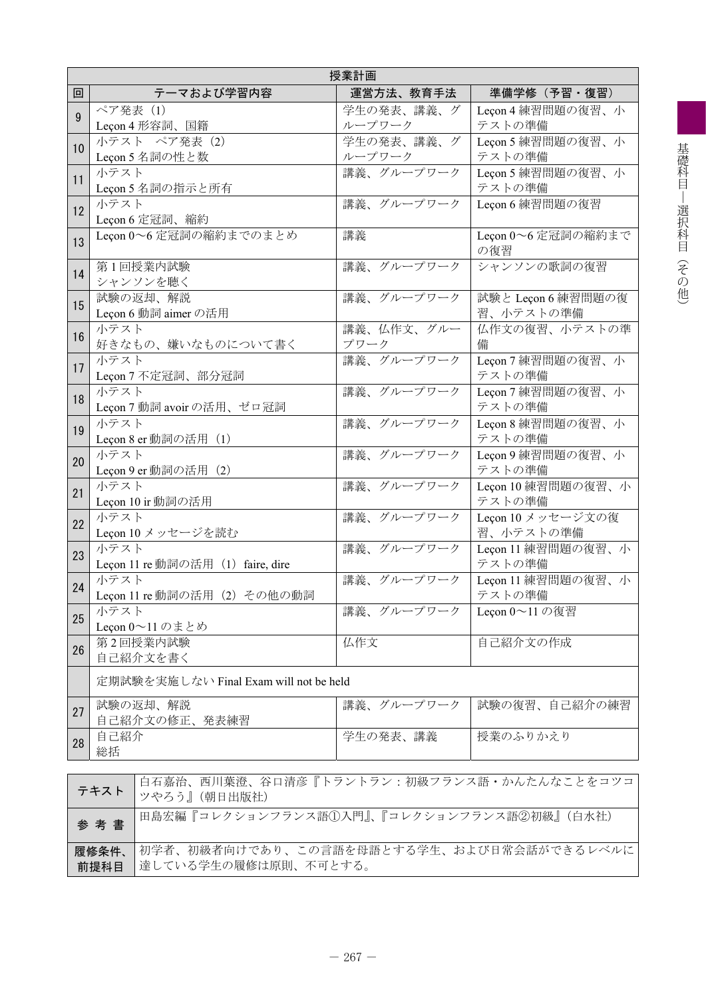|    | 授業計画                                                              |                      |                                 |  |  |  |  |  |  |
|----|-------------------------------------------------------------------|----------------------|---------------------------------|--|--|--|--|--|--|
| 回  | テーマおよび学習内容                                                        | 運営方法、教育手法            | 準備学修(予習・復習)                     |  |  |  |  |  |  |
| 9  | ペア発表 (1)<br>Leçon 4 形容詞、国籍                                        | 学生の発表、講義、グ<br>ループワーク | Leçon 4 練習問題の復習、小<br>テストの準備     |  |  |  |  |  |  |
| 10 | 小テスト ペア発表 (2)<br>Leçon 5 名詞の性と数                                   | 学生の発表、講義、グ<br>ループワーク | Leçon 5 練習問題の復習、小<br>テストの準備     |  |  |  |  |  |  |
| 11 | 小テスト<br>Leçon 5 名詞の指示と所有                                          | 講義、グループワーク           | Leçon 5 練習問題の復習、小<br>テストの準備     |  |  |  |  |  |  |
| 12 | 小テスト<br>Leçon 6 定冠詞、縮約                                            | 講義、グループワーク           | Leçon 6 練習問題の復習                 |  |  |  |  |  |  |
| 13 | Lecon 0~6 定冠詞の縮約までのまとめ                                            | 講義                   | Leçon 0~6 定冠詞の縮約まで<br>の復習       |  |  |  |  |  |  |
| 14 | 第1回授業内試験<br>シャンソンを聴く                                              | 講義、グループワーク           | シャンソンの歌詞の復習                     |  |  |  |  |  |  |
| 15 | 試験の返却、解説<br>Leçon 6 動詞 aimer の活用                                  | 講義、グループワーク           | 試験と Leçon 6 練習問題の復<br>習、小テストの準備 |  |  |  |  |  |  |
| 16 | 小テスト<br>好きなもの、嫌いなものについて書く                                         | 講義、仏作文、グルー<br>プワーク   | 仏作文の復習、小テストの準<br>備              |  |  |  |  |  |  |
| 17 | 小テスト<br>Leçon 7 不定冠詞、部分冠詞                                         | 講義、グループワーク           | Leçon 7 練習問題の復習、小<br>テストの準備     |  |  |  |  |  |  |
| 18 | 小テスト<br>Leçon 7 動詞 avoir の活用、ゼロ冠詞                                 | 講義、グループワーク           | Leçon 7 練習問題の復習、小<br>テストの準備     |  |  |  |  |  |  |
| 19 | 小テスト<br>Leçon 8 er 動詞の活用 (1)                                      | 講義、グループワーク           | Leçon 8 練習問題の復習、小<br>テストの準備     |  |  |  |  |  |  |
| 20 | 小テスト<br>Leçon 9 er 動詞の活用 (2)                                      | 講義、グループワーク           | Leçon 9 練習問題の復習、小<br>テストの準備     |  |  |  |  |  |  |
| 21 | 小テスト<br>Leçon 10 ir 動詞の活用                                         | 講義、グループワーク           | Leçon 10 練習問題の復習、小<br>テストの準備    |  |  |  |  |  |  |
| 22 | 小テスト<br>Leçon 10 メッセージを読む                                         | 講義、グループワーク           | Leçon 10 メッセージ文の復<br>習、小テストの準備  |  |  |  |  |  |  |
| 23 | 小テスト<br>Leçon 11 re 動詞の活用 (1) faire, dire                         | 講義、グループワーク           | Leçon 11 練習問題の復習、小<br>テストの準備    |  |  |  |  |  |  |
| 24 | 小テスト<br>Leçon 11 re 動詞の活用 (2) その他の動詞                              | 講義、グループワーク           | Leçon 11 練習問題の復習、小<br>テストの準備    |  |  |  |  |  |  |
| 25 | 小テスト<br>Leçon $0 \sim 11$ のまとめ                                    | 講義、グループワーク           | Leçon 0~11の復習                   |  |  |  |  |  |  |
| 26 | 第2回授業内試験<br>自己紹介文を書く                                              | 仏作文                  | 自己紹介文の作成                        |  |  |  |  |  |  |
|    | 定期試験を実施しない Final Exam will not be held                            |                      |                                 |  |  |  |  |  |  |
| 27 | 試験の返却、解説<br>自己紹介文の修正、発表練習                                         | 講義、グループワーク           | 試験の復習、自己紹介の練習                   |  |  |  |  |  |  |
| 28 | 自己紹介<br>総括                                                        | 学生の発表、講義             | 授業のふりかえり                        |  |  |  |  |  |  |
|    |                                                                   |                      |                                 |  |  |  |  |  |  |
|    | 白石嘉治、西川葉澄、谷口清彦『トラントラン:初級フランス語・かんたんなことをコツコ<br>テキスト<br>ツやろう』(朝日出版社) |                      |                                 |  |  |  |  |  |  |
|    | 田島宏編『コレクションフランス語①入門』、『コレクションフランス語②初級』(白水社)<br>参考書                 |                      |                                 |  |  |  |  |  |  |

達している学生の履修は原則、不可とする。

初学者、初級者向けであり、この言語を母語とする学生、および日常会話ができるレベルに

履修条件、 前提科目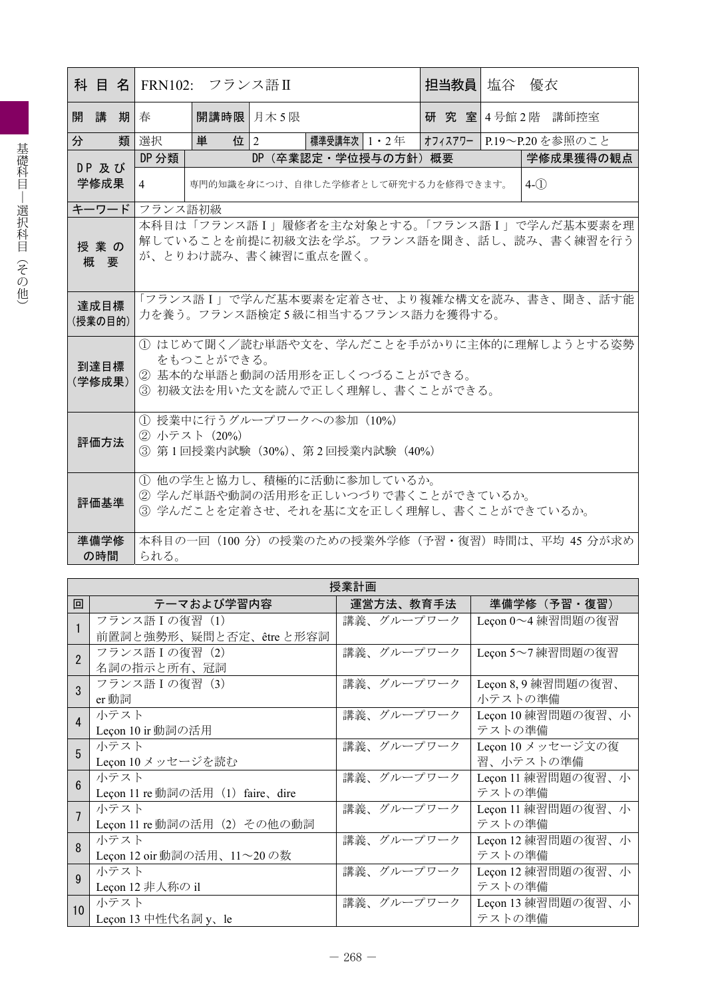|   |         |    |                                                          | 科 目 名  FRN102: フランス語Ⅱ |  |                                               |  | 担当教員  塩谷 優衣 |  |                         |           |
|---|---------|----|----------------------------------------------------------|-----------------------|--|-----------------------------------------------|--|-------------|--|-------------------------|-----------|
|   | 開講      | 期春 |                                                          | 開講時限 月木 5限            |  |                                               |  |             |  | 研究室 4号館 2階 講師控室         |           |
| 分 |         |    | 類 選択                                                     | 単<br>位 $ 2 $          |  | 標準受講年次   1・2 年                                |  |             |  | オフィスアワー P.19~P.20を参照のこと |           |
|   | DP 及び   |    | DP 分類                                                    |                       |  | DP (卒業認定・学位授与の方針) 概要                          |  |             |  |                         | 学修成果獲得の観点 |
|   | 学修成果    |    | 4                                                        |                       |  | 専門的知識を身につけ、自律した学修者として研究する力を修得できます。            |  |             |  | $4-(1)$                 |           |
|   | キーワード   |    | フランス語初級                                                  |                       |  |                                               |  |             |  |                         |           |
|   |         |    |                                                          |                       |  | 本科目は「フランス語I」履修者を主な対象とする。「フランス語I」で学んだ基本要素を理    |  |             |  |                         |           |
|   | 授業の     |    |                                                          |                       |  | 解していることを前提に初級文法を学ぶ。フランス語を聞き、話し、読み、書く練習を行う     |  |             |  |                         |           |
|   | 概要      |    |                                                          | が、とりわけ読み、書く練習に重点を置く。  |  |                                               |  |             |  |                         |           |
|   |         |    |                                                          |                       |  |                                               |  |             |  |                         |           |
|   | 達成目標    |    |                                                          |                       |  | 「フランス語Ⅰ」で学んだ基本要素を定着させ、より複雑な構文を読み、書き、聞き、話す能    |  |             |  |                         |           |
|   | (授業の目的) |    | 力を養う。フランス語検定5級に相当するフランス語力を獲得する。                          |                       |  |                                               |  |             |  |                         |           |
|   |         |    |                                                          |                       |  |                                               |  |             |  |                         |           |
|   |         |    | 1)はじめて聞く/読む単語や文を、学んだことを手がかりに主体的に理解しようとする姿勢<br>をもつことができる。 |                       |  |                                               |  |             |  |                         |           |
|   | 到達目標    |    |                                                          |                       |  | ② 基本的な単語と動詞の活用形を正しくつづることができる。                 |  |             |  |                         |           |
|   | (学修成果)  |    |                                                          |                       |  | 3 初級文法を用いた文を読んで正しく理解し、書くことができる。               |  |             |  |                         |           |
|   |         |    |                                                          |                       |  |                                               |  |             |  |                         |           |
|   |         |    |                                                          |                       |  | (1) 授業中に行うグループワークへの参加 (10%)                   |  |             |  |                         |           |
|   | 評価方法    |    | ② 小テスト (20%)                                             |                       |  |                                               |  |             |  |                         |           |
|   |         |    |                                                          |                       |  | ③ 第1回授業内試験 (30%)、第2回授業内試験 (40%)               |  |             |  |                         |           |
|   |         |    |                                                          |                       |  | 1 他の学生と協力し、積極的に活動に参加しているか。                    |  |             |  |                         |           |
|   | 評価基準    |    |                                                          |                       |  | ② 学んだ単語や動詞の活用形を正しいつづりで書くことができているか。            |  |             |  |                         |           |
|   |         |    |                                                          |                       |  | ③ 学んだことを定着させ、それを基に文を正しく理解し、書くことができているか。       |  |             |  |                         |           |
|   | 準備学修    |    |                                                          |                       |  | 本科目の一回(100分)の授業のための授業外学修(予習・復習)時間は、平均 45 分が求め |  |             |  |                         |           |
|   | の時間     |    | られる。                                                     |                       |  |                                               |  |             |  |                         |           |

|                        | 授業計画                             |            |                     |  |  |  |  |  |  |  |
|------------------------|----------------------------------|------------|---------------------|--|--|--|--|--|--|--|
| 回                      | テーマおよび学習内容                       | 運営方法、教育手法  | 準備学修(予習・復習)         |  |  |  |  |  |  |  |
|                        | フランス語 I の復習 (1)                  | 講義、グループワーク | Leçon 0~4 練習問題の復習   |  |  |  |  |  |  |  |
|                        | 前置詞と強勢形、疑問と否定、être と形容詞          |            |                     |  |  |  |  |  |  |  |
| $\overline{2}$         | フランス語 I の復習 (2)                  | 講義、グループワーク | Leçon 5~7 練習問題の復習   |  |  |  |  |  |  |  |
|                        | 名詞の指示と所有、冠詞                      |            |                     |  |  |  |  |  |  |  |
| 3                      | フランス語 I の復習 (3)                  | 講義、グループワーク | Leçon 8, 9 練習問題の復習、 |  |  |  |  |  |  |  |
|                        | er 動詞                            |            | 小テストの準備             |  |  |  |  |  |  |  |
| $\boldsymbol{\Lambda}$ | 小テスト                             | 講義、グループワーク | Leçon 10 練習問題の復習、小  |  |  |  |  |  |  |  |
|                        | Leçon 10 ir 動詞の活用                |            | テストの準備              |  |  |  |  |  |  |  |
| 5                      | 小テスト                             | 講義、グループワーク | Leçon 10 メッセージ文の復   |  |  |  |  |  |  |  |
|                        | Leçon 10 メッセージを読む                |            | 習、小テストの準備           |  |  |  |  |  |  |  |
| $6\overline{6}$        | 小テスト                             | 講義、グループワーク | Leçon 11 練習問題の復習、小  |  |  |  |  |  |  |  |
|                        | Leçon 11 re 動詞の活用 (1) faire、dire |            | テストの準備              |  |  |  |  |  |  |  |
|                        | 小テスト                             | 講義、グループワーク | Leçon 11 練習問題の復習、小  |  |  |  |  |  |  |  |
|                        | Leçon 11 re 動詞の活用 (2) その他の動詞     |            | テストの準備              |  |  |  |  |  |  |  |
| $\mathsf{R}$           | 小テスト                             | 講義、グループワーク | Leçon 12 練習問題の復習、小  |  |  |  |  |  |  |  |
|                        | Leçon 12 oir動詞の活用、11~20の数        |            | テストの準備              |  |  |  |  |  |  |  |
| $\mathbf{Q}$           | 小テスト                             | 講義、グループワーク | Leçon 12 練習問題の復習、小  |  |  |  |  |  |  |  |
|                        | Leçon 12 非人称の il                 |            | テストの準備              |  |  |  |  |  |  |  |
| 10                     | 小テスト                             | 講義、グループワーク | Leçon 13 練習問題の復習、小  |  |  |  |  |  |  |  |
|                        | Leçon 13 中性代名詞 y、le              |            | テストの準備              |  |  |  |  |  |  |  |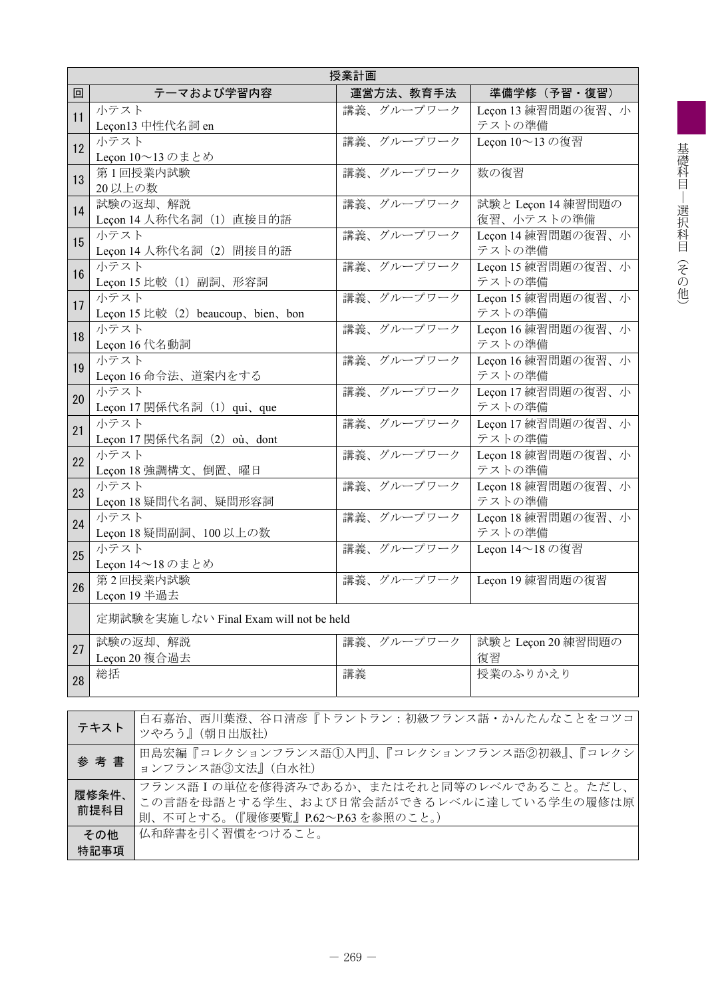|    | 授業計画                                                                                                                                       |            |                                  |  |  |  |  |  |
|----|--------------------------------------------------------------------------------------------------------------------------------------------|------------|----------------------------------|--|--|--|--|--|
| 回  | テーマおよび学習内容                                                                                                                                 | 運営方法、教育手法  | 準備学修(予習・復習)                      |  |  |  |  |  |
| 11 | 小テスト<br>Leçon13 中性代名詞 en                                                                                                                   | 講義、グループワーク | Leçon 13 練習問題の復習、小<br>テストの準備     |  |  |  |  |  |
| 12 | 小テスト<br>Leçon 10~13のまとめ                                                                                                                    | 講義、グループワーク | Leçon 10~13の復習                   |  |  |  |  |  |
| 13 | 第1回授業内試験<br>20 以上の数                                                                                                                        | 講義、グループワーク | 数の復習                             |  |  |  |  |  |
| 14 | 試験の返却、解説<br>Leçon 14 人称代名詞 (1) 直接目的語                                                                                                       | 講義、グループワーク | 試験と Leçon 14 練習問題の<br>復習、小テストの準備 |  |  |  |  |  |
| 15 | 小テスト<br>Leçon 14 人称代名詞 (2) 間接目的語                                                                                                           | 講義、グループワーク | Leçon 14 練習問題の復習、小<br>テストの準備     |  |  |  |  |  |
| 16 | 小テスト<br>Leçon 15 比較 (1) 副詞、形容詞                                                                                                             | 講義、グループワーク | Leçon 15 練習問題の復習、小<br>テストの準備     |  |  |  |  |  |
| 17 | 小テスト<br>Leçon 15 $\&$ $\&$ (2) beaucoup, bien, bon                                                                                         | 講義、グループワーク | Leçon 15 練習問題の復習、小<br>テストの準備     |  |  |  |  |  |
| 18 | 小テスト<br>Leçon 16 代名動詞                                                                                                                      | 講義、グループワーク | Leçon 16 練習問題の復習、小<br>テストの準備     |  |  |  |  |  |
| 19 | 小テスト<br>Leçon 16 命令法、道案内をする                                                                                                                | 講義、グループワーク | Leçon 16 練習問題の復習、小<br>テストの準備     |  |  |  |  |  |
| 20 | 小テスト<br>Leçon 17 関係代名詞 (1) qui、que                                                                                                         | 講義、グループワーク | Leçon 17 練習問題の復習、小<br>テストの準備     |  |  |  |  |  |
| 21 | 小テスト<br>Leçon 17 関係代名詞 (2) où、dont                                                                                                         | 講義、グループワーク | Leçon 17 練習問題の復習、小<br>テストの準備     |  |  |  |  |  |
| 22 | 小テスト<br>Leçon 18 強調構文、倒置、曜日                                                                                                                | 講義、グループワーク | Leçon 18 練習問題の復習、小<br>テストの準備     |  |  |  |  |  |
| 23 | 小テスト<br>Leçon 18 疑問代名詞、疑問形容詞                                                                                                               | 講義、グループワーク | Leçon 18 練習問題の復習、小<br>テストの準備     |  |  |  |  |  |
| 24 | 小テスト<br>Leçon 18 疑問副詞、100 以上の数                                                                                                             | 講義、グループワーク | Leçon 18 練習問題の復習、小<br>テストの準備     |  |  |  |  |  |
| 25 | 小テスト<br>Leçon 14~18のまとめ                                                                                                                    | 講義、グループワーク | Leçon 14~18の復習                   |  |  |  |  |  |
| 26 | 第2回授業内試験<br>Leçon 19 半過去                                                                                                                   | 講義、グループワーク | Leçon 19 練習問題の復習                 |  |  |  |  |  |
|    | 定期試験を実施しない Final Exam will not be held                                                                                                     |            |                                  |  |  |  |  |  |
| 27 | 試験の返却、解説<br>Leçon 20 複合過去                                                                                                                  | 講義、グループワーク | 試験と Leçon 20 練習問題の<br>復習         |  |  |  |  |  |
| 28 | 総括                                                                                                                                         | 講義         | 授業のふりかえり                         |  |  |  |  |  |
|    | 白石嘉治、西川葉澄、谷口清彦『トラントラン:初級フランス語・かんたんなことをコツコ<br>テキスト<br>ツやろう』(朝日出版社)                                                                          |            |                                  |  |  |  |  |  |
|    | 田島宏編『コレクションフランス語①入門』、『コレクションフランス語②初級』、『コレクシ<br>参考書<br>ョンフランス語3文法』(白水社)                                                                     |            |                                  |  |  |  |  |  |
|    | フランス語Iの単位を修得済みであるか、またはそれと同等のレベルであること。ただし、<br>履修条件、<br>この言語を母語とする学生、および日常会話ができるレベルに達している学生の履修は原<br>前提科目<br>則、不可とする。(『履修要覧』P.62~P.63を参照のこと。) |            |                                  |  |  |  |  |  |

その他 特記事項

仏和辞書を引く習慣をつけること。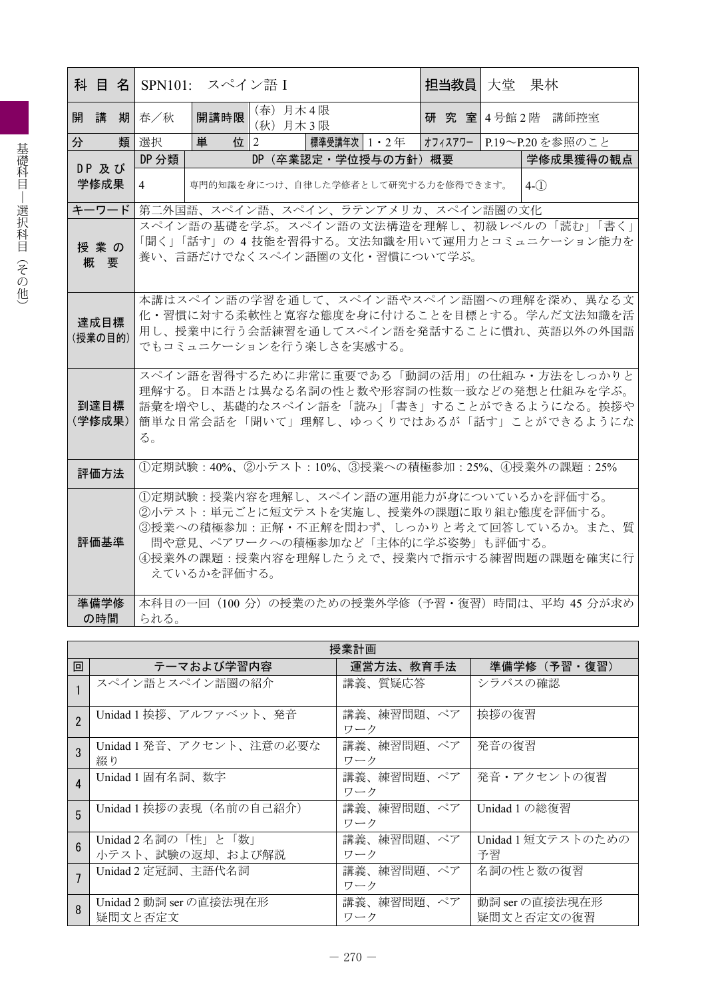|                 |    |                                                                                                                                                                                                                                      | 科 目 名 SPN101: スペイン語 I |                         |                                    | 担当教員 大堂 |  | 果林                                                                                                                                 |  |
|-----------------|----|--------------------------------------------------------------------------------------------------------------------------------------------------------------------------------------------------------------------------------------|-----------------------|-------------------------|------------------------------------|---------|--|------------------------------------------------------------------------------------------------------------------------------------|--|
| 開講              |    | 期 春/秋                                                                                                                                                                                                                                | 開講時限                  | (春) 月木4限<br>(秋) 月木3限    |                                    |         |  | 研究室 4号館2階 講師控室                                                                                                                     |  |
| 分               | 類丨 | 選択                                                                                                                                                                                                                                   | 単                     | 位 $ 2$                  | 標準受講年次 1 ・2 年                      |         |  | オフィスアワー   P.19〜P.20を参照のこと                                                                                                          |  |
| DP及び            |    | DP 分類                                                                                                                                                                                                                                |                       |                         | DP (卒業認定·学位授与の方針) 概要               |         |  | 学修成果獲得の観点                                                                                                                          |  |
| 学修成果            |    | 4                                                                                                                                                                                                                                    |                       |                         | 専門的知識を身につけ、自律した学修者として研究する力を修得できます。 |         |  | $4-(1)$                                                                                                                            |  |
| キーワード           |    |                                                                                                                                                                                                                                      |                       |                         | 第二外国語、スペイン語、スペイン、ラテンアメリカ、スペイン語圏の文化 |         |  |                                                                                                                                    |  |
| 授業の<br>概要       |    |                                                                                                                                                                                                                                      |                       |                         | 養い、言語だけでなくスペイン語圏の文化・習慣について学ぶ。      |         |  | スペイン語の基礎を学ぶ。スペイン語の文法構造を理解し、初級レベルの「読む」「書く」<br>「聞く」「話す」の 4 技能を習得する。文法知識を用いて運用力とコミュニケーション能力を                                          |  |
| 達成目標<br>(授業の目的) |    |                                                                                                                                                                                                                                      |                       | でもコミュニケーションを行う楽しさを実感する。 |                                    |         |  | 本講はスペイン語の学習を通して、スペイン語やスペイン語圏への理解を深め、異なる文<br>化・習慣に対する柔軟性と寛容な態度を身に付けることを目標とする。学んだ文法知識を活<br>用し、授業中に行う会話練習を通してスペイン語を発話することに慣れ、英語以外の外国語 |  |
| 到達目標<br>(学修成果)  |    | スペイン語を習得するために非常に重要である「動詞の活用」の仕組み・方法をしっかりと<br>理解する。日本語とは異なる名詞の性と数や形容詞の性数一致などの発想と仕組みを学ぶ。<br>語彙を増やし、基礎的なスペイン語を「読み」「書き」することができるようになる。挨拶や<br>簡単な日常会話を「聞いて」理解し、ゆっくりではあるが「話す」ことができるようにな<br>る。                                               |                       |                         |                                    |         |  |                                                                                                                                    |  |
| 評価方法            |    |                                                                                                                                                                                                                                      |                       |                         |                                    |         |  | ①定期試験:40%、②小テスト:10%、③授業への積極参加:25%、4授業外の課題:25%                                                                                      |  |
| 評価基準            |    | 1定期試験:授業内容を理解し、スペイン語の運用能力が身についているかを評価する。<br>②小テスト:単元ごとに短文テストを実施し、授業外の課題に取り組む態度を評価する。<br>3授業への積極参加:正解·不正解を問わず、しっかりと考えて回答しているか。また、質<br>間や意見、ペアワークへの積極参加など「主体的に学ぶ姿勢」も評価する。<br>4 授業外の課題:授業内容を理解したうえで、授業内で指示する練習問題の課題を確実に行<br>えているかを評価する。 |                       |                         |                                    |         |  |                                                                                                                                    |  |
| 準備学修            |    |                                                                                                                                                                                                                                      |                       |                         |                                    |         |  | 本科目の一回 (100 分) の授業のための授業外学修 (予習・復習) 時間は、平均 45 分が求め                                                                                 |  |
| の時間             |    | られる。                                                                                                                                                                                                                                 |                       |                         |                                    |         |  |                                                                                                                                    |  |

|                 | 授業計画                                    |                   |                              |  |  |  |  |  |
|-----------------|-----------------------------------------|-------------------|------------------------------|--|--|--|--|--|
| 回               | テーマおよび学習内容                              | 運営方法、教育手法         | 準備学修(予習・復習)                  |  |  |  |  |  |
|                 | スペイン語とスペイン語圏の紹介                         | 講義、質疑応答           | シラバスの確認                      |  |  |  |  |  |
| $\overline{2}$  | Unidad 1 挨拶、アルファベット、発音                  | 講義、練習問題、ペア<br>ワーク | 挨拶の復習                        |  |  |  |  |  |
| 3               | Unidad 1 発音、アクセント、注意の必要な<br>綴り          | 講義、練習問題、ペア<br>ワーク | 発音の復習                        |  |  |  |  |  |
| 4               | Unidad 1 固有名詞、数字                        | 講義、練習問題、ペア<br>ワーク | 発音・アクセントの復習                  |  |  |  |  |  |
| 5               | Unidad 1 挨拶の表現 (名前の自己紹介)                | 講義、練習問題、ペア<br>ワーク | Unidad 1 の総復習                |  |  |  |  |  |
| $6\overline{6}$ | Unidad 2 名詞の「性」と「数」<br>小テスト、試験の返却、および解説 | 講義、練習問題、ペア<br>ワーク | Unidad 1 短文テストのための<br>予習     |  |  |  |  |  |
|                 | Unidad 2 定冠詞、主語代名詞                      | 講義、練習問題、ペア<br>ワーク | 名詞の性と数の復習                    |  |  |  |  |  |
| 8               | Unidad 2 動詞 ser の直接法現在形<br>疑問文と否定文      | 講義、練習問題、ペア<br>ワーク | 動詞 ser の直接法現在形<br>疑問文と否定文の復習 |  |  |  |  |  |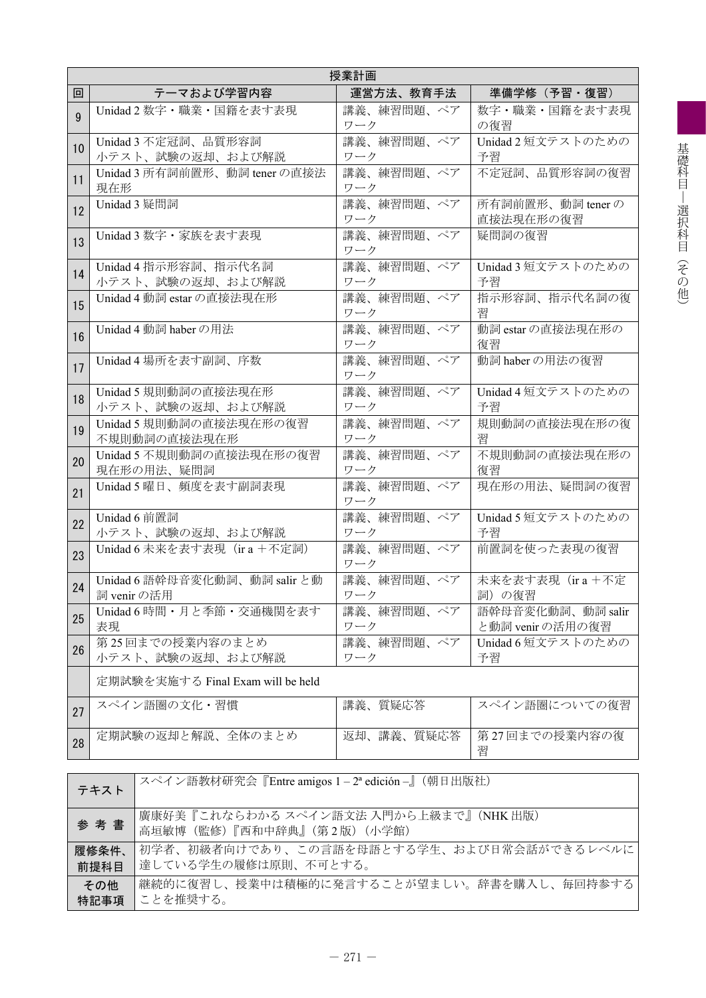|              | 授業計画                                         |                   |                                       |  |  |  |  |  |
|--------------|----------------------------------------------|-------------------|---------------------------------------|--|--|--|--|--|
| 回            | テーマおよび学習内容                                   | 運営方法、教育手法         | 準備学修(予習・復習)                           |  |  |  |  |  |
| $\mathbf{Q}$ | Unidad 2 数字・職業・国籍を表す表現                       | 講義、練習問題、ペア<br>ワーク | 数字・職業・国籍を表す表現<br>の復習                  |  |  |  |  |  |
| 10           | Unidad 3 不定冠詞、品質形容詞<br>小テスト、試験の返却、および解説      | 講義、練習問題、ペア<br>ワーク | Unidad 2 短文テストのための<br>予習              |  |  |  |  |  |
| 11           | Unidad 3 所有詞前置形、動詞 tener の直接法<br>現在形         | 講義、練習問題、ペア<br>ワーク | 不定冠詞、品質形容詞の復習                         |  |  |  |  |  |
| 12           | Unidad 3 疑問詞                                 | 講義、練習問題、ペア<br>ワーク | 所有詞前置形、動詞 tener の<br>直接法現在形の復習        |  |  |  |  |  |
| 13           | Unidad 3 数字・家族を表す表現                          | 講義、練習問題、ペア<br>ワーク | 疑問詞の復習                                |  |  |  |  |  |
| 14           | Unidad 4 指示形容詞、指示代名詞<br>小テスト、試験の返却、および解説     | 講義、練習問題、ペア<br>ワーク | Unidad 3 短文テストのための<br>予習              |  |  |  |  |  |
| 15           | Unidad 4 動詞 estar の直接法現在形                    | 講義、練習問題、ペア<br>ワーク | 指示形容詞、指示代名詞の復<br>習                    |  |  |  |  |  |
| 16           | Unidad 4 動詞 haber の用法                        | 講義、練習問題、ペア<br>ワーク | 動詞 estar の直接法現在形の<br>復習               |  |  |  |  |  |
| 17           | Unidad 4 場所を表す副詞、序数                          | 講義、練習問題、ペア<br>ワーク | 動詞 haber の用法の復習                       |  |  |  |  |  |
| 18           | Unidad 5 規則動詞の直接法現在形<br>小テスト、試験の返却、および解説     | 講義、練習問題、ペア<br>ワーク | Unidad 4短文テストのための<br>予習               |  |  |  |  |  |
| 19           | Unidad 5 規則動詞の直接法現在形の復習<br>不規則動詞の直接法現在形      | 講義、練習問題、ペア<br>ワーク | 規則動詞の直接法現在形の復<br>習                    |  |  |  |  |  |
| 20           | Unidad 5 不規則動詞の直接法現在形の復習<br>現在形の用法、疑問詞       | 講義、練習問題、ペア<br>ワーク | 不規則動詞の直接法現在形の<br>復習                   |  |  |  |  |  |
| 21           | Unidad 5 曜日、頻度を表す副詞表現                        | 講義、練習問題、ペア<br>ワーク | 現在形の用法、疑問詞の復習                         |  |  |  |  |  |
| 22           | Unidad 6 前置詞<br>小テスト、試験の返却、および解説             | 講義、練習問題、ペア<br>ワーク | Unidad 5 短文テストのための<br>予習              |  |  |  |  |  |
| 23           | Unidad 6 未来を表す表現 (ir a +不定詞)                 | 講義、練習問題、ペア<br>ワーク | 前置詞を使った表現の復習                          |  |  |  |  |  |
| 24           | Unidad 6 語幹母音変化動詞、動詞 salir と動<br>詞 venir の活用 | 講義、練習問題、ペア<br>ワーク | 未来を表す表現 (ira+不定<br>詞) の復習             |  |  |  |  |  |
| 25           | Unidad 6 時間・月と季節・交通機関を表す<br>表現               | 講義、練習問題、ペア<br>ワーク | 語幹母音変化動詞、動詞 salir<br>と動詞 venir の活用の復習 |  |  |  |  |  |
| 26           | 第25回までの授業内容のまとめ<br>小テスト、試験の返却、および解説          | 講義、練習問題、ペア<br>ワーク | Unidad 6短文テストのための<br>予習               |  |  |  |  |  |
|              | 定期試験を実施する Final Exam will be held            |                   |                                       |  |  |  |  |  |
| 27           | スペイン語圏の文化・習慣                                 | 講義、質疑応答           | スペイン語圏についての復習                         |  |  |  |  |  |
| 28           | 定期試験の返却と解説、全体のまとめ                            | 返却、講義、質疑応答        | 第27回までの授業内容の復<br>習                    |  |  |  |  |  |

| テキスト  | スペイン語教材研究会『Entre amigos 1-2 <sup>a</sup> edición-』(朝日出版社)            |
|-------|----------------------------------------------------------------------|
| 参考書   | 廣康好美『これならわかる スペイン語文法 入門から上級まで』(NHK出版)<br>高垣敏博 (監修)『西和中辞典』(第2版) (小学館) |
| 履修条件、 | 初学者、初級者向けであり、この言語を母語とする学生、および日常会話ができるレベルに                            |
| 前提科目  | 達している学生の履修は原則、不可とする。                                                 |
| その他   | 継続的に復習し、授業中は積極的に発言することが望ましい。辞書を購入し、毎回持参する                            |
| 特記事項  | ことを推奨する。                                                             |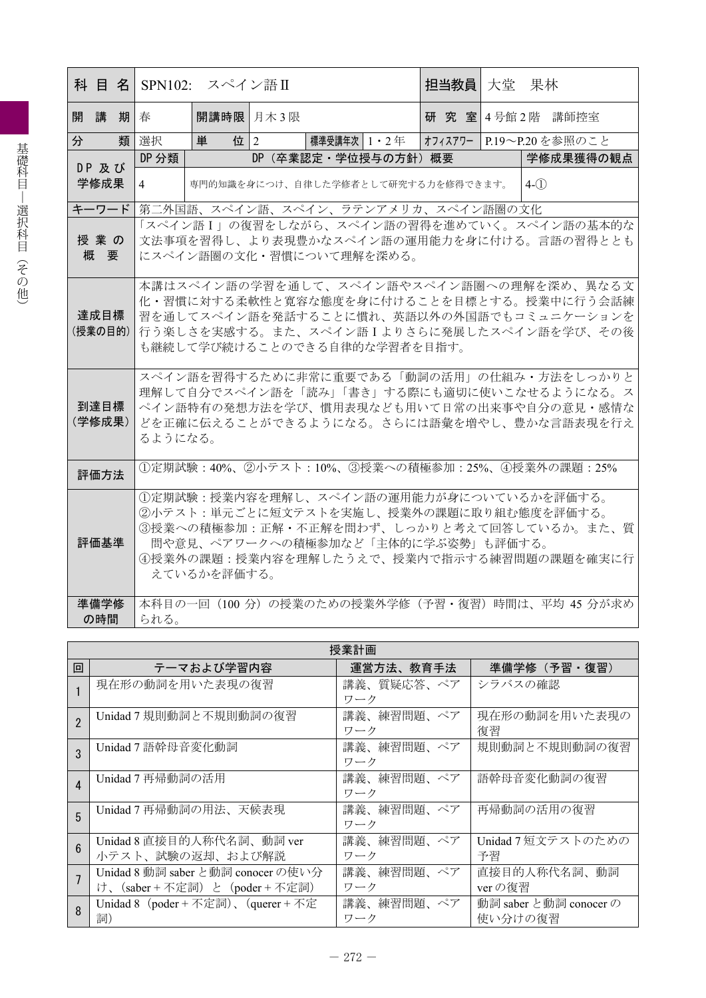|   |                 |   |                                                                                                                                                                                              | 科 目 名 SPN102: スペイン語Ⅱ         |     |                  |  | 担当教員 大堂                            |  | 果林                                                                                                                                                                              |
|---|-----------------|---|----------------------------------------------------------------------------------------------------------------------------------------------------------------------------------------------|------------------------------|-----|------------------|--|------------------------------------|--|---------------------------------------------------------------------------------------------------------------------------------------------------------------------------------|
|   | 開講              | 期 | 春                                                                                                                                                                                            | 開講時限 月木3限                    |     |                  |  |                                    |  | 研 究 室 4号館 2階 講師控室                                                                                                                                                               |
| 分 |                 | 類 | 選択                                                                                                                                                                                           | 単                            | 位 2 | 標準受講年次   1 ・ 2 年 |  |                                    |  | オフィスアワー  P.19〜P.20を参照のこと                                                                                                                                                        |
|   | DP 及び           |   | DP 分類                                                                                                                                                                                        |                              | DP. | (卒業認定・学位授与の方針)概要 |  |                                    |  | 学修成果獲得の観点                                                                                                                                                                       |
|   | 学修成果            |   | 4                                                                                                                                                                                            |                              |     |                  |  | 専門的知識を身につけ、自律した学修者として研究する力を修得できます。 |  | $4-(1)$                                                                                                                                                                         |
|   | キーワード           |   |                                                                                                                                                                                              |                              |     |                  |  | 第二外国語、スペイン語、スペイン、ラテンアメリカ、スペイン語圏の文化 |  |                                                                                                                                                                                 |
|   |                 |   |                                                                                                                                                                                              |                              |     |                  |  |                                    |  | 「スペイン語I」の復習をしながら、スペイン語の習得を進めていく。スペイン語の基本的な                                                                                                                                      |
|   | 授業の<br>概要       |   |                                                                                                                                                                                              |                              |     |                  |  |                                    |  | 文法事項を習得し、より表現豊かなスペイン語の運用能力を身に付ける。言語の習得ととも                                                                                                                                       |
|   |                 |   |                                                                                                                                                                                              | にスペイン語圏の文化・習慣について理解を深める。     |     |                  |  |                                    |  |                                                                                                                                                                                 |
|   | 達成目標<br>(授業の目的) |   |                                                                                                                                                                                              | も継続して学び続けることのできる自律的な学習者を目指す。 |     |                  |  |                                    |  | 本講はスペイン語の学習を通して、スペイン語やスペイン語圏への理解を深め、異なる文<br>化・習慣に対する柔軟性と寛容な態度を身に付けることを目標とする。授業中に行う会話練<br>習を通してスペイン語を発話することに慣れ、英語以外の外国語でもコミュニケーションを<br>行う楽しさを実感する。また、スペイン語Iよりさらに発展したスペイン語を学び、その後 |
|   | 到達目標<br>(学修成果)  |   | スペイン語を習得するために非常に重要である「動詞の活用」の仕組み・方法をしっかりと<br>理解して自分でスペイン語を「読み」「書き」する際にも適切に使いこなせるようになる。ス<br>ペイン語特有の発想方法を学び、慣用表現なども用いて日常の出来事や自分の意見・感情な<br>どを正確に伝えることができるようになる。さらには語彙を増やし、豊かな言語表現を行え<br>るようになる。 |                              |     |                  |  |                                    |  |                                                                                                                                                                                 |
|   | 評価方法            |   |                                                                                                                                                                                              |                              |     |                  |  |                                    |  | ①定期試験:40%、②小テスト:10%、③授業への積極参加:25%、4授業外の課題:25%                                                                                                                                   |
|   | 評価基準            |   |                                                                                                                                                                                              | えているかを評価する。                  |     |                  |  | 間や意見、ペアワークへの積極参加など「主体的に学ぶ姿勢」も評価する。 |  | ①定期試験:授業内容を理解し、スペイン語の運用能力が身についているかを評価する。<br>②小テスト:単元ごとに短文テストを実施し、授業外の課題に取り組む態度を評価する。<br>③授業への積極参加:正解・不正解を問わず、しっかりと考えて回答しているか。また、質<br>④授業外の課題:授業内容を理解したうえで、授業内で指示する練習問題の課題を確実に行  |
|   | 準備学修            |   |                                                                                                                                                                                              |                              |     |                  |  |                                    |  | 本科目の一回 (100分) の授業のための授業外学修 (予習・復習) 時間は、平均 45 分が求め                                                                                                                               |
|   | の時間             |   | られる。                                                                                                                                                                                         |                              |     |                  |  |                                    |  |                                                                                                                                                                                 |

|                 | 授業計画                                                             |                   |                                   |  |  |  |  |  |
|-----------------|------------------------------------------------------------------|-------------------|-----------------------------------|--|--|--|--|--|
| 回               | テーマおよび学習内容                                                       | 運営方法、教育手法         | 準備学修 (予習·復習)                      |  |  |  |  |  |
|                 | 現在形の動詞を用いた表現の復習                                                  | 講義、質疑応答、ペア<br>ワーク | シラバスの確認                           |  |  |  |  |  |
| $\overline{2}$  | Unidad 7 規則動詞と不規則動詞の復習                                           | 講義、練習問題、ペア<br>ワーク | 現在形の動詞を用いた表現の<br>復習               |  |  |  |  |  |
| 3               | Unidad 7 語幹母音変化動詞                                                | 講義、練習問題、ペア<br>ワーク | 規則動詞と不規則動詞の復習                     |  |  |  |  |  |
| $\overline{4}$  | Unidad 7 再帰動詞の活用                                                 | 講義、練習問題、ペア<br>ワーク | 語幹母音変化動詞の復習                       |  |  |  |  |  |
| 5               | Unidad 7 再帰動詞の用法、天候表現                                            | 講義、練習問題、ペア<br>ワーク | 再帰動詞の活用の復習                        |  |  |  |  |  |
| $6\overline{6}$ | Unidad 8 直接目的人称代名詞、動詞 ver<br>小テスト、試験の返却、および解説                    | 講義、練習問題、ペア<br>ワーク | Unidad 7 短文テストのための<br>予習          |  |  |  |  |  |
|                 | Unidad 8 動詞 saber と動詞 conocer の使い分<br>け、(saber+不定詞)と (poder+不定詞) | 講義、練習問題、ペア<br>ワーク | 直接目的人称代名詞、動詞<br>ver の復習           |  |  |  |  |  |
| 8               | Unidad 8 (poder + 不定詞)、(querer + 不定<br>詞)                        | 講義、練習問題、ペア<br>ワーク | 動詞 saber と動詞 conocer の<br>使い分けの復習 |  |  |  |  |  |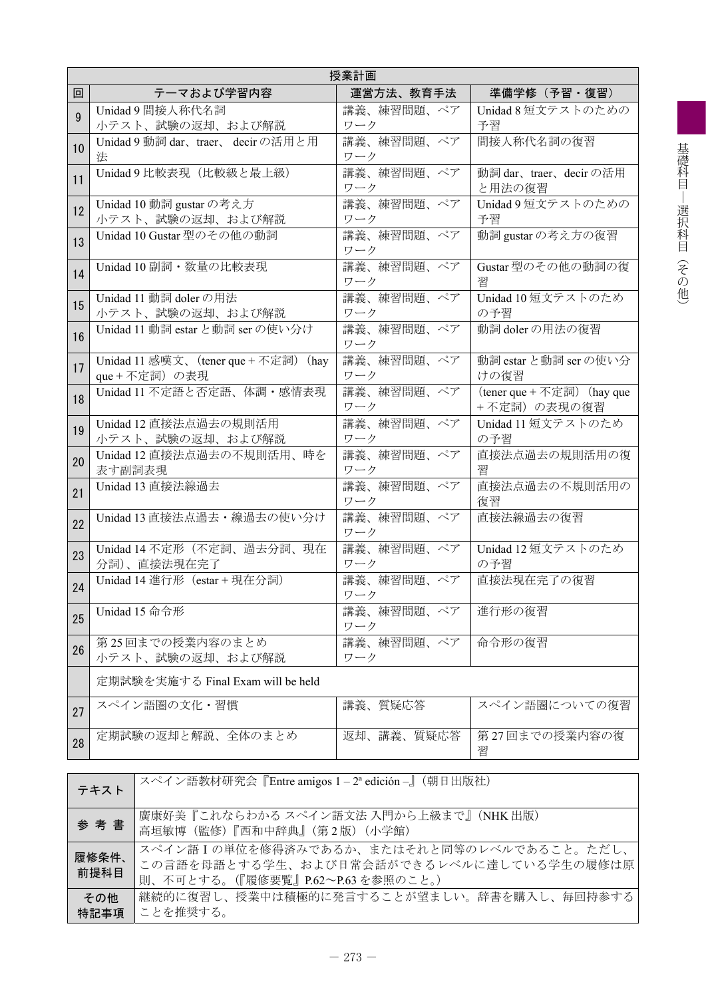|    | 授業計画                                                   |                   |                                           |  |  |  |  |  |  |
|----|--------------------------------------------------------|-------------------|-------------------------------------------|--|--|--|--|--|--|
| 回  | テーマおよび学習内容                                             | 運営方法、教育手法         | 準備学修(予習・復習)                               |  |  |  |  |  |  |
| 9  | Unidad 9 間接人称代名詞<br>小テスト、試験の返却、および解説                   | 講義、練習問題、ペア<br>ワーク | Unidad 8 短文テストのための<br>予習                  |  |  |  |  |  |  |
| 10 | Unidad 9 動詞 dar、traer、 decir の活用と用<br>法                | 講義、練習問題、ペア<br>ワーク | 間接人称代名詞の復習                                |  |  |  |  |  |  |
| 11 | Unidad 9 比較表現 (比較級と最上級)                                | 講義、練習問題、ペア<br>ワーク | 動詞 dar、traer、decir の活用<br>と用法の復習          |  |  |  |  |  |  |
| 12 | Unidad 10 動詞 gustar の考え方<br>小テスト、試験の返却、および解説           | 講義、練習問題、ペア<br>ワーク | Unidad 9短文テストのための<br>予習                   |  |  |  |  |  |  |
| 13 | Unidad 10 Gustar 型のその他の動詞                              | 講義、練習問題、ペア<br>ワーク | 動詞 gustar の考え方の復習                         |  |  |  |  |  |  |
| 14 | Unidad 10 副詞·数量の比較表現                                   | 講義、練習問題、ペア<br>ワーク | Gustar型のその他の動詞の復<br>習                     |  |  |  |  |  |  |
| 15 | Unidad 11 動詞 doler の用法<br>小テスト、試験の返却、および解説             | 講義、練習問題、ペア<br>ワーク | Unidad 10 短文テストのため<br>の予習                 |  |  |  |  |  |  |
| 16 | Unidad 11 動詞 estar と動詞 ser の使い分け                       | 講義、練習問題、ペア<br>ワーク | 動詞 doler の用法の復習                           |  |  |  |  |  |  |
| 17 | Unidad 11 感嘆文、(tener que + 不定詞) (hay<br>que + 不定詞) の表現 | 講義、練習問題、ペア<br>ワーク | 動詞 estar と動詞 ser の使い分<br>けの復習             |  |  |  |  |  |  |
| 18 | Unidad 11 不定語と否定語、体調·感情表現                              | 講義、練習問題、ペア<br>ワーク | (tener que + 不定詞) (hay que<br>+不定詞)の表現の復習 |  |  |  |  |  |  |
| 19 | Unidad 12 直接法点過去の規則活用<br>小テスト、試験の返却、および解説              | 講義、練習問題、ペア<br>ワーク | Unidad 11 短文テストのため<br>の予習                 |  |  |  |  |  |  |
| 20 | Unidad 12 直接法点過去の不規則活用、時を<br>表す副詞表現                    | 講義、練習問題、ペア<br>ワーク | 直接法点過去の規則活用の復<br>習                        |  |  |  |  |  |  |
| 21 | Unidad 13 直接法線過去                                       | 講義、練習問題、ペア<br>ワーク | 直接法点過去の不規則活用の<br>復習                       |  |  |  |  |  |  |
| 22 | Unidad 13 直接法点過去·線過去の使い分け                              | 講義、練習問題、ペア<br>ワーク | 直接法線過去の復習                                 |  |  |  |  |  |  |
| 23 | Unidad 14 不定形 (不定詞、過去分詞、現在<br>分詞)、直接法現在完了              | 講義、練習問題、ペア<br>ワーク | Unidad 12 短文テストのため<br>の予習                 |  |  |  |  |  |  |
| 24 | Unidad 14 進行形 (estar + 現在分詞)                           | 講義、練習問題、ペア<br>ワーク | 直接法現在完了の復習                                |  |  |  |  |  |  |
| 25 | Unidad 15 命令形                                          | 講義、練習問題、ペア<br>ワーク | 進行形の復習                                    |  |  |  |  |  |  |
| 26 | 第25回までの授業内容のまとめ<br>小テスト、試験の返却、および解説                    | 講義、練習問題、ペア<br>ワーク | 命令形の復習                                    |  |  |  |  |  |  |
|    | 定期試験を実施する Final Exam will be held                      |                   |                                           |  |  |  |  |  |  |
| 27 | スペイン語圏の文化・習慣                                           | 講義、質疑応答           | スペイン語圏についての復習                             |  |  |  |  |  |  |
| 28 | 定期試験の返却と解説、全体のまとめ                                      | 返却、講義、質疑応答        | 第27回までの授業内容の復<br>習                        |  |  |  |  |  |  |

| テキスト          | スペイン語教材研究会『Entre amigos 1-2 <sup>a</sup> edición-』(朝日出版社)                                                                 |
|---------------|---------------------------------------------------------------------------------------------------------------------------|
| 参考書           | 廣康好美『これならわかる スペイン語文法 入門から上級まで』(NHK出版)<br>高垣敏博 (監修)『西和中辞典』(第2版) (小学館)                                                      |
| 履修条件、<br>前提科目 | スペイン語Iの単位を修得済みであるか、またはそれと同等のレベルであること。ただし、<br>この言語を母語とする学生、および日常会話ができるレベルに達している学生の履修は原<br>則、不可とする。(『履修要覧』P.62~P.63を参照のこと。) |
| その他<br>特記事項   | 継続的に復習し、授業中は積極的に発言することが望ましい。辞書を購入し、毎回持参する<br>ことを推奨する。                                                                     |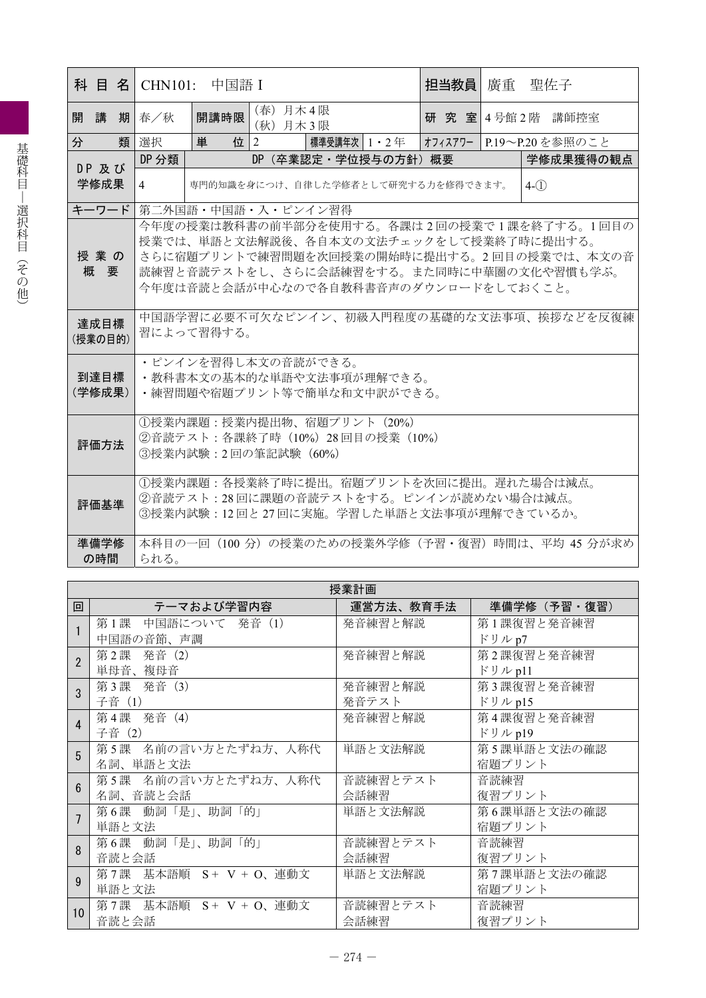|                 |                                                                                                                                                                             | 科 目 名   CHN101: 中国語 I |                      |                                                                                   |  | 担当教員 | 廣重 | 聖佐子                                                |
|-----------------|-----------------------------------------------------------------------------------------------------------------------------------------------------------------------------|-----------------------|----------------------|-----------------------------------------------------------------------------------|--|------|----|----------------------------------------------------|
| 開講              | 期 春/秋                                                                                                                                                                       | 開講時限                  | (春) 月木4限<br>(秋) 月木3限 |                                                                                   |  |      |    | 研究 室 4号館 2階 講師控室                                   |
| 分               | 類 選択                                                                                                                                                                        | 単                     | 位 $ 2$               | 標準受講年次   1 ・ 2 年                                                                  |  |      |    | オフィスアワー   P.19〜P.20 を参照のこと                         |
|                 | DP 分類                                                                                                                                                                       |                       |                      | DP(卒業認定・学位授与の方針)概要                                                                |  |      |    | 学修成果獲得の観点                                          |
| DP 及び<br>学修成果   | 4                                                                                                                                                                           |                       |                      | 専門的知識を身につけ、自律した学修者として研究する力を修得できます。                                                |  |      |    | $4-(1)$                                            |
| キーワード           |                                                                                                                                                                             | 第二外国語・中国語・入・ピンイン習得    |                      |                                                                                   |  |      |    |                                                    |
|                 |                                                                                                                                                                             |                       |                      |                                                                                   |  |      |    | 今年度の授業は教科書の前半部分を使用する。各課は2回の授業で1課を終了する。1回目の         |
| 授業の<br>概要       | 授業では、単語と文法解説後、各自本文の文法チェックをして授業終了時に提出する。<br>さらに宿題プリントで練習問題を次回授業の開始時に提出する。2回目の授業では、本文の音<br>読練習と音読テストをし、さらに会話練習をする。また同時に中華圏の文化や習慣も学ぶ。<br>今年度は音読と会話が中心なので各自教科書音声のダウンロードをしておくこと。 |                       |                      |                                                                                   |  |      |    |                                                    |
| 達成目標<br>(授業の目的) | 中国語学習に必要不可欠なピンイン、初級入門程度の基礎的な文法事項、挨拶などを反復練<br>習によって習得する。                                                                                                                     |                       |                      |                                                                                   |  |      |    |                                                    |
| 到達目標<br>(学修成果)  | ・ピンインを習得し本文の音読ができる。<br>・教科書本文の基本的な単語や文法事項が理解できる。<br>•練習問題や宿題プリント等で簡単な和文中訳ができる。                                                                                              |                       |                      |                                                                                   |  |      |    |                                                    |
| 評価方法            | ①授業内課題:授業内提出物、宿題プリント (20%)<br>②音読テスト:各課終了時 (10%) 28回目の授業 (10%)<br>③授業内試験: 2回の筆記試験 (60%)                                                                                     |                       |                      |                                                                                   |  |      |    |                                                    |
| 評価基準            |                                                                                                                                                                             |                       |                      | ②音読テスト:28回に課題の音読テストをする。ピンインが読めない場合は減点。<br>③授業内試験:12回と27回に実施。学習した単語と文法事項が理解できているか。 |  |      |    | ①授業内課題:各授業終了時に提出。宿題プリントを次回に提出。遅れた場合は減点。            |
| 準備学修<br>の時間     | られる。                                                                                                                                                                        |                       |                      |                                                                                   |  |      |    | 本科目の一回 (100 分) の授業のための授業外学修 (予習・復習) 時間は、平均 45 分が求め |

|                  | 授業計画                      |           |             |  |  |  |  |  |
|------------------|---------------------------|-----------|-------------|--|--|--|--|--|
| 回                | テーマおよび学習内容                | 運営方法、教育手法 | 準備学修(予習・復習) |  |  |  |  |  |
|                  | 第1課<br>中国語について 発音(1)      | 発音練習と解説   | 第1課復習と発音練習  |  |  |  |  |  |
|                  | 中国語の音節、声調                 |           | ドリル p7      |  |  |  |  |  |
| $\overline{2}$   | 第2課 発音 (2)                | 発音練習と解説   | 第2課復習と発音練習  |  |  |  |  |  |
|                  | 単母音、複母音                   |           | ドリル p11     |  |  |  |  |  |
| 3                | 第3課 発音 (3)                | 発音練習と解説   | 第3課復習と発音練習  |  |  |  |  |  |
|                  | 子音 (1)                    | 発音テスト     | ドリル p15     |  |  |  |  |  |
| $\overline{4}$   | 第4課 発音 (4)                | 発音練習と解説   | 第4課復習と発音練習  |  |  |  |  |  |
|                  | 子音 (2)                    |           | ドリル p19     |  |  |  |  |  |
| 5                | 第5課 名前の言い方とたずね方、人称代       | 単語と文法解説   | 第5課単語と文法の確認 |  |  |  |  |  |
|                  | 名詞、単語と文法                  |           | 宿題プリント      |  |  |  |  |  |
| $6 \overline{6}$ | 第5課 名前の言い方とたずね方、人称代       | 音読練習とテスト  | 音読練習        |  |  |  |  |  |
|                  | 名詞、音読と会話                  | 会話練習      | 復習プリント      |  |  |  |  |  |
| $\overline{7}$   | 第6課 動詞「是」、助詞「的」           | 単語と文法解説   | 第6課単語と文法の確認 |  |  |  |  |  |
|                  | 単語と文法                     |           | 宿題プリント      |  |  |  |  |  |
| 8                | 第6課 動詞「是」、助詞「的」           | 音読練習とテスト  | 音読練習        |  |  |  |  |  |
|                  | 音読と会話                     | 会話練習      | 復習プリント      |  |  |  |  |  |
| q                | 第7課 基本語順 S + V + O、連動文    | 単語と文法解説   | 第7課単語と文法の確認 |  |  |  |  |  |
|                  | 単語と文法                     |           | 宿題プリント      |  |  |  |  |  |
| 10               | 第7課 基本語順 $S + V + O$ 、連動文 | 音読練習とテスト  | 音読練習        |  |  |  |  |  |
|                  | 音読と会話                     | 会話練習      | 復習プリント      |  |  |  |  |  |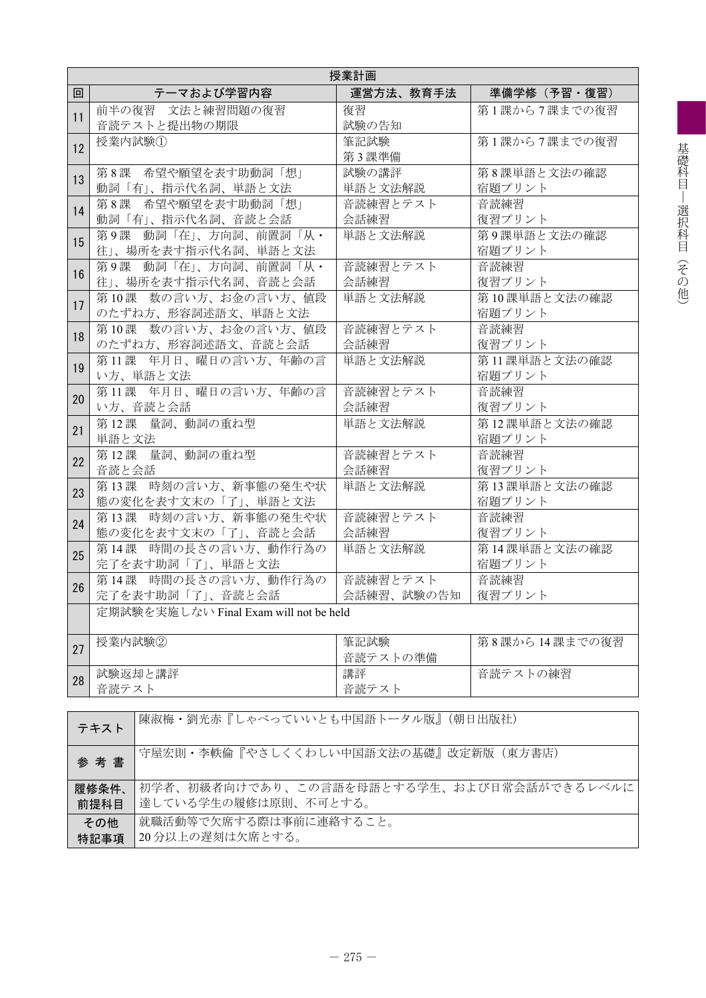|    |                                                       | 授業計画             |                        |  |  |
|----|-------------------------------------------------------|------------------|------------------------|--|--|
| 回  | テーマおよび学習内容                                            | 運営方法、教育手法        | 準備学修(予習・復習)            |  |  |
| 11 | 前半の復習 文法と練習問題の復習<br>音読テストと提出物の期限                      | 復習<br>試験の告知      | 第1課から7課までの復習           |  |  |
| 12 | 授業内試験①                                                | 筆記試験<br>第3課準備    | 第1課から7課までの復習           |  |  |
| 13 | 第8課 希望や願望を表す助動詞「想」<br>動詞「有」、指示代名詞、単語と文法               | 試験の講評<br>単語と文法解説 | 第8課単語と文法の確認<br>宿題プリント  |  |  |
| 14 | 第8課 希望や願望を表す助動詞「想」<br>動詞「有」、指示代名詞、音読と会話               | 音読練習とテスト<br>会話練習 | 音読練習<br>復習プリント         |  |  |
| 15 | 第9課 動詞「在」、方向詞、前置詞「从·<br>往」、場所を表す指示代名詞、単語と文法           | 単語と文法解説          | 第9課単語と文法の確認<br>宿題プリント  |  |  |
| 16 | 第9課 動詞「在」、方向詞、前置詞「从·<br>往」、場所を表す指示代名詞、音読と会話           | 音読練習とテスト<br>会話練習 | 音読練習<br>復習プリント         |  |  |
| 17 | 第10課 数の言い方、お金の言い方、値段<br>のたずね方、形容詞述語文、単語と文法            | 単語と文法解説          | 第10課単語と文法の確認<br>宿題プリント |  |  |
| 18 | 第10課 数の言い方、お金の言い方、値段<br>のたずね方、形容詞述語文、音読と会話            | 音読練習とテスト<br>会話練習 | 音読練習<br>復習プリント         |  |  |
| 19 | 第11課 年月日、曜日の言い方、年齢の言<br>い方、単語と文法                      | 単語と文法解説          | 第11課単語と文法の確認<br>宿題プリント |  |  |
| 20 | 第11課 年月日、曜日の言い方、年齢の言<br>い方、音読と会話                      | 音読練習とテスト<br>会話練習 | 音読練習<br>復習プリント         |  |  |
| 21 | 第12課 量詞、動詞の重ね型<br>単語と文法                               | 単語と文法解説          | 第12課単語と文法の確認<br>宿題プリント |  |  |
| 22 | 第12課 量詞、動詞の重ね型<br>音読と会話                               | 音読練習とテスト<br>会話練習 | 音読練習<br>復習プリント         |  |  |
| 23 | 第13課 時刻の言い方、新事態の発生や状<br>態の変化を表す文末の「了」、単語と文法           | 単語と文法解説          | 第13課単語と文法の確認<br>宿題プリント |  |  |
| 24 | 第13課 時刻の言い方、新事態の発生や状<br>態の変化を表す文末の「了」、音読と会話           | 音読練習とテスト<br>会話練習 | 音読練習<br>復習プリント         |  |  |
| 25 | 第14課 時間の長さの言い方、動作行為の<br>完了を表す助詞「了」、単語と文法              | 単語と文法解説          | 第14課単語と文法の確認<br>宿題プリント |  |  |
| 26 | 第14課 時間の長さの言い方、動作行為の<br>完了を表す助詞「了」、音読と会話   会話練習、試験の告知 | 音読練習とテスト         | 音読練習<br>復習プリント         |  |  |
|    | 定期試験を実施しない Final Exam will not be held                |                  |                        |  |  |
| 27 | 授業内試験2                                                | 筆記試験<br>音読テストの準備 | 第8課から14課までの復習          |  |  |
| 28 | 試験返却と講評<br>音読テスト                                      | 講評<br>音読テスト      | 音読テストの練習               |  |  |
|    | 陳淑梅·劉光赤『しゃべっていいとも中国語トータル版』(朝日出版社)<br>テキスト             |                  |                        |  |  |

| 7 T 7 T 1 |                                           |
|-----------|-------------------------------------------|
| 参考書       | 守屋宏則・李軼倫『やさしくくわしい中国語文法の基礎』改定新版(東方書店)      |
|           |                                           |
| 履修条件、     | 初学者、初級者向けであり、この言語を母語とする学生、および日常会話ができるレベルに |
| 前提科目      | 達している学生の履修は原則、不可とする。                      |
| その他       | 就職活動等で欠席する際は事前に連絡すること。                    |
|           | 20分以上の遅刻は欠席とする。                           |
| 特記事項      |                                           |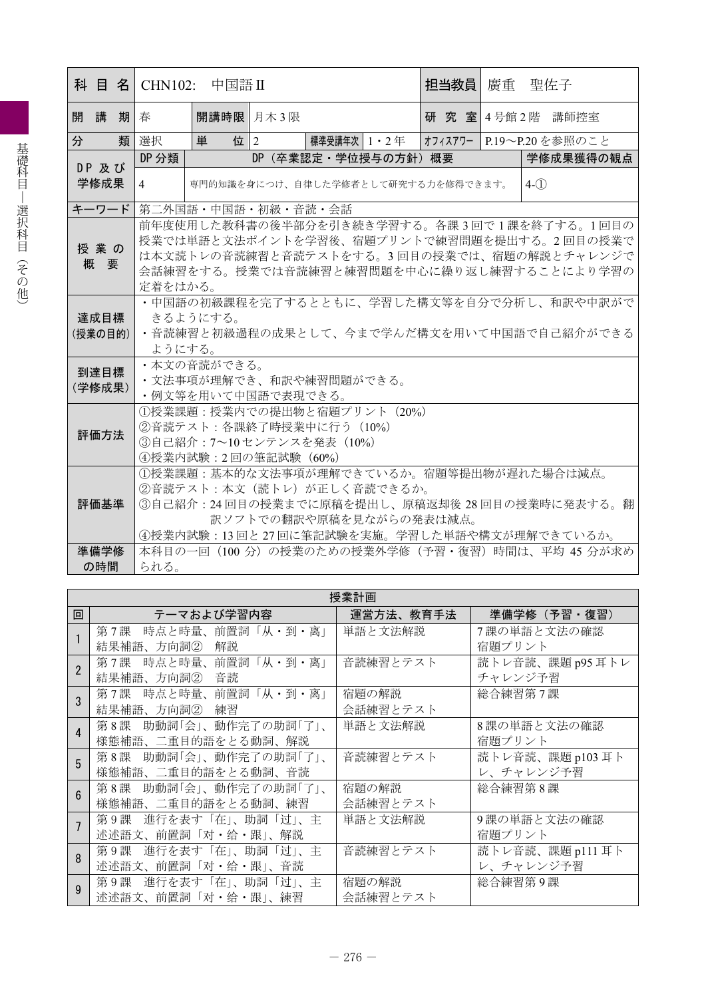| 科目名             |                                                                                                                                                                                                 | $CHN102$ : 中国語Ⅱ    |  |                                                      |  | 担当教員丨 | 廣重 | 聖佐子                                                                                                                                                                                           |
|-----------------|-------------------------------------------------------------------------------------------------------------------------------------------------------------------------------------------------|--------------------|--|------------------------------------------------------|--|-------|----|-----------------------------------------------------------------------------------------------------------------------------------------------------------------------------------------------|
| 講<br>期<br>開     | 春                                                                                                                                                                                               | 開講時限 月木3限          |  |                                                      |  |       |    | 研究室 4号館 2階 講師控室                                                                                                                                                                               |
| 分<br>類          | 選択                                                                                                                                                                                              | 単<br>位 $ 2 $       |  | 標準受講年次   1 ・ 2 年                                     |  |       |    | オフィスアワー   P.19〜P.20 を参照のこと                                                                                                                                                                    |
| DP 及び           | DP 分類                                                                                                                                                                                           |                    |  | DP (卒業認定·学位授与の方針) 概要                                 |  |       |    | 学修成果獲得の観点                                                                                                                                                                                     |
| 学修成果            | $\overline{4}$                                                                                                                                                                                  |                    |  | 専門的知識を身につけ、自律した学修者として研究する力を修得できます。                   |  |       |    | $4-(1)$                                                                                                                                                                                       |
| キーワード           |                                                                                                                                                                                                 | 第二外国語・中国語・初級・音読・会話 |  |                                                      |  |       |    |                                                                                                                                                                                               |
| 授業の<br>概要       | 前年度使用した教科書の後半部分を引き続き学習する。各課3回で1課を終了する。1回目の<br>授業では単語と文法ポイントを学習後、宿題プリントで練習問題を提出する。2回目の授業で<br>は本文読トレの音読練習と音読テストをする。3 回目の授業では、宿題の解説とチャレンジで<br>会話練習をする。授業では音読練習と練習問題を中心に繰り返し練習することにより学習の<br>定着をはかる。 |                    |  |                                                      |  |       |    |                                                                                                                                                                                               |
| 達成目標<br>(授業の目的) | • 中国語の初級課程を完了するとともに、学習した構文等を自分で分析し、和訳や中訳がで<br>きるようにする。<br>・音読練習と初級過程の成果として、今まで学んだ構文を用いて中国語で自己紹介ができる<br>ようにする。                                                                                   |                    |  |                                                      |  |       |    |                                                                                                                                                                                               |
| 到達目標<br>(学修成果)  | ・本文の音読ができる。<br>・文法事項が理解でき、和訳や練習問題ができる。<br>・例文等を用いて中国語で表現できる。                                                                                                                                    |                    |  |                                                      |  |       |    |                                                                                                                                                                                               |
| 評価方法            | ①授業課題:授業内での提出物と宿題プリント (20%)<br>②音読テスト:各課終了時授業中に行う (10%)<br>③自己紹介: 7~10センテンスを発表 (10%)<br>④授業内試験:2回の筆記試験 (60%)                                                                                    |                    |  |                                                      |  |       |    |                                                                                                                                                                                               |
| 評価基準<br>準備学修    |                                                                                                                                                                                                 |                    |  | ②音読テスト:本文(読トレ)が正しく音読できるか。<br>訳ソフトでの翻訳や原稿を見ながらの発表は減点。 |  |       |    | ①授業課題:基本的な文法事項が理解できているか。宿題等提出物が遅れた場合は減点。<br>③自己紹介: 24回目の授業までに原稿を提出し、原稿返却後 28回目の授業時に発表する。翻<br>④授業内試験:13回と27回に筆記試験を実施。学習した単語や構文が理解できているか。<br>本科目の一回 (100 分) の授業のための授業外学修 (予習・復習) 時間は、平均 45 分が求め |
| の時間             | られる。                                                                                                                                                                                            |                    |  |                                                      |  |       |    |                                                                                                                                                                                               |

|                    | 授業計画                    |           |                  |  |  |  |  |  |  |  |  |
|--------------------|-------------------------|-----------|------------------|--|--|--|--|--|--|--|--|
| 回                  | テーマおよび学習内容              | 運営方法、教育手法 | 準備学修 (予習·復習)     |  |  |  |  |  |  |  |  |
|                    | 第7課<br>時点と時量、前置詞「从・到・离」 | 単語と文法解説   | 7課の単語と文法の確認      |  |  |  |  |  |  |  |  |
|                    | 結果補語、方向詞②<br>解説         |           | 宿題プリント           |  |  |  |  |  |  |  |  |
|                    | 時点と時量、前置詞「从・到・离」<br>第7課 | 音読練習とテスト  | 読トレ音読、課題 p95 耳トレ |  |  |  |  |  |  |  |  |
|                    | 結果補語、方向詞② 音読            |           | チャレンジ予習          |  |  |  |  |  |  |  |  |
|                    | 時点と時量、前置詞「从・到・离」<br>第7課 | 宿題の解説     | 総合練習第7課          |  |  |  |  |  |  |  |  |
|                    | 結果補語、方向詞② 練習            | 会話練習とテスト  |                  |  |  |  |  |  |  |  |  |
| $\mathbf{\Lambda}$ | 第8課 助動詞「会」、動作完了の助詞「了」、  | 単語と文法解説   | 8課の単語と文法の確認      |  |  |  |  |  |  |  |  |
|                    | 様態補語、二重目的語をとる動詞、解説      |           | 宿題プリント           |  |  |  |  |  |  |  |  |
| 5                  | 第8課 助動詞「会」、動作完了の助詞「了」、  | 音読練習とテスト  | 読トレ音読、課題 p103 耳ト |  |  |  |  |  |  |  |  |
|                    | 様態補語、二重目的語をとる動詞、音読      |           | レ、チャレンジ予習        |  |  |  |  |  |  |  |  |
| $6\overline{6}$    | 第8課 助動詞「会」、動作完了の助詞「了」、  | 宿題の解説     | 総合練習第8課          |  |  |  |  |  |  |  |  |
|                    | 様態補語、二重目的語をとる動詞、練習      | 会話練習とテスト  |                  |  |  |  |  |  |  |  |  |
|                    | 第9課 進行を表す「在」、助詞「过」、主    | 単語と文法解説   | 9課の単語と文法の確認      |  |  |  |  |  |  |  |  |
|                    | 述述語文、前置詞「对・给・跟」、解説      |           | 宿題プリント           |  |  |  |  |  |  |  |  |
| 8                  | 進行を表す「在」、助詞「过」、主<br>第9課 | 音読練習とテスト  | 読トレ音読、課題 p111 耳ト |  |  |  |  |  |  |  |  |
|                    | 述述語文、前置詞「对・给・跟」、音読      |           | レ、チャレンジ予習        |  |  |  |  |  |  |  |  |
| $\mathbf{Q}$       | 第9課 進行を表す「在」、助詞「过」、主    | 宿題の解説     | 総合練習第9課          |  |  |  |  |  |  |  |  |
|                    | 述述語文、前置詞「对・给・跟」、練習      | 会話練習とテスト  |                  |  |  |  |  |  |  |  |  |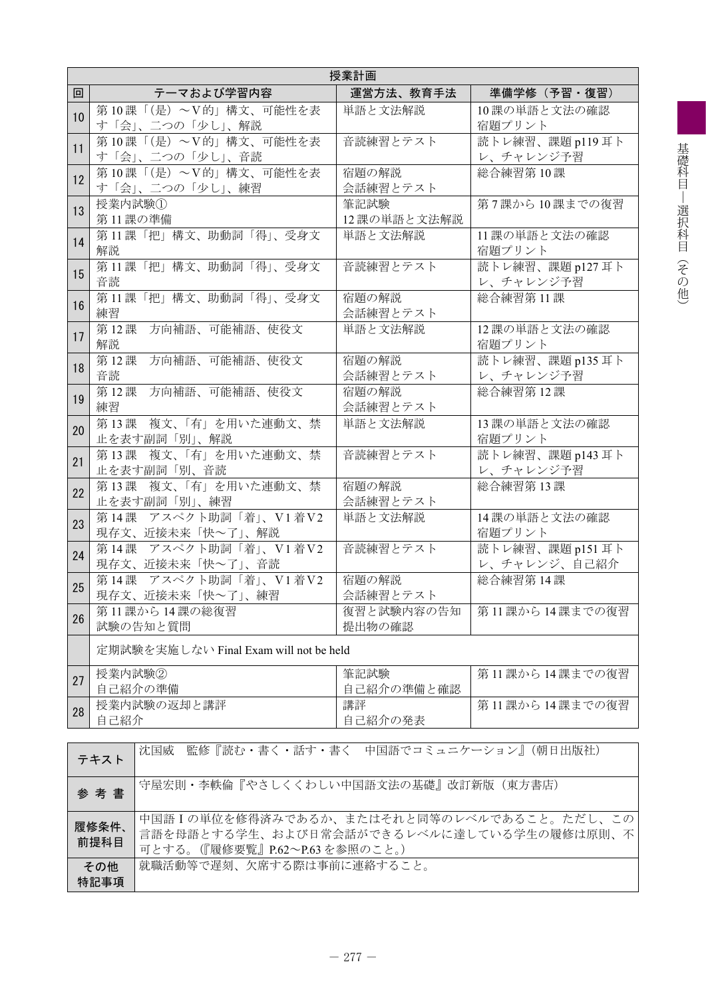|    | 授業計画                                                |                     |                                  |  |  |  |  |  |  |  |
|----|-----------------------------------------------------|---------------------|----------------------------------|--|--|--|--|--|--|--|
| 回  | テーマおよび学習内容                                          | 運営方法、教育手法           | 準備学修 (予習·復習)                     |  |  |  |  |  |  |  |
| 10 | 第10課「(是) ~V的」構文、可能性を表<br>す「会」、二つの「少し」、解説            | 単語と文法解説             | 10課の単語と文法の確認<br>宿題プリント           |  |  |  |  |  |  |  |
| 11 | 第10課「(是) ~V的」構文、可能性を表<br>す「会」、二つの「少し」、音読            | 音読練習とテスト            | 読トレ練習、課題 p119 耳ト<br>レ、チャレンジ予習    |  |  |  |  |  |  |  |
| 12 | 第10課「(是) ~V的」構文、可能性を表<br>す「会」、二つの「少し」、練習            | 宿題の解説<br>会話練習とテスト   | 総合練習第10課                         |  |  |  |  |  |  |  |
| 13 | 授業内試験①<br>第11課の準備                                   | 筆記試験<br>12課の単語と文法解説 | 第7課から10課までの復習                    |  |  |  |  |  |  |  |
| 14 | 第11課「把」構文、助動詞「得」、受身文<br>解説                          | 単語と文法解説             | 11課の単語と文法の確認<br>宿題プリント           |  |  |  |  |  |  |  |
| 15 | 第11課「把」構文、助動詞「得」、受身文<br>音読                          | 音読練習とテスト            | 読トレ練習、課題 p127 耳ト<br>レ、チャレンジ予習    |  |  |  |  |  |  |  |
| 16 | 第11課「把」構文、助動詞「得」、受身文<br>練習                          | 宿題の解説<br>会話練習とテスト   | 総合練習第11課                         |  |  |  |  |  |  |  |
| 17 | 第12課<br>方向補語、可能補語、使役文<br>解説                         | 単語と文法解説             | 12課の単語と文法の確認<br>宿題プリント           |  |  |  |  |  |  |  |
| 18 | 第12課<br>方向補語、可能補語、使役文<br>音読                         | 宿題の解説<br>会話練習とテスト   | 読トレ練習、課題 p135 耳ト<br>レ、チャレンジ予習    |  |  |  |  |  |  |  |
| 19 | 方向補語、可能補語、使役文<br>第12課<br>練習                         | 宿題の解説<br>会話練習とテスト   | 総合練習第12課                         |  |  |  |  |  |  |  |
| 20 | 第13課 複文、「有」を用いた連動文、禁<br>止を表す副詞「別」、解説                | 単語と文法解説             | 13課の単語と文法の確認<br>宿題プリント           |  |  |  |  |  |  |  |
| 21 | 複文、「有」を用いた連動文、禁<br>第13課<br>止を表す副詞「別、音読              | 音読練習とテスト            | 読トレ練習、課題 p143 耳ト<br>レ、チャレンジ予習    |  |  |  |  |  |  |  |
| 22 | 複文、「有」を用いた連動文、禁<br>第13課<br>止を表す副詞「別」、練習             | 宿題の解説<br>会話練習とテスト   | 総合練習第13課                         |  |  |  |  |  |  |  |
| 23 | 第14課 アスペクト助詞「着」、V1着V2<br>現存文、近接未来「快~了」、解説           | 単語と文法解説             | 14課の単語と文法の確認<br>宿題プリント           |  |  |  |  |  |  |  |
| 24 | 第14課 アスペクト助詞「着」、V1着V2<br>現存文、近接未来「快~了」、音読           | 音読練習とテスト            | 読トレ練習、課題 p151 耳ト<br>レ、チャレンジ、自己紹介 |  |  |  |  |  |  |  |
| 25 | 第14課 アスペクト助詞「着」、V1着V2<br>現存文、近接未来「快~了」、練習           | 宿題の解説<br>会話練習とテスト   | 総合練習第14課                         |  |  |  |  |  |  |  |
| 26 | 第11課から14課の総復習<br>試験の告知と質問                           | 第11課から14課までの復習      |                                  |  |  |  |  |  |  |  |
|    | 定期試験を実施しない Final Exam will not be held              |                     |                                  |  |  |  |  |  |  |  |
| 27 | 授業内試験②<br>自己紹介の準備                                   | 筆記試験<br>自己紹介の準備と確認  | 第11課から14課までの復習                   |  |  |  |  |  |  |  |
| 28 | 授業内試験の返却と講評<br>自己紹介                                 | 講評<br>自己紹介の発表       | 第11課から14課までの復習                   |  |  |  |  |  |  |  |
|    |                                                     |                     |                                  |  |  |  |  |  |  |  |
|    | 監修『読む・書く・話す・書く 中国語でコミュニケーション』(朝日出版社)<br>沈国威<br>テキスト |                     |                                  |  |  |  |  |  |  |  |
|    | 守屋宏則・李軼倫『やさしくくわしい中国語文法の基礎』改訂新版(東方書店)<br>参考書         |                     |                                  |  |  |  |  |  |  |  |
|    | 中国語Iの単位を修得済みであるか、またはそれと同等のレベルであること。ただし、この<br>履修条件   |                     |                                  |  |  |  |  |  |  |  |

可とする。(『履修要覧』P.62~P.63 を参照のこと。)

就職活動等で遅刻、欠席する際は事前に連絡すること。

言語を母語とする学生、および日常会話ができるレベルに達している学生の履修は原則、不

前提科目

その他 特記事項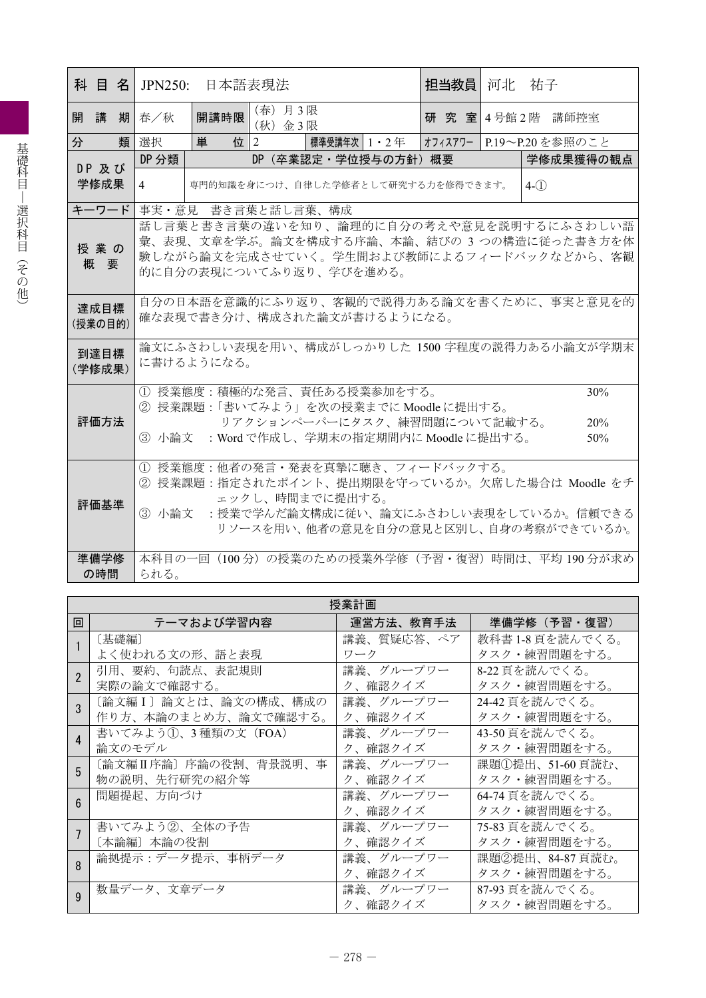| (春) 月3限<br>開講時限<br>開講<br>期 春/秋<br>研 究 室 4号館 2階 講師控室<br>(秋) 金3限<br>分<br>類 選択<br>単<br>位 $ 2 $<br>標準受講年次 1・2 年<br>オフィスアワー   P.19〜P.20 を参照のこと<br>DP 分類<br>DP (卒業認定·学位授与の方針) 概要<br>学修成果獲得の観点<br>DP 及び<br>学修成果<br>専門的知識を身につけ、自律した学修者として研究する力を修得できます。<br>$4-(1)$<br>4<br>キーワード<br> 事実・意見 書き言葉と話し言葉、構成<br>話し言葉と書き言葉の違いを知り、論理的に自分の考えや意見を説明するにふさわしい語<br>彙、表現、文章を学ぶ。論文を構成する序論、本論、結びの 3 つの構造に従った書き方を体<br>授業の<br>験しながら論文を完成させていく。学生間および教師によるフィードバックなどから、客観<br>概要<br>的に自分の表現についてふり返り、学びを進める。<br>自分の日本語を意識的にふり返り、客観的で説得力ある論文を書くために、事実と意見を的<br>達成目標<br>確な表現で書き分け、構成された論文が書けるようになる。<br>(授業の目的)<br>論文にふさわしい表現を用い、構成がしっかりした 1500 字程度の説得力ある小論文が学期末<br>到達目標<br>に書けるようになる。<br>(学修成果)<br>1 授業態度:積極的な発言、責任ある授業参加をする。<br>30%<br>② 授業課題:「書いてみよう」を次の授業までに Moodle に提出する。<br>評価方法<br>リアクションペーパーにタスク、練習問題について記載する。<br>20%<br>3 小論文 : Word で作成し、学期末の指定期間内に Moodle に提出する。<br>50%<br>① 授業態度:他者の発言・発表を真摯に聴き、フィードバックする。<br>② 授業課題:指定されたポイント、提出期限を守っているか。欠席した場合は Moodle をチ | 科 目 名 JPN250: 日本語表現法 |                 |  |  |  |  |  | 担当教員 | 河北 | 祐子 |  |
|----------------------------------------------------------------------------------------------------------------------------------------------------------------------------------------------------------------------------------------------------------------------------------------------------------------------------------------------------------------------------------------------------------------------------------------------------------------------------------------------------------------------------------------------------------------------------------------------------------------------------------------------------------------------------------------------------------------------------------------------------------------------------------------------------------------------------------------------------------------------------------------------------------------------------------------|----------------------|-----------------|--|--|--|--|--|------|----|----|--|
|                                                                                                                                                                                                                                                                                                                                                                                                                                                                                                                                                                                                                                                                                                                                                                                                                                                                                                                                        |                      |                 |  |  |  |  |  |      |    |    |  |
|                                                                                                                                                                                                                                                                                                                                                                                                                                                                                                                                                                                                                                                                                                                                                                                                                                                                                                                                        |                      |                 |  |  |  |  |  |      |    |    |  |
|                                                                                                                                                                                                                                                                                                                                                                                                                                                                                                                                                                                                                                                                                                                                                                                                                                                                                                                                        |                      |                 |  |  |  |  |  |      |    |    |  |
|                                                                                                                                                                                                                                                                                                                                                                                                                                                                                                                                                                                                                                                                                                                                                                                                                                                                                                                                        |                      |                 |  |  |  |  |  |      |    |    |  |
|                                                                                                                                                                                                                                                                                                                                                                                                                                                                                                                                                                                                                                                                                                                                                                                                                                                                                                                                        |                      |                 |  |  |  |  |  |      |    |    |  |
|                                                                                                                                                                                                                                                                                                                                                                                                                                                                                                                                                                                                                                                                                                                                                                                                                                                                                                                                        |                      |                 |  |  |  |  |  |      |    |    |  |
|                                                                                                                                                                                                                                                                                                                                                                                                                                                                                                                                                                                                                                                                                                                                                                                                                                                                                                                                        |                      |                 |  |  |  |  |  |      |    |    |  |
|                                                                                                                                                                                                                                                                                                                                                                                                                                                                                                                                                                                                                                                                                                                                                                                                                                                                                                                                        |                      |                 |  |  |  |  |  |      |    |    |  |
|                                                                                                                                                                                                                                                                                                                                                                                                                                                                                                                                                                                                                                                                                                                                                                                                                                                                                                                                        |                      |                 |  |  |  |  |  |      |    |    |  |
|                                                                                                                                                                                                                                                                                                                                                                                                                                                                                                                                                                                                                                                                                                                                                                                                                                                                                                                                        |                      |                 |  |  |  |  |  |      |    |    |  |
|                                                                                                                                                                                                                                                                                                                                                                                                                                                                                                                                                                                                                                                                                                                                                                                                                                                                                                                                        |                      |                 |  |  |  |  |  |      |    |    |  |
| ③ 小論文<br>- : 授業で学んだ論文構成に従い、論文にふさわしい表現をしているか。信頼できる<br>リソースを用い、他者の意見を自分の意見と区別し、自身の考察ができているか。                                                                                                                                                                                                                                                                                                                                                                                                                                                                                                                                                                                                                                                                                                                                                                                                                                             | 評価基準                 | ェックし、時間までに提出する。 |  |  |  |  |  |      |    |    |  |
| 準備学修<br>本科目の一回 (100分) の授業のための授業外学修 (予習・復習) 時間は、平均 190分が求め                                                                                                                                                                                                                                                                                                                                                                                                                                                                                                                                                                                                                                                                                                                                                                                                                                                                              | の時間                  | られる。            |  |  |  |  |  |      |    |    |  |

| 授業計画 |                        |            |                  |  |  |  |  |  |  |
|------|------------------------|------------|------------------|--|--|--|--|--|--|
| 回    | テーマおよび学習内容             | 運営方法、教育手法  | 準備学修(予習・復習)      |  |  |  |  |  |  |
|      | 〔基礎編〕                  | 講義、質疑応答、ペア | 教科書18頁を読んでくる。    |  |  |  |  |  |  |
|      | よく使われる文の形、語と表現         | ワーク        | タスク・練習問題をする。     |  |  |  |  |  |  |
|      | 引用、要約、句読点、表記規則         | 講義、グループワー  | 8-22 頁を読んでくる。    |  |  |  |  |  |  |
|      | 実際の論文で確認する。            | ク、確認クイズ    | タスク・練習問題をする。     |  |  |  |  |  |  |
|      | [論文編 I] 論文とは、論文の構成、構成の | 講義、グループワー  | 24-42 頁を読んでくる。   |  |  |  |  |  |  |
|      | 作り方、本論のまとめ方、論文で確認する。   | ク、確認クイズ    | タスク・練習問題をする。     |  |  |  |  |  |  |
| 4    | 書いてみよう①、3 種類の文(FOA)    | 講義、グループワー  | 43-50頁を読んでくる。    |  |  |  |  |  |  |
|      | 論文のモデル                 | ク、確認クイズ    | タスク・練習問題をする。     |  |  |  |  |  |  |
| 5    | 〔論文編Ⅱ序論〕序論の役割、背景説明、事   | 講義、グループワー  | 課題①提出、51-60 頁読む、 |  |  |  |  |  |  |
|      | 物の説明、先行研究の紹介等          | ク、確認クイズ    | タスク・練習問題をする。     |  |  |  |  |  |  |
| ĥ    | 問題提起、方向づけ              | 講義、グループワー  | 64-74 頁を読んでくる。   |  |  |  |  |  |  |
|      |                        | ク、確認クイズ    | タスク・練習問題をする。     |  |  |  |  |  |  |
|      | 書いてみよう②、全体の予告          | 講義、グループワー  | 75-83 頁を読んでくる。   |  |  |  |  |  |  |
|      | 〔本論編〕本論の役割             | ク、確認クイズ    | タスク・練習問題をする。     |  |  |  |  |  |  |
| 8    | 論拠提示:データ提示、事柄データ       | 講義、グループワー  | 課題②提出、84-87 頁読む。 |  |  |  |  |  |  |
|      |                        | ク、確認クイズ    | タスク・練習問題をする。     |  |  |  |  |  |  |
|      | 数量データ、文章データ            | 講義、グループワー  | 87-93 頁を読んでくる。   |  |  |  |  |  |  |
| q    |                        | ク、確認クイズ    | タスク・練習問題をする。     |  |  |  |  |  |  |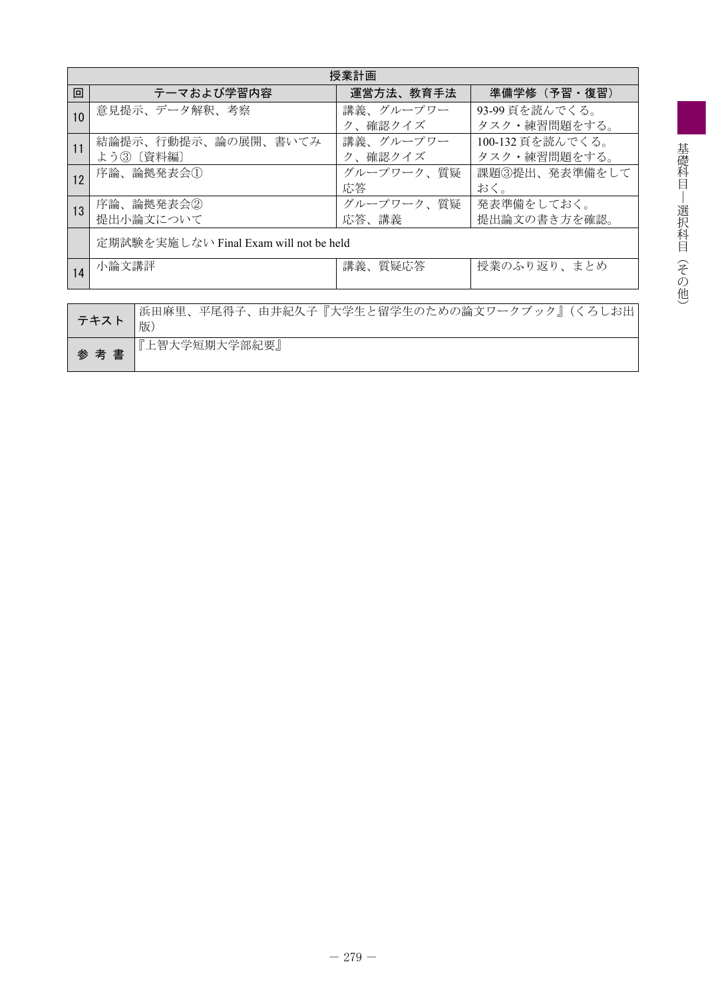|    | 授業計画                                       |            |                  |  |  |  |  |  |  |  |
|----|--------------------------------------------|------------|------------------|--|--|--|--|--|--|--|
| 回  | テーマおよび学習内容                                 | 運営方法、教育手法  | 準備学修(予習・復習)      |  |  |  |  |  |  |  |
| 10 | 意見提示、データ解釈、考察                              | 講義、グループワー  | 93-99 頁を読んでくる。   |  |  |  |  |  |  |  |
|    |                                            | ク、確認クイズ    | タスク・練習問題をする。     |  |  |  |  |  |  |  |
| 11 | 結論提示、行動提示、論の展開、書いてみ                        | 講義、グループワー  | 100-132 頁を読んでくる。 |  |  |  |  |  |  |  |
|    | よう3 〔資料編〕                                  | ク、確認クイズ    | タスク・練習問題をする。     |  |  |  |  |  |  |  |
| 12 | 序論、論拠発表会①                                  | グループワーク、質疑 | 課題③提出、発表準備をして    |  |  |  |  |  |  |  |
|    |                                            | 応答         | おく。              |  |  |  |  |  |  |  |
| 13 | 序論、論拠発表会②                                  | グループワーク、質疑 | 発表準備をしておく。       |  |  |  |  |  |  |  |
|    | 提出小論文について                                  | 応答、講義      | 提出論文の書き方を確認。     |  |  |  |  |  |  |  |
|    |                                            |            |                  |  |  |  |  |  |  |  |
|    | 定期試験を実施しない Final Exam will not be held     |            |                  |  |  |  |  |  |  |  |
| 14 | 小論文講評                                      | 講義、質疑応答    | 授業のふり返り、まとめ      |  |  |  |  |  |  |  |
|    |                                            |            |                  |  |  |  |  |  |  |  |
|    |                                            |            |                  |  |  |  |  |  |  |  |
|    | 浜田麻里、平尾得子、由井紀久子『大学生と留学生のための論文ワークブック』(くろしお出 |            |                  |  |  |  |  |  |  |  |
|    | テキスト<br>トロノ                                |            |                  |  |  |  |  |  |  |  |

| テキスト | 版             |
|------|---------------|
| 参考書  | 『上智大学短期大学部紀要』 |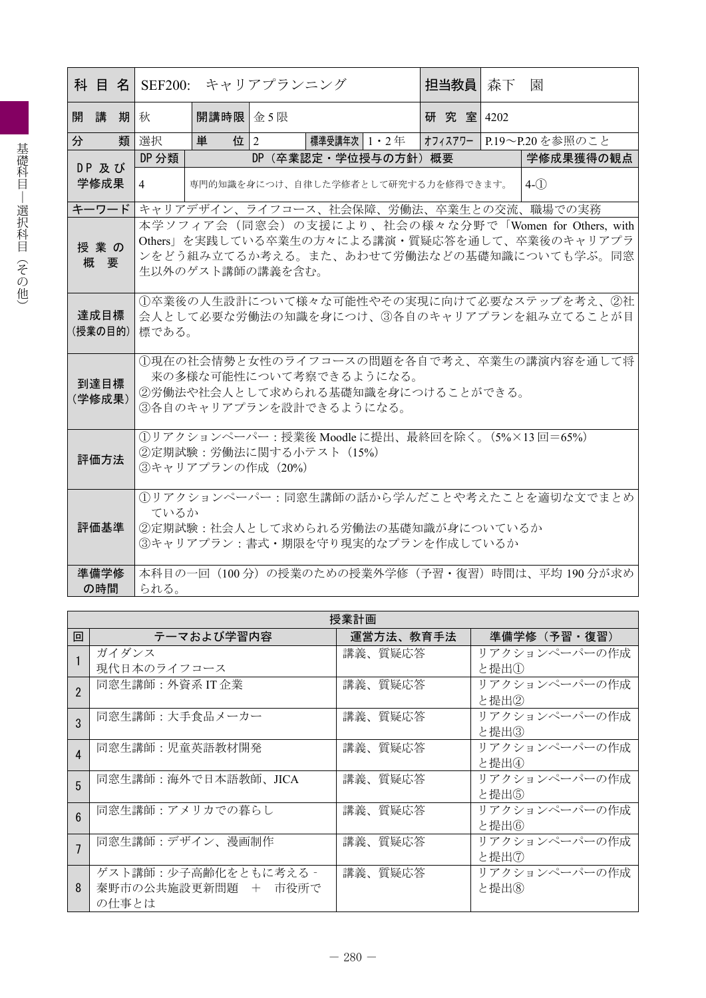| 科 目 名   SEF200: |                                                                                                                                                                       |              | キャリアプランニング |                                                                        |  | 担当教員       | 森下 | 園                                                  |
|-----------------|-----------------------------------------------------------------------------------------------------------------------------------------------------------------------|--------------|------------|------------------------------------------------------------------------|--|------------|----|----------------------------------------------------|
| 開講<br>期         | 秋                                                                                                                                                                     | 開講時限 金 5 限   |            |                                                                        |  | 研究室   4202 |    |                                                    |
| 類<br>分          | 選択                                                                                                                                                                    | 位 $ 2 $<br>単 |            | 標準受講年次 1・2 年                                                           |  |            |    | オフィスアワー   P.19〜P.20を参照のこと                          |
| DP 及び           | DP 分類                                                                                                                                                                 |              |            | DP (卒業認定・学位授与の方針) 概要                                                   |  |            |    | 学修成果獲得の観点                                          |
| 学修成果            | $\overline{4}$                                                                                                                                                        |              |            | 専門的知識を身につけ、自律した学修者として研究する力を修得できます。                                     |  |            |    | $4-(1)$                                            |
| キーワード           |                                                                                                                                                                       |              |            |                                                                        |  |            |    | キャリアデザイン、ライフコース、社会保障、労働法、卒業生との交流、職場での実務            |
| 授業の<br>概要       | 本学ソフィア会(同窓会)の支援により、社会の様々な分野で「Women for Others, with<br>Others」を実践している卒業生の方々による講演·質疑応答を通して、卒業後のキャリアプラ<br>ンをどう組み立てるか考える。また、あわせて労働法などの基礎知識についても学ぶ。同窓<br>生以外のゲスト講師の講義を含む。 |              |            |                                                                        |  |            |    |                                                    |
| 達成目標<br>(授業の目的) | 1卒業後の人生設計について様々な可能性やその実現に向けて必要なステップを考え、2社<br>会人として必要な労働法の知識を身につけ、③各自のキャリアプランを組み立てることが目<br>標である。                                                                       |              |            |                                                                        |  |            |    |                                                    |
| 到達目標<br>(学修成果)  | ①現在の社会情勢と女性のライフコースの問題を各自で考え、卒業生の講演内容を通して将<br>来の多様な可能性について考察できるようになる。<br>②労働法や社会人として求められる基礎知識を身につけることができる。<br>3各自のキャリアプランを設計できるようになる。                                  |              |            |                                                                        |  |            |    |                                                    |
| 評価方法            | ①リアクションペーパー:授業後 Moodle に提出、最終回を除く。(5%×13回=65%)<br>②定期試験:労働法に関する小テスト (15%)<br>③キャリアプランの作成 (20%)                                                                        |              |            |                                                                        |  |            |    |                                                    |
| 評価基準            | ているか                                                                                                                                                                  |              |            | ②定期試験:社会人として求められる労働法の基礎知識が身についているか<br>③キャリアプラン:書式・期限を守り現実的なプランを作成しているか |  |            |    | 1リアクションペーパー:同窓生講師の話から学んだことや考えたことを適切な文でまとめ          |
| 準備学修<br>の時間     | られる。                                                                                                                                                                  |              |            |                                                                        |  |            |    | 本科目の一回 (100分) の授業のための授業外学修 (予習・復習) 時間は、平均 190 分が求め |

| 授業計画                   |                      |           |               |  |  |  |  |  |  |
|------------------------|----------------------|-----------|---------------|--|--|--|--|--|--|
| 回                      | テーマおよび学習内容           | 運営方法、教育手法 | 準備学修(予習・復習)   |  |  |  |  |  |  |
|                        | ガイダンス                | 講義、質疑応答   | リアクションペーパーの作成 |  |  |  |  |  |  |
|                        | 現代日本のライフコース          |           | と提出①          |  |  |  |  |  |  |
| $\overline{2}$         | 同窓生講師: 外資系 IT 企業     | 講義、質疑応答   | リアクションペーパーの作成 |  |  |  |  |  |  |
|                        |                      |           | と提出②          |  |  |  |  |  |  |
| 3                      | 同窓生講師:大手食品メーカー       | 講義、質疑応答   | リアクションペーパーの作成 |  |  |  |  |  |  |
|                        |                      |           | と提出③          |  |  |  |  |  |  |
| $\boldsymbol{\Lambda}$ | 同窓生講師:児童英語教材開発       | 講義、質疑応答   | リアクションペーパーの作成 |  |  |  |  |  |  |
|                        |                      |           | と提出④          |  |  |  |  |  |  |
| 5                      | 同窓生講師:海外で日本語教師、JICA  | 講義、質疑応答   | リアクションペーパーの作成 |  |  |  |  |  |  |
|                        |                      |           | と提出⑤          |  |  |  |  |  |  |
| $6\overline{6}$        | 同窓生講師:アメリカでの暮らし      | 講義、質疑応答   | リアクションペーパーの作成 |  |  |  |  |  |  |
|                        |                      |           | と提出⑥          |  |  |  |  |  |  |
|                        | 同窓生講師:デザイン、漫画制作      | 講義、質疑応答   | リアクションペーパーの作成 |  |  |  |  |  |  |
|                        |                      |           | と提出⑦          |  |  |  |  |  |  |
|                        | ゲスト講師:少子高齢化をともに考える - | 講義、質疑応答   | リアクションペーパーの作成 |  |  |  |  |  |  |
| 8                      | 秦野市の公共施設更新問題 + 市役所で  |           | と提出(8)        |  |  |  |  |  |  |
|                        | の仕事とは                |           |               |  |  |  |  |  |  |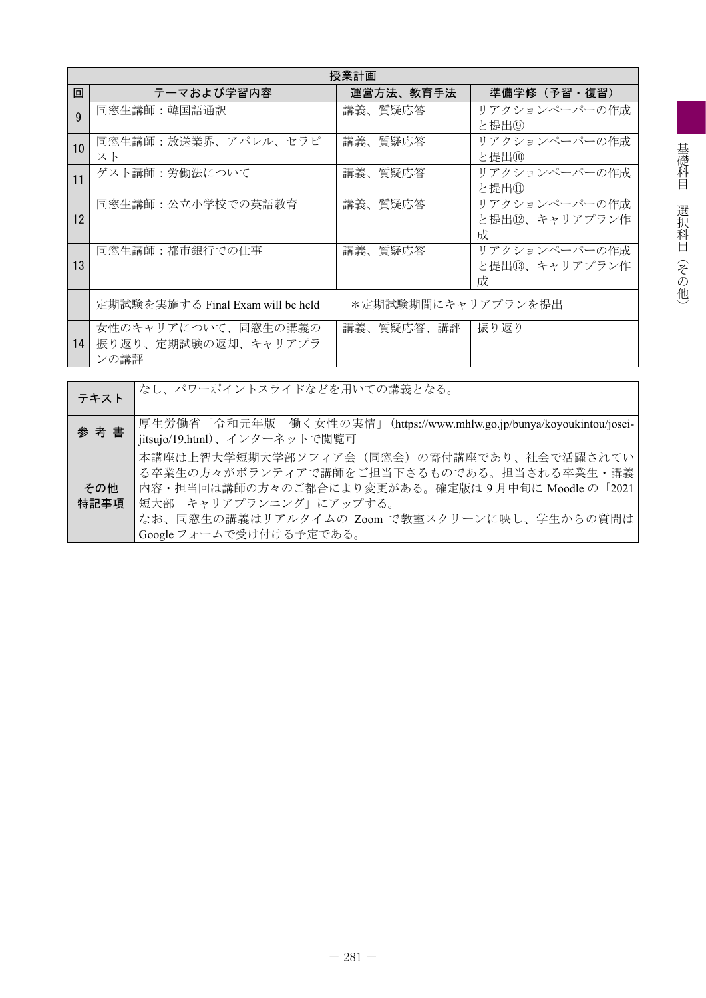|              | 授業計画                              |                    |                |  |  |  |  |  |  |  |
|--------------|-----------------------------------|--------------------|----------------|--|--|--|--|--|--|--|
| 回            | テーマおよび学習内容                        | 運営方法、教育手法          | 準備学修(予習・復習)    |  |  |  |  |  |  |  |
| $\mathbf{Q}$ | 同窓生講師:韓国語通訳                       | 講義、質疑応答            | リアクションペーパーの作成  |  |  |  |  |  |  |  |
|              |                                   |                    | と提出⑨           |  |  |  |  |  |  |  |
| 10           | 同窓生講師:放送業界、アパレル、セラピ               | 講義、質疑応答            | リアクションペーパーの作成  |  |  |  |  |  |  |  |
|              | スト                                |                    | と提出(10)        |  |  |  |  |  |  |  |
| 11           | ゲスト講師:労働法について                     | 講義、質疑応答            | リアクションペーパーの作成  |  |  |  |  |  |  |  |
|              |                                   |                    | と提出①           |  |  |  |  |  |  |  |
|              | 同窓生講師:公立小学校での英語教育                 | 講義、質疑応答            | リアクションペーパーの作成  |  |  |  |  |  |  |  |
| 12           |                                   |                    | と提出⑫、キャリアプラン作  |  |  |  |  |  |  |  |
|              |                                   |                    | 成              |  |  |  |  |  |  |  |
|              | 同窓生講師:都市銀行での仕事                    | 講義、質疑応答            | リアクションペーパーの作成  |  |  |  |  |  |  |  |
| 13           |                                   |                    | と提出13、キャリアプラン作 |  |  |  |  |  |  |  |
|              |                                   |                    | 成              |  |  |  |  |  |  |  |
|              | 定期試験を実施する Final Exam will be held | *定期試験期間にキャリアプランを提出 |                |  |  |  |  |  |  |  |
|              |                                   |                    |                |  |  |  |  |  |  |  |
|              | 女性のキャリアについて、同窓生の講義の               | 講義、質疑応答、講評         | 振り返り           |  |  |  |  |  |  |  |
| 14           | 振り返り、定期試験の返却、キャリアプラ               |                    |                |  |  |  |  |  |  |  |
|              | ンの講評                              |                    |                |  |  |  |  |  |  |  |

| テキスト        | │なし、パワーポイントスライドなどを用いての講義となる。                                                                                                                                                                                                                   |
|-------------|------------------------------------------------------------------------------------------------------------------------------------------------------------------------------------------------------------------------------------------------|
| 参考書         | 厚生労働省「令和元年版 働く女性の実情」(https://www.mhlw.go.jp/bunya/koyoukintou/josei-<br>jitsujo/19.html)、インターネットで閲覧可                                                                                                                                           |
| その他<br>特記事項 | 本講座は上智大学短期大学部ソフィア会(同窓会)の寄付講座であり、社会で活躍されてい<br>る卒業生の方々がボランティアで講師をご担当下さるものである。担当される卒業生・講義<br>内容・担当回は講師の方々のご都合により変更がある。確定版は9月中旬に Moodle の「2021<br>短大部 キャリアプランニング」にアップする。<br>なお、同窓生の講義はリアルタイムの Zoom で教室スクリーンに映し、学生からの質問は<br>Google フォームで受け付ける予定である。 |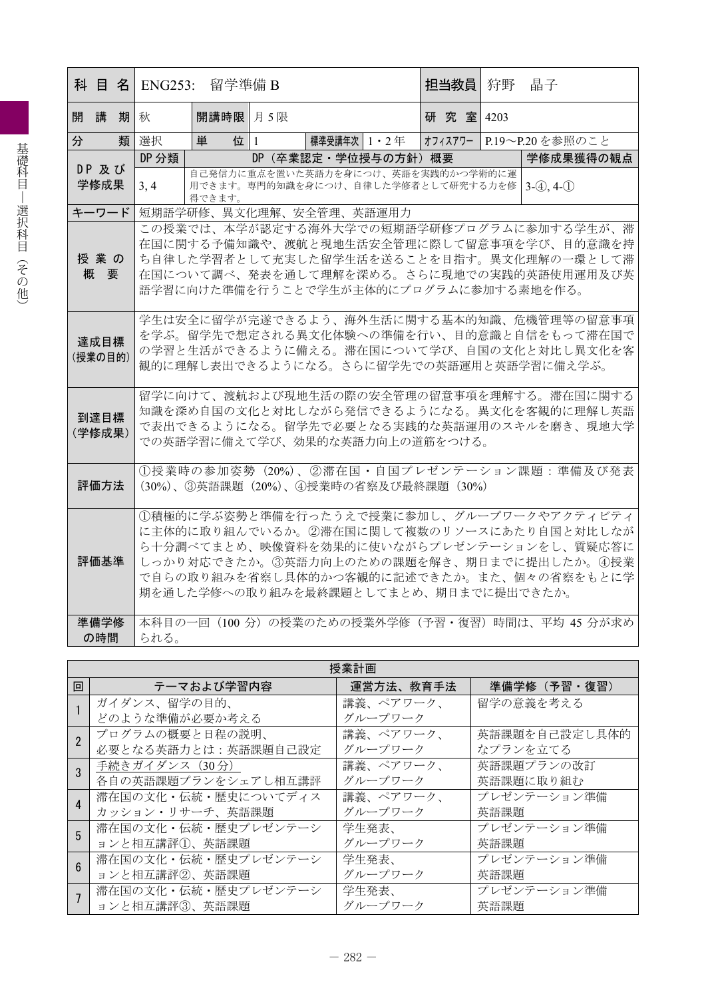| 科 目 名                                                                                                                                                                                   |                                                                                                                                                                                                                                         | ENG253: | 留学準備 B                                                                             |  |                  |                      | 担当教員     |  | 狩野 | 晶子                                                                                                                                                                                                                            |
|-----------------------------------------------------------------------------------------------------------------------------------------------------------------------------------------|-----------------------------------------------------------------------------------------------------------------------------------------------------------------------------------------------------------------------------------------|---------|------------------------------------------------------------------------------------|--|------------------|----------------------|----------|--|----|-------------------------------------------------------------------------------------------------------------------------------------------------------------------------------------------------------------------------------|
| 開講                                                                                                                                                                                      |                                                                                                                                                                                                                                         | 期秋      | 開講時限 月 5限                                                                          |  |                  |                      | 研究室 4203 |  |    |                                                                                                                                                                                                                               |
| 分                                                                                                                                                                                       | 類                                                                                                                                                                                                                                       | 選択      | 位 1<br>単                                                                           |  | 標準受講年次   1 ・ 2 年 |                      |          |  |    | オフィスアワー   P.19~P.20を参照のこと                                                                                                                                                                                                     |
| DP 及び                                                                                                                                                                                   |                                                                                                                                                                                                                                         | DP 分類   |                                                                                    |  |                  | DP (卒業認定・学位授与の方針) 概要 |          |  |    | 学修成果獲得の観点                                                                                                                                                                                                                     |
| 学修成果                                                                                                                                                                                    |                                                                                                                                                                                                                                         | 3, 4    | 自己発信力に重点を置いた英語力を身につけ、英語を実践的かつ学術的に運<br>用できます。専門的知識を身につけ、自律した学修者として研究する力を修<br>得できます。 |  |                  |                      |          |  |    | $3-(4), 4-(1)$                                                                                                                                                                                                                |
| キーワード                                                                                                                                                                                   |                                                                                                                                                                                                                                         |         | 短期語学研修、異文化理解、安全管理、英語運用力                                                            |  |                  |                      |          |  |    |                                                                                                                                                                                                                               |
|                                                                                                                                                                                         | この授業では、本学が認定する海外大学での短期語学研修プログラムに参加する学生が、滞<br>在国に関する予備知識や、渡航と現地生活安全管理に際して留意事項を学び、目的意識を持<br>授業の<br>ち自律した学習者として充実した留学生活を送ることを目指す。異文化理解の一環として滞<br>概要<br>在国について調べ、発表を通して理解を深める。さらに現地での実践的英語使用運用及び英<br>語学習に向けた準備を行うことで学生が主体的にプログラムに参加する素地を作る。 |         |                                                                                    |  |                  |                      |          |  |    |                                                                                                                                                                                                                               |
| 達成目標<br>(授業の目的)                                                                                                                                                                         |                                                                                                                                                                                                                                         |         |                                                                                    |  |                  |                      |          |  |    | 学生は安全に留学が完遂できるよう、海外生活に関する基本的知識、危機管理等の留意事項<br>を学ぶ。留学先で想定される異文化体験への準備を行い、目的意識と自信をもって滞在国で<br>の学習と生活ができるように備える。滞在国について学び、自国の文化と対比し異文化を客<br>観的に理解し表出できるようになる。さらに留学先での英語運用と英語学習に備え学ぶ。                                               |
| 留学に向けて、渡航および現地生活の際の安全管理の留意事項を理解する。滞在国に関する<br>知識を深め自国の文化と対比しながら発信できるようになる。異文化を客観的に理解し英語<br>到達目標<br>で表出できるようになる。留学先で必要となる実践的な英語運用のスキルを磨き、現地大学<br>(学修成果)<br>での英語学習に備えて学び、効果的な英語力向上の道筋をつける。 |                                                                                                                                                                                                                                         |         |                                                                                    |  |                  |                      |          |  |    |                                                                                                                                                                                                                               |
|                                                                                                                                                                                         | ①授業時の参加姿勢(20%)、②滞在国・自国プレゼンテーション課題:準備及び発表<br>評価方法<br>(30%)、③英語課題 (20%)、4授業時の省察及び最終課題 (30%)                                                                                                                                               |         |                                                                                    |  |                  |                      |          |  |    |                                                                                                                                                                                                                               |
| 評価基準                                                                                                                                                                                    |                                                                                                                                                                                                                                         |         | 期を通した学修への取り組みを最終課題としてまとめ、期日までに提出できたか。                                              |  |                  |                      |          |  |    | ①積極的に学ぶ姿勢と準備を行ったうえで授業に参加し、グループワークやアクティビティ<br>に主体的に取り組んでいるか。②滞在国に関して複数のリソースにあたり自国と対比しなが<br>ら十分調べてまとめ、映像資料を効果的に使いながらプレゼンテーションをし、質疑応答に<br>しっかり対応できたか。③英語力向上のための課題を解き、期日までに提出したか。4授業<br>で自らの取り組みを省察し具体的かつ客観的に記述できたか。また、個々の省察をもとに学 |
| 準備学修<br>の時間                                                                                                                                                                             |                                                                                                                                                                                                                                         | られる。    |                                                                                    |  |                  |                      |          |  |    | 本科目の一回 (100 分) の授業のための授業外学修 (予習・復習) 時間は、平均 45 分が求め                                                                                                                                                                            |

|   | 授業計画                |           |               |  |  |  |  |  |  |  |  |
|---|---------------------|-----------|---------------|--|--|--|--|--|--|--|--|
| 回 | テーマおよび学習内容          | 運営方法、教育手法 | 準備学修(予習・復習)   |  |  |  |  |  |  |  |  |
|   | ガイダンス、留学の目的、        | 講義、ペアワーク、 | 留学の意義を考える     |  |  |  |  |  |  |  |  |
|   | どのような準備が必要か考える      | グループワーク   |               |  |  |  |  |  |  |  |  |
|   | プログラムの概要と日程の説明、     | 講義、ペアワーク、 | 英語課題を自己設定し具体的 |  |  |  |  |  |  |  |  |
|   | 必要となる英語力とは:英語課題自己設定 | グループワーク   | なプランを立てる      |  |  |  |  |  |  |  |  |
|   | 手続きガイダンス (30分)      | 講義、ペアワーク、 | 英語課題プランの改訂    |  |  |  |  |  |  |  |  |
|   | 各自の英語課題プランをシェアし相互講評 | グループワーク   | 英語課題に取り組む     |  |  |  |  |  |  |  |  |
|   | 滞在国の文化・伝統・歴史についてディス | 講義、ペアワーク、 | プレゼンテーション準備   |  |  |  |  |  |  |  |  |
|   | カッション・リサーチ、英語課題     | グループワーク   | 英語課題          |  |  |  |  |  |  |  |  |
| 5 | 滞在国の文化・伝統・歴史プレゼンテーシ | 学生発表、     | プレゼンテーション準備   |  |  |  |  |  |  |  |  |
|   | ョンと相互講評1、英語課題       | グループワーク   | 英語課題          |  |  |  |  |  |  |  |  |
|   | 滞在国の文化・伝統・歴史プレゼンテーシ | 学生発表、     | プレゼンテーション準備   |  |  |  |  |  |  |  |  |
|   | ョンと相互講評2、英語課題       | グループワーク   | 英語課題          |  |  |  |  |  |  |  |  |
|   | 滞在国の文化・伝統・歴史プレゼンテーシ | 学生発表、     | プレゼンテーション準備   |  |  |  |  |  |  |  |  |
|   | ョンと相互講評3、英語課題       | グループワーク   | 英語課題          |  |  |  |  |  |  |  |  |